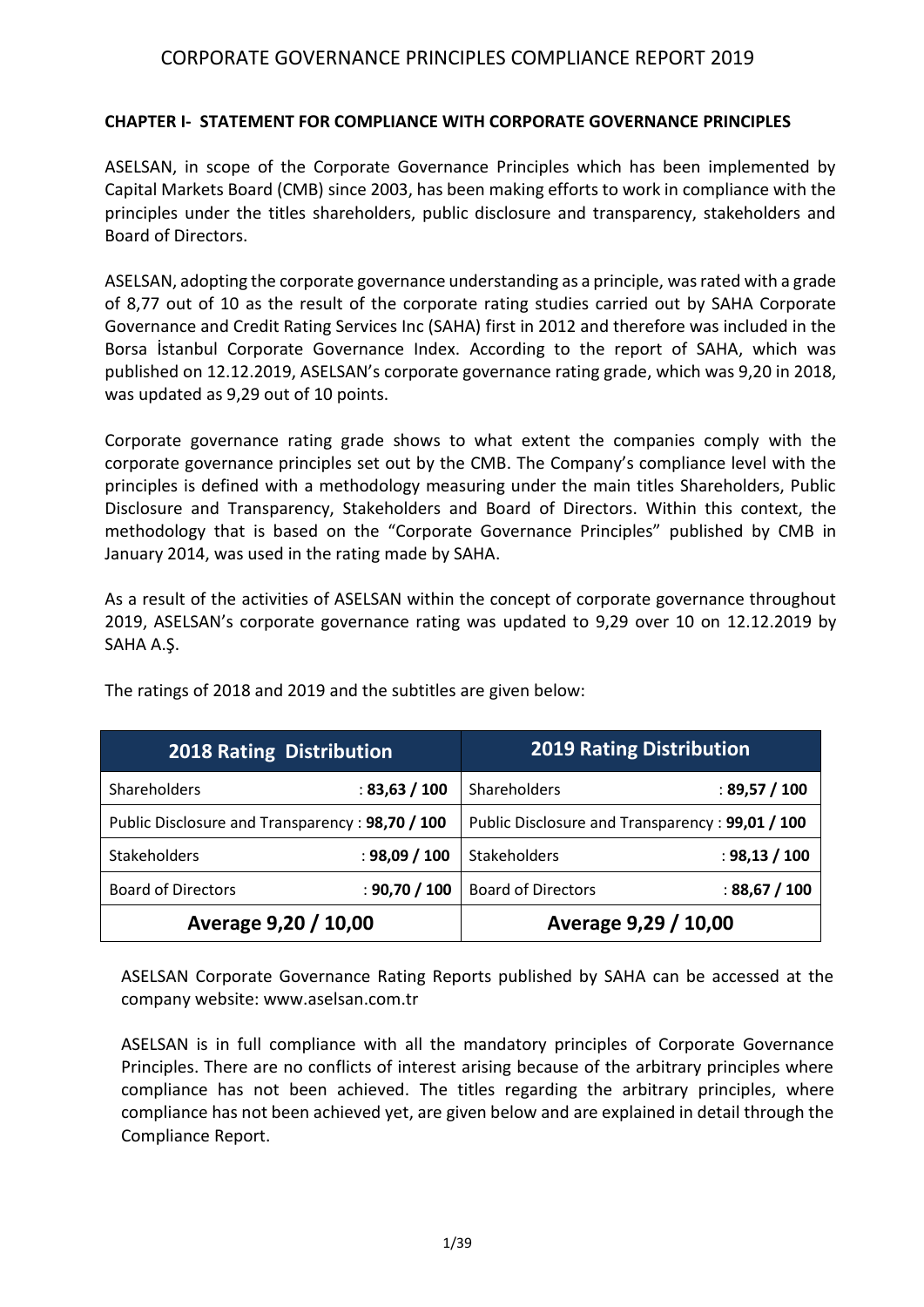#### **CHAPTER I- STATEMENT FOR COMPLIANCE WITH CORPORATE GOVERNANCE PRINCIPLES**

ASELSAN, in scope of the Corporate Governance Principles which has been implemented by Capital Markets Board (CMB) since 2003, has been making efforts to work in compliance with the principles under the titles shareholders, public disclosure and transparency, stakeholders and Board of Directors.

ASELSAN, adopting the corporate governance understanding as a principle, was rated with a grade of 8,77 out of 10 as the result of the corporate rating studies carried out by SAHA Corporate Governance and Credit Rating Services Inc (SAHA) first in 2012 and therefore was included in the Borsa İstanbul Corporate Governance Index. According to the report of SAHA, which was published on 12.12.2019, ASELSAN's corporate governance rating grade, which was 9,20 in 2018, was updated as 9,29 out of 10 points.

Corporate governance rating grade shows to what extent the companies comply with the corporate governance principles set out by the CMB. The Company's compliance level with the principles is defined with a methodology measuring under the main titles Shareholders, Public Disclosure and Transparency, Stakeholders and Board of Directors. Within this context, the methodology that is based on the "Corporate Governance Principles" published by CMB in January 2014, was used in the rating made by SAHA.

As a result of the activities of ASELSAN within the concept of corporate governance throughout 2019, ASELSAN's corporate governance rating was updated to 9,29 over 10 on 12.12.2019 by SAHA A.Ş.

| <b>2018 Rating Distribution</b>                 |               | <b>2019 Rating Distribution</b>                 |               |  |  |  |
|-------------------------------------------------|---------------|-------------------------------------------------|---------------|--|--|--|
| <b>Shareholders</b>                             | : 83,63 / 100 | Shareholders                                    | : 89,57 / 100 |  |  |  |
| Public Disclosure and Transparency: 98,70 / 100 |               | Public Disclosure and Transparency: 99,01 / 100 |               |  |  |  |
| <b>Stakeholders</b>                             | : 98,09 / 100 | Stakeholders                                    | : 98,13 / 100 |  |  |  |
| <b>Board of Directors</b>                       | : 90,70 / 100 | <b>Board of Directors</b>                       | : 88,67 / 100 |  |  |  |
| Average 9,20 / 10,00                            |               | Average 9,29 / 10,00                            |               |  |  |  |

The ratings of 2018 and 2019 and the subtitles are given below:

ASELSAN Corporate Governance Rating Reports published by SAHA can be accessed at the company website[: www.aselsan.com.](http://www.aselsan.com/)tr

ASELSAN is in full compliance with all the mandatory principles of Corporate Governance Principles. There are no conflicts of interest arising because of the arbitrary principles where compliance has not been achieved. The titles regarding the arbitrary principles, where compliance has not been achieved yet, are given below and are explained in detail through the Compliance Report.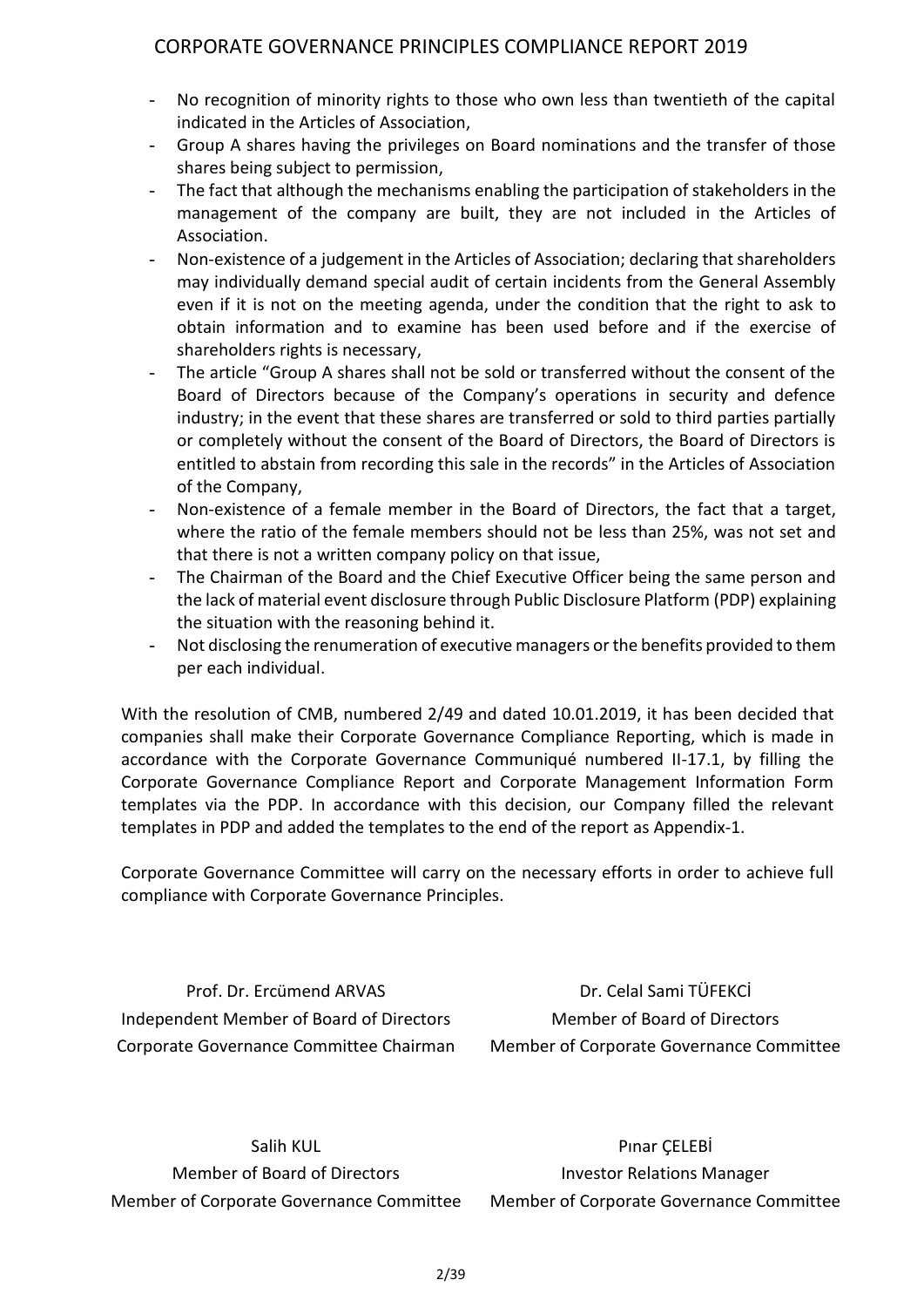- No recognition of minority rights to those who own less than twentieth of the capital indicated in the Articles of Association,
- Group A shares having the privileges on Board nominations and the transfer of those shares being subject to permission,
- The fact that although the mechanisms enabling the participation of stakeholders in the management of the company are built, they are not included in the Articles of Association.
- Non-existence of a judgement in the Articles of Association; declaring that shareholders may individually demand special audit of certain incidents from the General Assembly even if it is not on the meeting agenda, under the condition that the right to ask to obtain information and to examine has been used before and if the exercise of shareholders rights is necessary,
- The article "Group A shares shall not be sold or transferred without the consent of the Board of Directors because of the Company's operations in security and defence industry; in the event that these shares are transferred or sold to third parties partially or completely without the consent of the Board of Directors, the Board of Directors is entitled to abstain from recording this sale in the records" in the Articles of Association of the Company,
- Non-existence of a female member in the Board of Directors, the fact that a target, where the ratio of the female members should not be less than 25%, was not set and that there is not a written company policy on that issue,
- The Chairman of the Board and the Chief Executive Officer being the same person and the lack of material event disclosure through Public Disclosure Platform (PDP) explaining the situation with the reasoning behind it.
- Not disclosing the renumeration of executive managers or the benefits provided to them per each individual.

With the resolution of CMB, numbered 2/49 and dated 10.01.2019, it has been decided that companies shall make their Corporate Governance Compliance Reporting, which is made in accordance with the Corporate Governance Communiqué numbered II-17.1, by filling the Corporate Governance Compliance Report and Corporate Management Information Form templates via the PDP. In accordance with this decision, our Company filled the relevant templates in PDP and added the templates to the end of the report as Appendix-1.

Corporate Governance Committee will carry on the necessary efforts in order to achieve full compliance with Corporate Governance Principles.

Prof. Dr. Ercümend ARVAS Independent Member of Board of Directors Corporate Governance Committee Chairman

Dr. Celal Sami TÜFEKCİ Member of Board of Directors Member of Corporate Governance Committee

Salih KUL Member of Board of Directors Member of Corporate Governance Committee

Pınar ÇELEBİ Investor Relations Manager Member of Corporate Governance Committee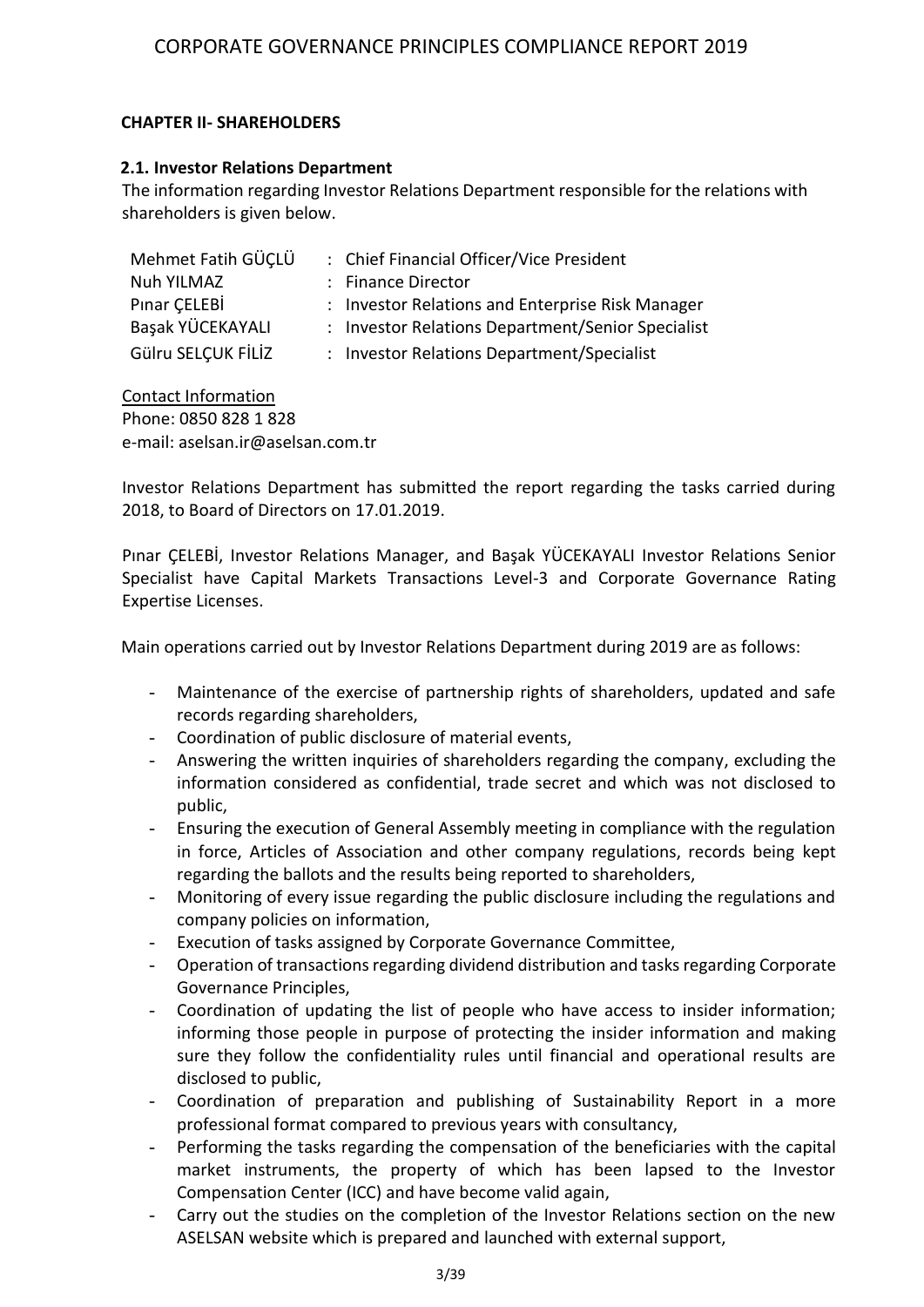#### **CHAPTER II- SHAREHOLDERS**

#### **2.1. Investor Relations Department**

The information regarding Investor Relations Department responsible for the relations with shareholders is given below.

| Mehmet Fatih GÜCLÜ | : Chief Financial Officer/Vice President          |
|--------------------|---------------------------------------------------|
| Nuh YILMAZ         | : Finance Director                                |
| Pinar CELEBİ       | : Investor Relations and Enterprise Risk Manager  |
| Başak YÜCEKAYALI   | : Investor Relations Department/Senior Specialist |
| Gülru SELÇUK FİLİZ | : Investor Relations Department/Specialist        |

Contact Information Phone: 0850 828 1 828 e-mail: aselsan.ir@aselsan.com.tr

Investor Relations Department has submitted the report regarding the tasks carried during 2018, to Board of Directors on 17.01.2019.

Pınar ÇELEBİ, Investor Relations Manager, and Başak YÜCEKAYALI Investor Relations Senior Specialist have Capital Markets Transactions Level-3 and Corporate Governance Rating Expertise Licenses.

Main operations carried out by Investor Relations Department during 2019 are as follows:

- Maintenance of the exercise of partnership rights of shareholders, updated and safe records regarding shareholders,
- Coordination of public disclosure of material events,
- Answering the written inquiries of shareholders regarding the company, excluding the information considered as confidential, trade secret and which was not disclosed to public,
- Ensuring the execution of General Assembly meeting in compliance with the regulation in force, Articles of Association and other company regulations, records being kept regarding the ballots and the results being reported to shareholders,
- Monitoring of every issue regarding the public disclosure including the regulations and company policies on information,
- Execution of tasks assigned by Corporate Governance Committee,
- Operation of transactions regarding dividend distribution and tasks regarding Corporate Governance Principles,
- Coordination of updating the list of people who have access to insider information; informing those people in purpose of protecting the insider information and making sure they follow the confidentiality rules until financial and operational results are disclosed to public,
- Coordination of preparation and publishing of Sustainability Report in a more professional format compared to previous years with consultancy,
- Performing the tasks regarding the compensation of the beneficiaries with the capital market instruments, the property of which has been lapsed to the Investor Compensation Center (ICC) and have become valid again,
- Carry out the studies on the completion of the Investor Relations section on the new ASELSAN website which is prepared and launched with external support,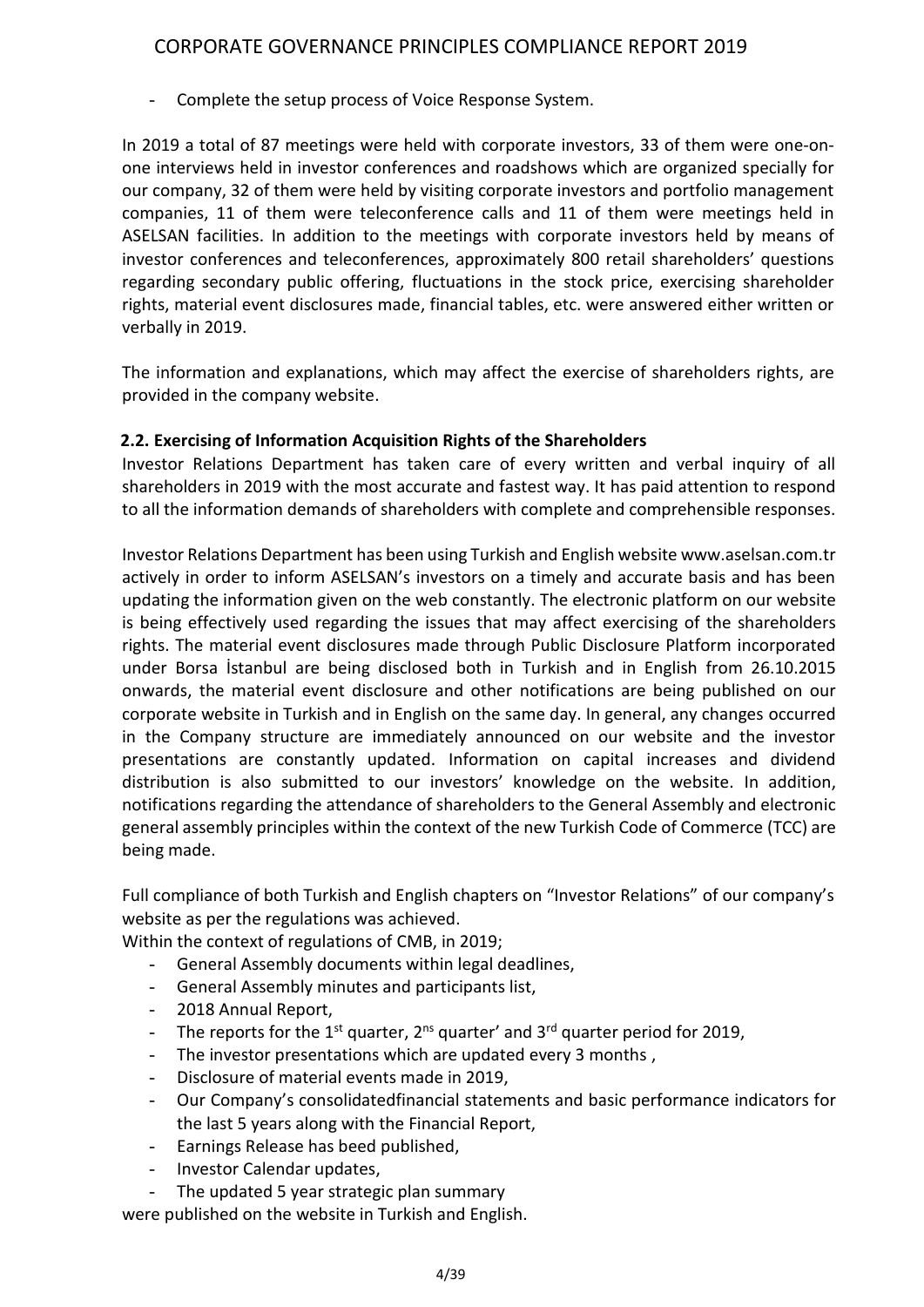Complete the setup process of Voice Response System.

In 2019 a total of 87 meetings were held with corporate investors, 33 of them were one-onone interviews held in investor conferences and roadshows which are organized specially for our company, 32 of them were held by visiting corporate investors and portfolio management companies, 11 of them were teleconference calls and 11 of them were meetings held in ASELSAN facilities. In addition to the meetings with corporate investors held by means of investor conferences and teleconferences, approximately 800 retail shareholders' questions regarding secondary public offering, fluctuations in the stock price, exercising shareholder rights, material event disclosures made, financial tables, etc. were answered either written or verbally in 2019.

The information and explanations, which may affect the exercise of shareholders rights, are provided in the company website.

## **2.2. Exercising of Information Acquisition Rights of the Shareholders**

Investor Relations Department has taken care of every written and verbal inquiry of all shareholders in 2019 with the most accurate and fastest way. It has paid attention to respond to all the information demands of shareholders with complete and comprehensible responses.

Investor Relations Department has been using Turkish and English website www.aselsan.com.tr actively in order to inform ASELSAN's investors on a timely and accurate basis and has been updating the information given on the web constantly. The electronic platform on our website is being effectively used regarding the issues that may affect exercising of the shareholders rights. The material event disclosures made through Public Disclosure Platform incorporated under Borsa İstanbul are being disclosed both in Turkish and in English from 26.10.2015 onwards, the material event disclosure and other notifications are being published on our corporate website in Turkish and in English on the same day. In general, any changes occurred in the Company structure are immediately announced on our website and the investor presentations are constantly updated. Information on capital increases and dividend distribution is also submitted to our investors' knowledge on the website. In addition, notifications regarding the attendance of shareholders to the General Assembly and electronic general assembly principles within the context of the new Turkish Code of Commerce (TCC) are being made.

Full compliance of both Turkish and English chapters on "Investor Relations" of our company's website as per the regulations was achieved.

Within the context of regulations of CMB, in 2019;

- General Assembly documents within legal deadlines,
- General Assembly minutes and participants list,
- 2018 Annual Report,
- The reports for the 1<sup>st</sup> quarter, 2<sup>ns</sup> quarter' and 3<sup>rd</sup> quarter period for 2019,
- The investor presentations which are updated every 3 months ,
- Disclosure of material events made in 2019,
- Our Company's consolidatedfinancial statements and basic performance indicators for the last 5 years along with the Financial Report,
- Earnings Release has beed published,
- Investor Calendar updates,
- The updated 5 year strategic plan summary

were published on the website in Turkish and English.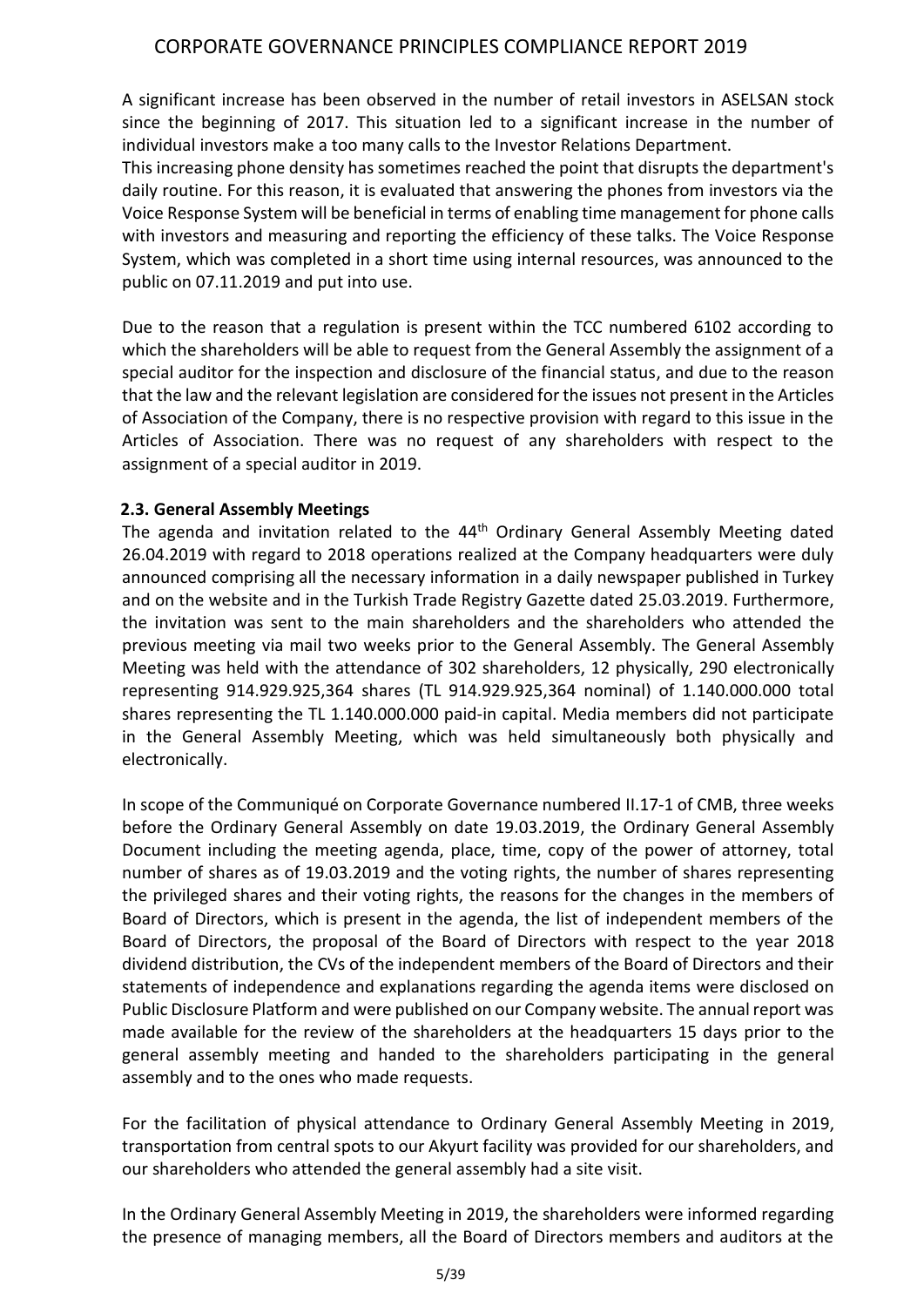A significant increase has been observed in the number of retail investors in ASELSAN stock since the beginning of 2017. This situation led to a significant increase in the number of individual investors make a too many calls to the Investor Relations Department.

This increasing phone density has sometimes reached the point that disrupts the department's daily routine. For this reason, it is evaluated that answering the phones from investors via the Voice Response System will be beneficial in terms of enabling time management for phone calls with investors and measuring and reporting the efficiency of these talks. The Voice Response System, which was completed in a short time using internal resources, was announced to the public on 07.11.2019 and put into use.

Due to the reason that a regulation is present within the TCC numbered 6102 according to which the shareholders will be able to request from the General Assembly the assignment of a special auditor for the inspection and disclosure of the financial status, and due to the reason that the law and the relevant legislation are considered for the issues not present in the Articles of Association of the Company, there is no respective provision with regard to this issue in the Articles of Association. There was no request of any shareholders with respect to the assignment of a special auditor in 2019.

## **2.3. General Assembly Meetings**

The agenda and invitation related to the 44<sup>th</sup> Ordinary General Assembly Meeting dated 26.04.2019 with regard to 2018 operations realized at the Company headquarters were duly announced comprising all the necessary information in a daily newspaper published in Turkey and on the website and in the Turkish Trade Registry Gazette dated 25.03.2019. Furthermore, the invitation was sent to the main shareholders and the shareholders who attended the previous meeting via mail two weeks prior to the General Assembly. The General Assembly Meeting was held with the attendance of 302 shareholders, 12 physically, 290 electronically representing 914.929.925,364 shares (TL 914.929.925,364 nominal) of 1.140.000.000 total shares representing the TL 1.140.000.000 paid-in capital. Media members did not participate in the General Assembly Meeting, which was held simultaneously both physically and electronically.

In scope of the Communiqué on Corporate Governance numbered II.17-1 of CMB, three weeks before the Ordinary General Assembly on date 19.03.2019, the Ordinary General Assembly Document including the meeting agenda, place, time, copy of the power of attorney, total number of shares as of 19.03.2019 and the voting rights, the number of shares representing the privileged shares and their voting rights, the reasons for the changes in the members of Board of Directors, which is present in the agenda, the list of independent members of the Board of Directors, the proposal of the Board of Directors with respect to the year 2018 dividend distribution, the CVs of the independent members of the Board of Directors and their statements of independence and explanations regarding the agenda items were disclosed on Public Disclosure Platform and were published on our Company website. The annual report was made available for the review of the shareholders at the headquarters 15 days prior to the general assembly meeting and handed to the shareholders participating in the general assembly and to the ones who made requests.

For the facilitation of physical attendance to Ordinary General Assembly Meeting in 2019, transportation from central spots to our Akyurt facility was provided for our shareholders, and our shareholders who attended the general assembly had a site visit.

In the Ordinary General Assembly Meeting in 2019, the shareholders were informed regarding the presence of managing members, all the Board of Directors members and auditors at the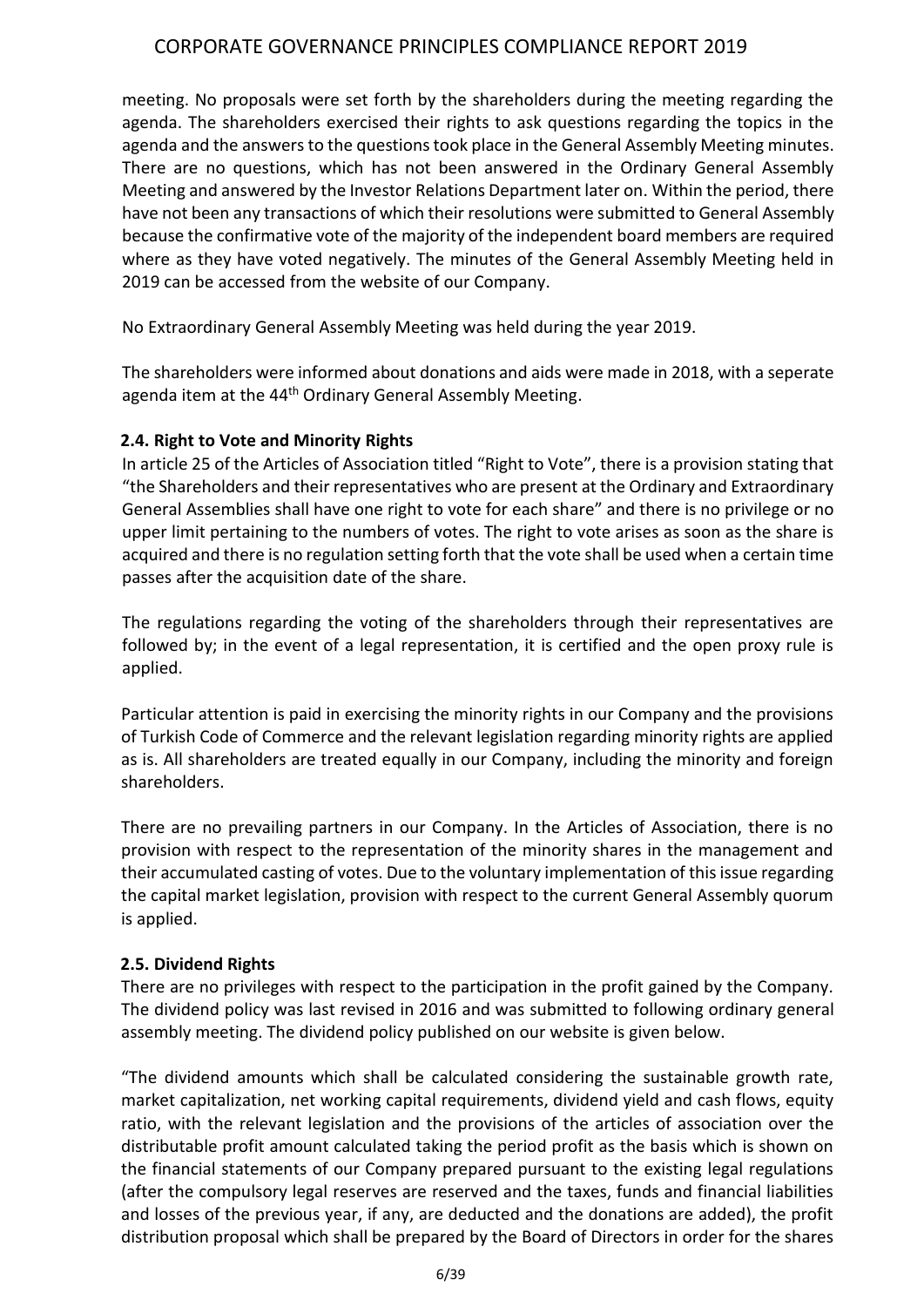meeting. No proposals were set forth by the shareholders during the meeting regarding the agenda. The shareholders exercised their rights to ask questions regarding the topics in the agenda and the answers to the questions took place in the General Assembly Meeting minutes. There are no questions, which has not been answered in the Ordinary General Assembly Meeting and answered by the Investor Relations Department later on. Within the period, there have not been any transactions of which their resolutions were submitted to General Assembly because the confirmative vote of the majority of the independent board members are required where as they have voted negatively. The minutes of the General Assembly Meeting held in 2019 can be accessed from the website of our Company.

No Extraordinary General Assembly Meeting was held during the year 2019.

The shareholders were informed about donations and aids were made in 2018, with a seperate agenda item at the 44<sup>th</sup> Ordinary General Assembly Meeting.

## **2.4. Right to Vote and Minority Rights**

In article 25 of the Articles of Association titled "Right to Vote", there is a provision stating that "the Shareholders and their representatives who are present at the Ordinary and Extraordinary General Assemblies shall have one right to vote for each share" and there is no privilege or no upper limit pertaining to the numbers of votes. The right to vote arises as soon as the share is acquired and there is no regulation setting forth that the vote shall be used when a certain time passes after the acquisition date of the share.

The regulations regarding the voting of the shareholders through their representatives are followed by; in the event of a legal representation, it is certified and the open proxy rule is applied.

Particular attention is paid in exercising the minority rights in our Company and the provisions of Turkish Code of Commerce and the relevant legislation regarding minority rights are applied as is. All shareholders are treated equally in our Company, including the minority and foreign shareholders.

There are no prevailing partners in our Company. In the Articles of Association, there is no provision with respect to the representation of the minority shares in the management and their accumulated casting of votes. Due to the voluntary implementation of this issue regarding the capital market legislation, provision with respect to the current General Assembly quorum is applied.

## **2.5. Dividend Rights**

There are no privileges with respect to the participation in the profit gained by the Company. The dividend policy was last revised in 2016 and was submitted to following ordinary general assembly meeting. The dividend policy published on our website is given below.

"The dividend amounts which shall be calculated considering the sustainable growth rate, market capitalization, net working capital requirements, dividend yield and cash flows, equity ratio, with the relevant legislation and the provisions of the articles of association over the distributable profit amount calculated taking the period profit as the basis which is shown on the financial statements of our Company prepared pursuant to the existing legal regulations (after the compulsory legal reserves are reserved and the taxes, funds and financial liabilities and losses of the previous year, if any, are deducted and the donations are added), the profit distribution proposal which shall be prepared by the Board of Directors in order for the shares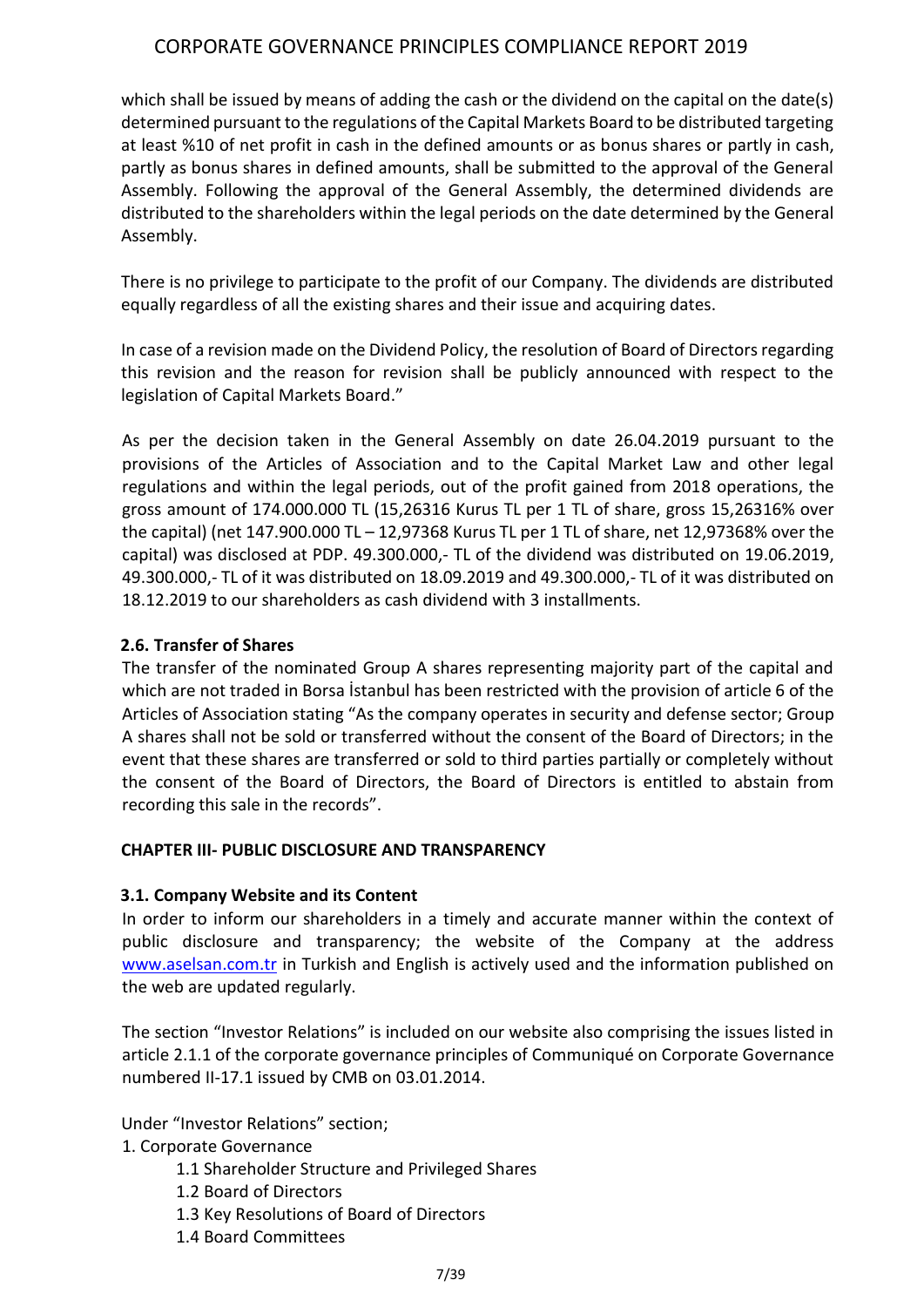which shall be issued by means of adding the cash or the dividend on the capital on the date(s) determined pursuant to the regulations of the Capital Markets Board to be distributed targeting at least %10 of net profit in cash in the defined amounts or as bonus shares or partly in cash, partly as bonus shares in defined amounts, shall be submitted to the approval of the General Assembly. Following the approval of the General Assembly, the determined dividends are distributed to the shareholders within the legal periods on the date determined by the General Assembly.

There is no privilege to participate to the profit of our Company. The dividends are distributed equally regardless of all the existing shares and their issue and acquiring dates.

In case of a revision made on the Dividend Policy, the resolution of Board of Directors regarding this revision and the reason for revision shall be publicly announced with respect to the legislation of Capital Markets Board."

As per the decision taken in the General Assembly on date 26.04.2019 pursuant to the provisions of the Articles of Association and to the Capital Market Law and other legal regulations and within the legal periods, out of the profit gained from 2018 operations, the gross amount of 174.000.000 TL (15,26316 Kurus TL per 1 TL of share, gross 15,26316% over the capital) (net 147.900.000 TL – 12,97368 Kurus TL per 1 TL of share, net 12,97368% over the capital) was disclosed at PDP. 49.300.000,- TL of the dividend was distributed on 19.06.2019, 49.300.000,- TL of it was distributed on 18.09.2019 and 49.300.000,- TL of it was distributed on 18.12.2019 to our shareholders as cash dividend with 3 installments.

## **2.6. Transfer of Shares**

The transfer of the nominated Group A shares representing majority part of the capital and which are not traded in Borsa İstanbul has been restricted with the provision of article 6 of the Articles of Association stating "As the company operates in security and defense sector; Group A shares shall not be sold or transferred without the consent of the Board of Directors; in the event that these shares are transferred or sold to third parties partially or completely without the consent of the Board of Directors, the Board of Directors is entitled to abstain from recording this sale in the records".

## **CHAPTER III- PUBLIC DISCLOSURE AND TRANSPARENCY**

## **3.1. Company Website and its Content**

In order to inform our shareholders in a timely and accurate manner within the context of public disclosure and transparency; the website of the Company at the address [www.aselsan.com.tr](http://www.aselsan.com.tr/) in Turkish and English is actively used and the information published on the web are updated regularly.

The section "Investor Relations" is included on our website also comprising the issues listed in article 2.1.1 of the corporate governance principles of Communiqué on Corporate Governance numbered II-17.1 issued by CMB on 03.01.2014.

Under "Investor Relations" section;

1. Corporate Governance

- 1.1 Shareholder Structure and Privileged Shares
- 1.2 Board of Directors
- 1.3 Key Resolutions of Board of Directors
- 1.4 Board Committees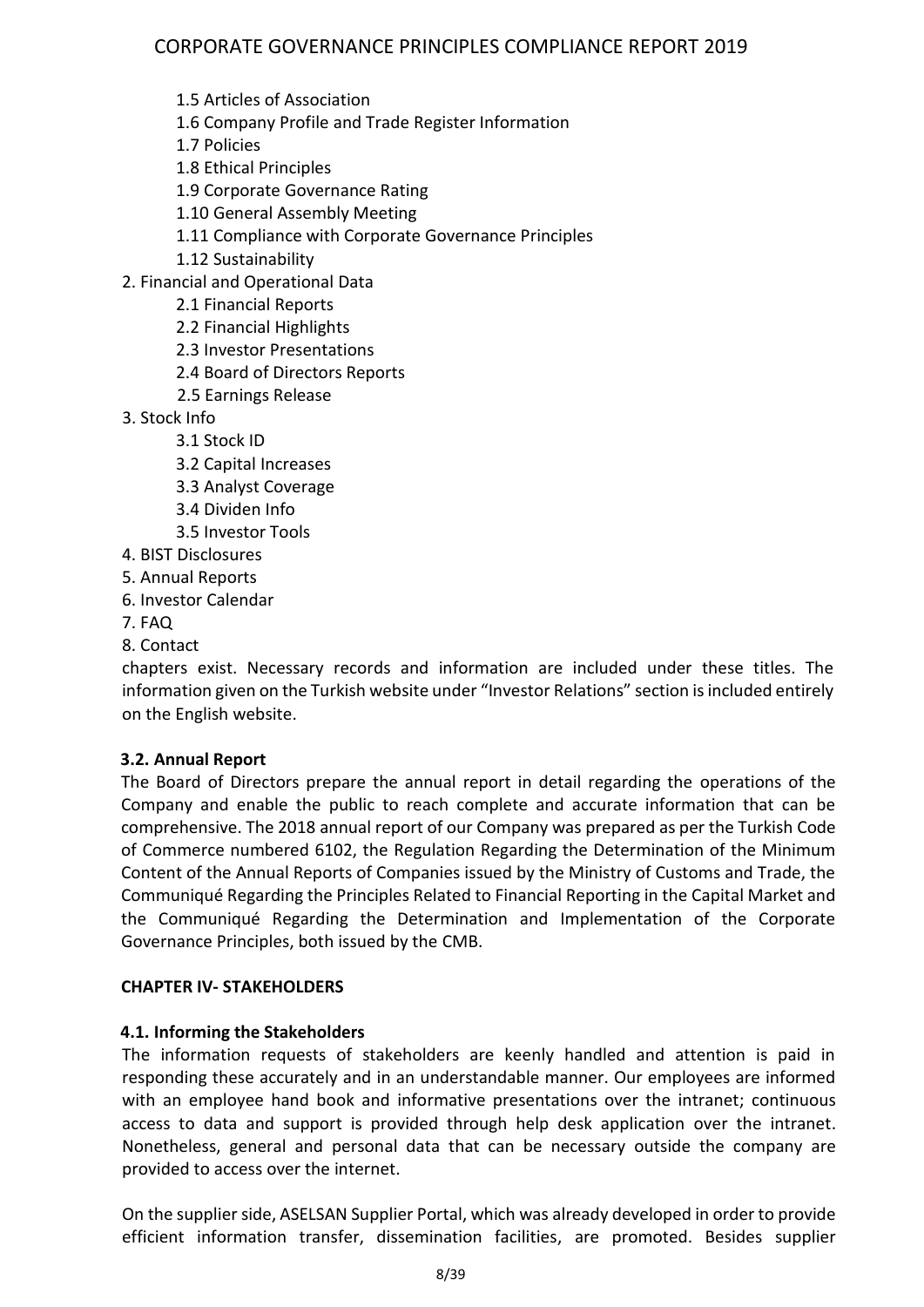- 1.5 Articles of Association
- 1.6 Company Profile and Trade Register Information
- 1.7 Policies
- 1.8 Ethical Principles
- 1.9 Corporate Governance Rating
- 1.10 General Assembly Meeting
- 1.11 Compliance with Corporate Governance Principles
- 1.12 Sustainability
- 2. Financial and Operational Data
	- 2.1 Financial Reports
	- 2.2 Financial Highlights
	- 2.3 Investor Presentations
	- 2.4 Board of Directors Reports
	- 2.5 Earnings Release
- 3. Stock Info
	- 3.1 Stock ID
	- 3.2 Capital Increases
	- 3.3 Analyst Coverage
	- 3.4 Dividen Info
	- 3.5 Investor Tools
- 4. BIST Disclosures
- 5. Annual Reports
- 6. Investor Calendar
- 7. FAQ
- 8. Contact

chapters exist. Necessary records and information are included under these titles. The information given on the Turkish website under "Investor Relations" section is included entirely on the English website.

## **3.2. Annual Report**

The Board of Directors prepare the annual report in detail regarding the operations of the Company and enable the public to reach complete and accurate information that can be comprehensive. The 2018 annual report of our Company was prepared as per the Turkish Code of Commerce numbered 6102, the Regulation Regarding the Determination of the Minimum Content of the Annual Reports of Companies issued by the Ministry of Customs and Trade, the Communiqué Regarding the Principles Related to Financial Reporting in the Capital Market and the Communiqué Regarding the Determination and Implementation of the Corporate Governance Principles, both issued by the CMB.

## **CHAPTER IV- STAKEHOLDERS**

## **4.1. Informing the Stakeholders**

The information requests of stakeholders are keenly handled and attention is paid in responding these accurately and in an understandable manner. Our employees are informed with an employee hand book and informative presentations over the intranet; continuous access to data and support is provided through help desk application over the intranet. Nonetheless, general and personal data that can be necessary outside the company are provided to access over the internet.

On the supplier side, ASELSAN Supplier Portal, which was already developed in order to provide efficient information transfer, dissemination facilities, are promoted. Besides supplier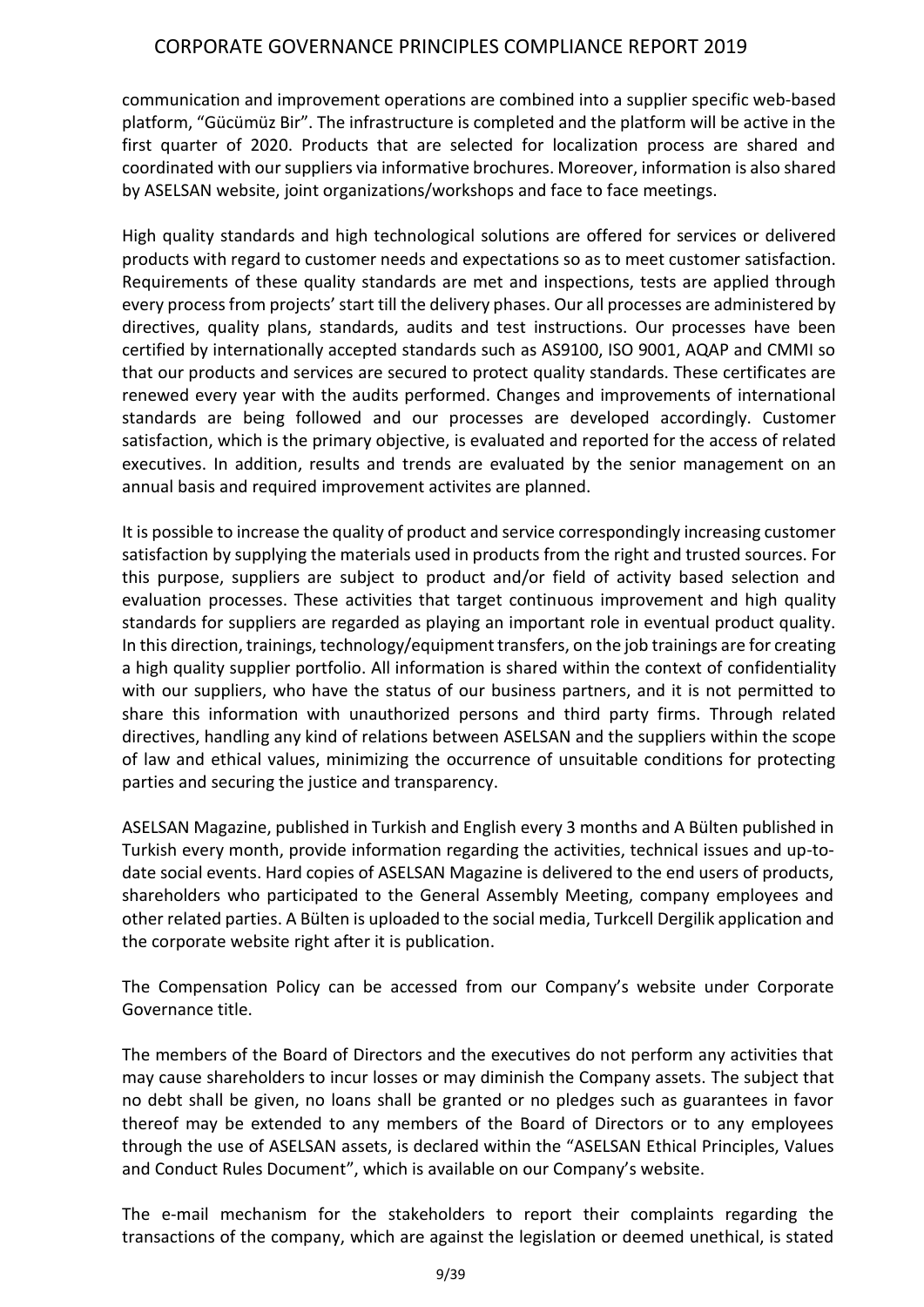communication and improvement operations are combined into a supplier specific web-based platform, "Gücümüz Bir". The infrastructure is completed and the platform will be active in the first quarter of 2020. Products that are selected for localization process are shared and coordinated with our suppliers via informative brochures. Moreover, information is also shared by ASELSAN website, joint organizations/workshops and face to face meetings.

High quality standards and high technological solutions are offered for services or delivered products with regard to customer needs and expectations so as to meet customer satisfaction. Requirements of these quality standards are met and inspections, tests are applied through every process from projects' start till the delivery phases. Our all processes are administered by directives, quality plans, standards, audits and test instructions. Our processes have been certified by internationally accepted standards such as AS9100, ISO 9001, AQAP and CMMI so that our products and services are secured to protect quality standards. These certificates are renewed every year with the audits performed. Changes and improvements of international standards are being followed and our processes are developed accordingly. Customer satisfaction, which is the primary objective, is evaluated and reported for the access of related executives. In addition, results and trends are evaluated by the senior management on an annual basis and required improvement activites are planned.

It is possible to increase the quality of product and service correspondingly increasing customer satisfaction by supplying the materials used in products from the right and trusted sources. For this purpose, suppliers are subject to product and/or field of activity based selection and evaluation processes. These activities that target continuous improvement and high quality standards for suppliers are regarded as playing an important role in eventual product quality. In this direction, trainings, technology/equipment transfers, on the job trainings are for creating a high quality supplier portfolio. All information is shared within the context of confidentiality with our suppliers, who have the status of our business partners, and it is not permitted to share this information with unauthorized persons and third party firms. Through related directives, handling any kind of relations between ASELSAN and the suppliers within the scope of law and ethical values, minimizing the occurrence of unsuitable conditions for protecting parties and securing the justice and transparency.

ASELSAN Magazine, published in Turkish and English every 3 months and A Bülten published in Turkish every month, provide information regarding the activities, technical issues and up-todate social events. Hard copies of ASELSAN Magazine is delivered to the end users of products, shareholders who participated to the General Assembly Meeting, company employees and other related parties. A Bülten is uploaded to the social media, Turkcell Dergilik application and the corporate website right after it is publication.

The Compensation Policy can be accessed from our Company's website under Corporate Governance title.

The members of the Board of Directors and the executives do not perform any activities that may cause shareholders to incur losses or may diminish the Company assets. The subject that no debt shall be given, no loans shall be granted or no pledges such as guarantees in favor thereof may be extended to any members of the Board of Directors or to any employees through the use of ASELSAN assets, is declared within the "ASELSAN Ethical Principles, Values and Conduct Rules Document", which is available on our Company's website.

The e-mail mechanism for the stakeholders to report their complaints regarding the transactions of the company, which are against the legislation or deemed unethical, is stated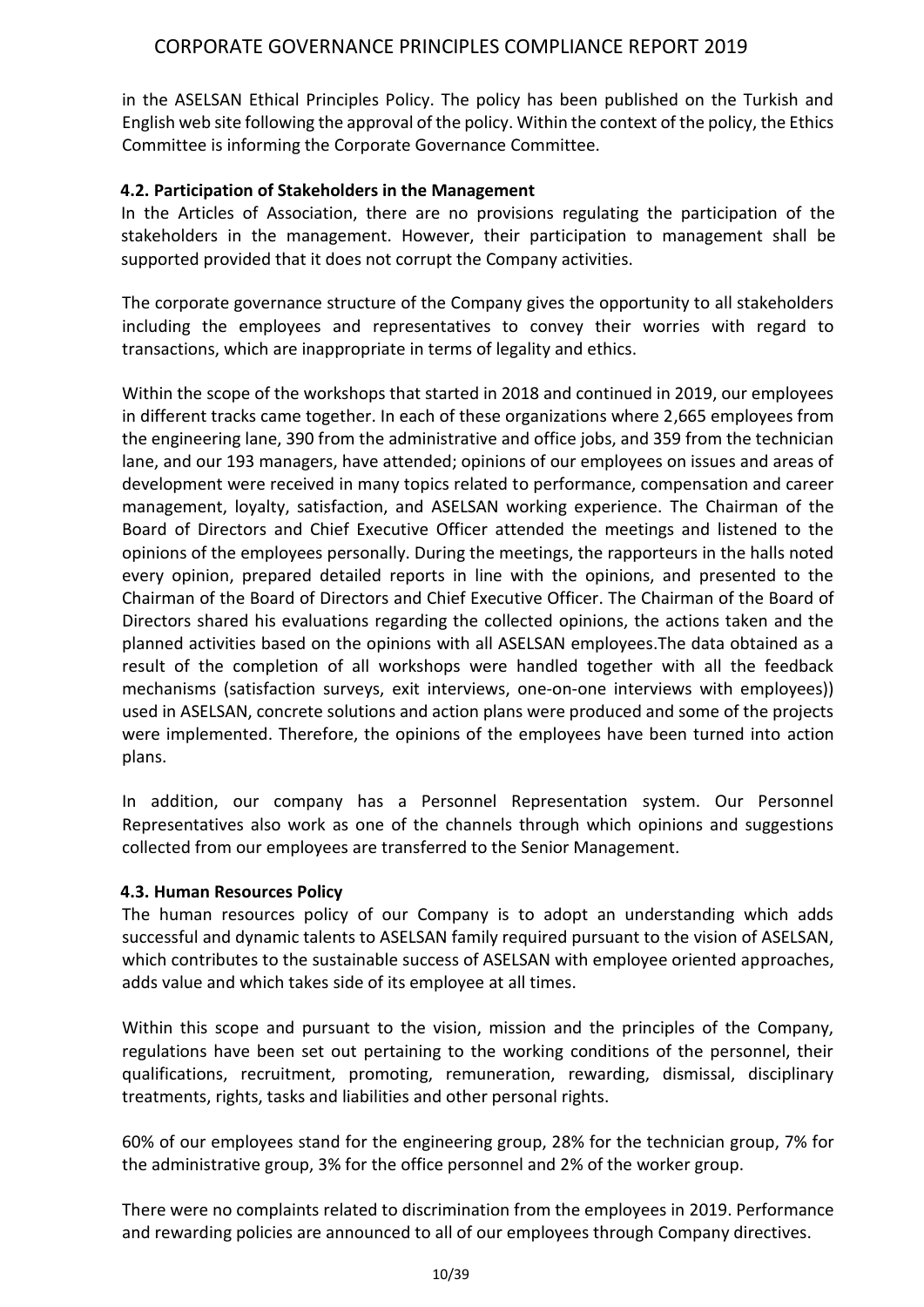in the ASELSAN Ethical Principles Policy. The policy has been published on the Turkish and English web site following the approval of the policy. Within the context of the policy, the Ethics Committee is informing the Corporate Governance Committee.

#### **4.2. Participation of Stakeholders in the Management**

In the Articles of Association, there are no provisions regulating the participation of the stakeholders in the management. However, their participation to management shall be supported provided that it does not corrupt the Company activities.

The corporate governance structure of the Company gives the opportunity to all stakeholders including the employees and representatives to convey their worries with regard to transactions, which are inappropriate in terms of legality and ethics.

Within the scope of the workshops that started in 2018 and continued in 2019, our employees in different tracks came together. In each of these organizations where 2,665 employees from the engineering lane, 390 from the administrative and office jobs, and 359 from the technician lane, and our 193 managers, have attended; opinions of our employees on issues and areas of development were received in many topics related to performance, compensation and career management, loyalty, satisfaction, and ASELSAN working experience. The Chairman of the Board of Directors and Chief Executive Officer attended the meetings and listened to the opinions of the employees personally. During the meetings, the rapporteurs in the halls noted every opinion, prepared detailed reports in line with the opinions, and presented to the Chairman of the Board of Directors and Chief Executive Officer. The Chairman of the Board of Directors shared his evaluations regarding the collected opinions, the actions taken and the planned activities based on the opinions with all ASELSAN employees.The data obtained as a result of the completion of all workshops were handled together with all the feedback mechanisms (satisfaction surveys, exit interviews, one-on-one interviews with employees)) used in ASELSAN, concrete solutions and action plans were produced and some of the projects were implemented. Therefore, the opinions of the employees have been turned into action plans.

In addition, our company has a Personnel Representation system. Our Personnel Representatives also work as one of the channels through which opinions and suggestions collected from our employees are transferred to the Senior Management.

## **4.3. Human Resources Policy**

The human resources policy of our Company is to adopt an understanding which adds successful and dynamic talents to ASELSAN family required pursuant to the vision of ASELSAN, which contributes to the sustainable success of ASELSAN with employee oriented approaches, adds value and which takes side of its employee at all times.

Within this scope and pursuant to the vision, mission and the principles of the Company, regulations have been set out pertaining to the working conditions of the personnel, their qualifications, recruitment, promoting, remuneration, rewarding, dismissal, disciplinary treatments, rights, tasks and liabilities and other personal rights.

60% of our employees stand for the engineering group, 28% for the technician group, 7% for the administrative group, 3% for the office personnel and 2% of the worker group.

There were no complaints related to discrimination from the employees in 2019. Performance and rewarding policies are announced to all of our employees through Company directives.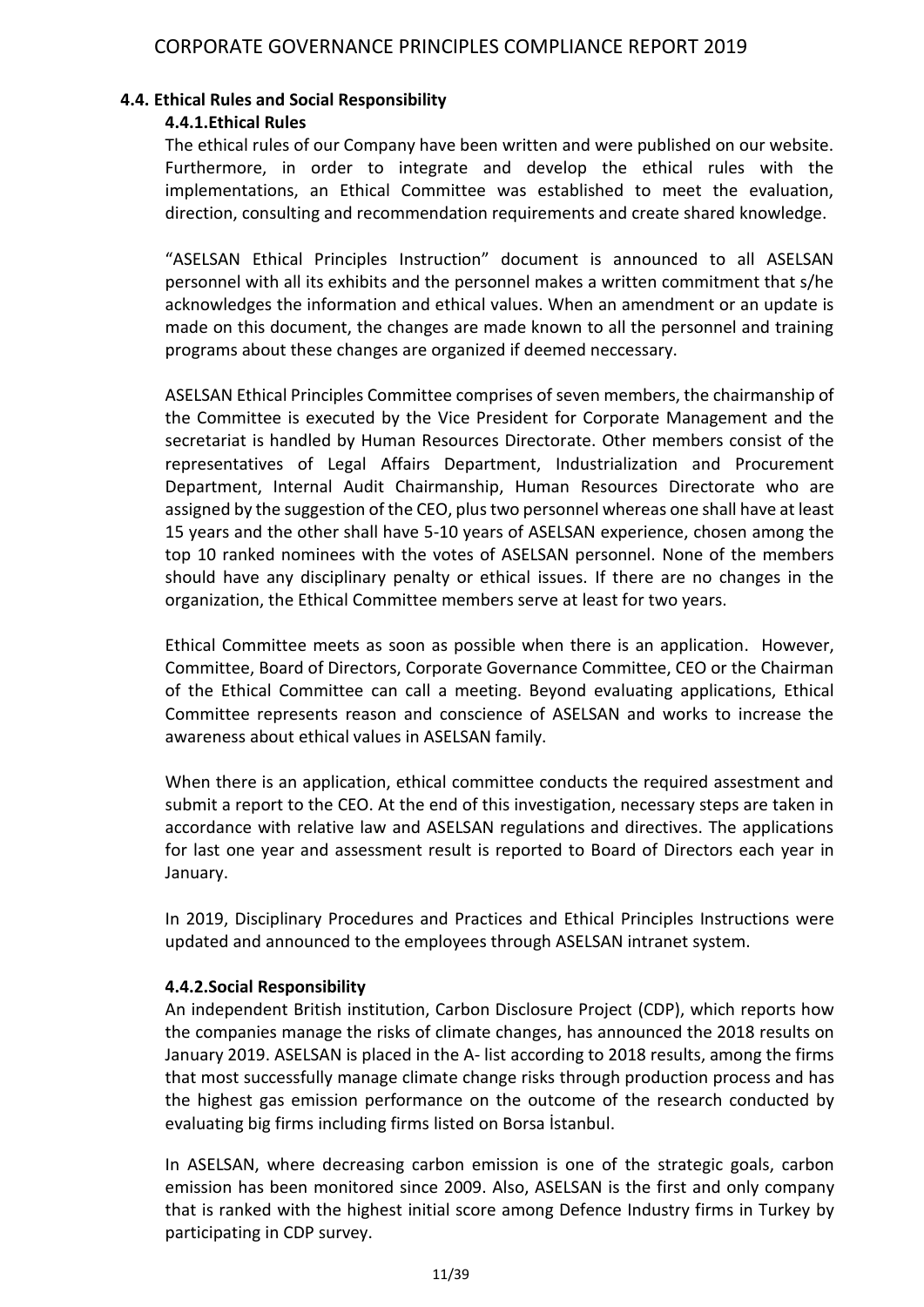#### **4.4. Ethical Rules and Social Responsibility**

#### **4.4.1.Ethical Rules**

The ethical rules of our Company have been written and were published on our website. Furthermore, in order to integrate and develop the ethical rules with the implementations, an Ethical Committee was established to meet the evaluation, direction, consulting and recommendation requirements and create shared knowledge.

"ASELSAN Ethical Principles Instruction" document is announced to all ASELSAN personnel with all its exhibits and the personnel makes a written commitment that s/he acknowledges the information and ethical values. When an amendment or an update is made on this document, the changes are made known to all the personnel and training programs about these changes are organized if deemed neccessary.

ASELSAN Ethical Principles Committee comprises of seven members, the chairmanship of the Committee is executed by the Vice President for Corporate Management and the secretariat is handled by Human Resources Directorate. Other members consist of the representatives of Legal Affairs Department, Industrialization and Procurement Department, Internal Audit Chairmanship, Human Resources Directorate who are assigned by the suggestion of the CEO, plus two personnel whereas one shall have at least 15 years and the other shall have 5-10 years of ASELSAN experience, chosen among the top 10 ranked nominees with the votes of ASELSAN personnel. None of the members should have any disciplinary penalty or ethical issues. If there are no changes in the organization, the Ethical Committee members serve at least for two years.

Ethical Committee meets as soon as possible when there is an application. However, Committee, Board of Directors, Corporate Governance Committee, CEO or the Chairman of the Ethical Committee can call a meeting. Beyond evaluating applications, Ethical Committee represents reason and conscience of ASELSAN and works to increase the awareness about ethical values in ASELSAN family.

When there is an application, ethical committee conducts the required assestment and submit a report to the CEO. At the end of this investigation, necessary steps are taken in accordance with relative law and ASELSAN regulations and directives. The applications for last one year and assessment result is reported to Board of Directors each year in January.

In 2019, Disciplinary Procedures and Practices and Ethical Principles Instructions were updated and announced to the employees through ASELSAN intranet system.

## **4.4.2.Social Responsibility**

An independent British institution, Carbon Disclosure Project (CDP), which reports how the companies manage the risks of climate changes, has announced the 2018 results on January 2019. ASELSAN is placed in the A- list according to 2018 results, among the firms that most successfully manage climate change risks through production process and has the highest gas emission performance on the outcome of the research conducted by evaluating big firms including firms listed on Borsa İstanbul.

In ASELSAN, where decreasing carbon emission is one of the strategic goals, carbon emission has been monitored since 2009. Also, ASELSAN is the first and only company that is ranked with the highest initial score among Defence Industry firms in Turkey by participating in CDP survey.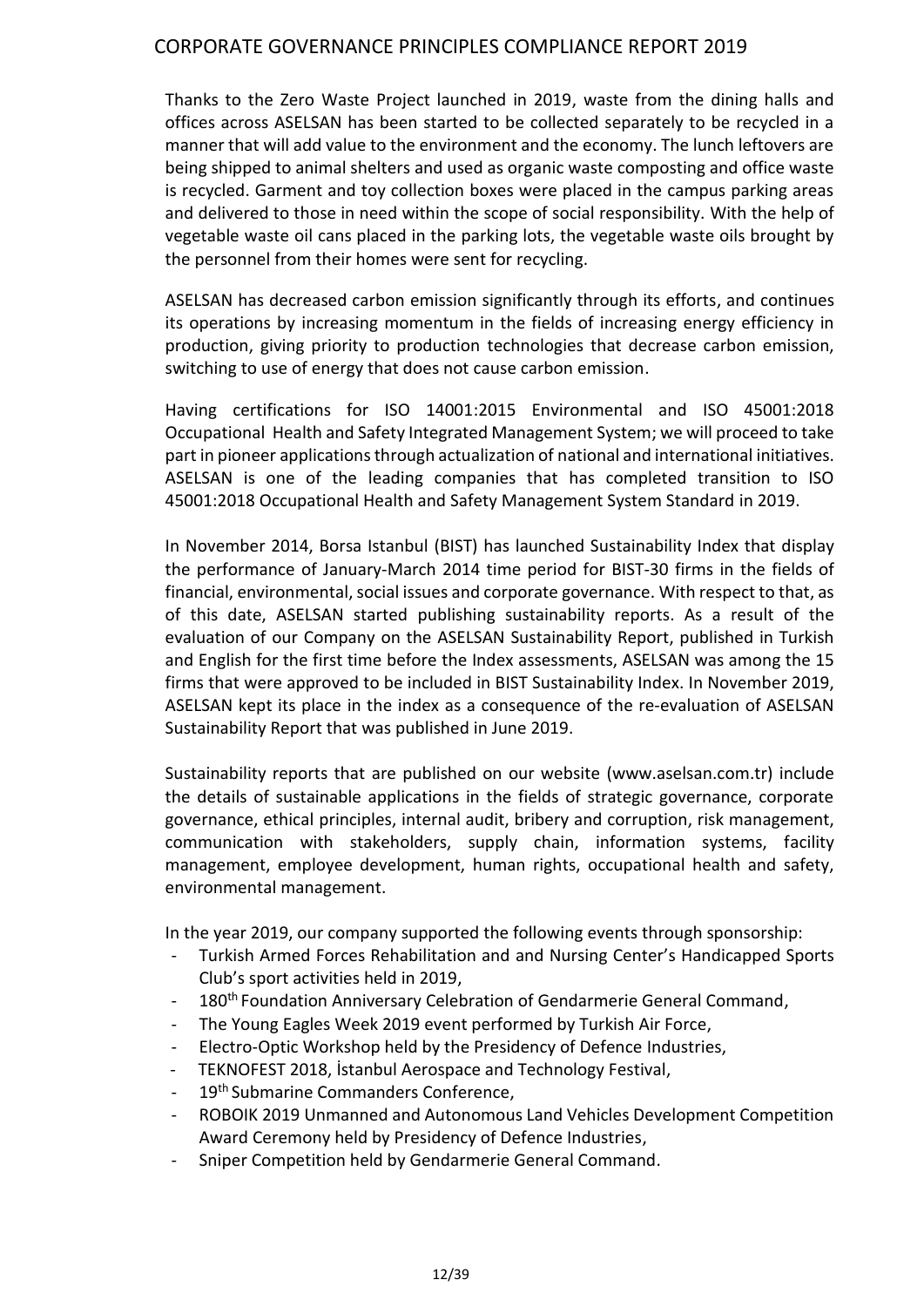Thanks to the Zero Waste Project launched in 2019, waste from the dining halls and offices across ASELSAN has been started to be collected separately to be recycled in a manner that will add value to the environment and the economy. The lunch leftovers are being shipped to animal shelters and used as organic waste composting and office waste is recycled. Garment and toy collection boxes were placed in the campus parking areas and delivered to those in need within the scope of social responsibility. With the help of vegetable waste oil cans placed in the parking lots, the vegetable waste oils brought by the personnel from their homes were sent for recycling.

ASELSAN has decreased carbon emission significantly through its efforts, and continues its operations by increasing momentum in the fields of increasing energy efficiency in production, giving priority to production technologies that decrease carbon emission, switching to use of energy that does not cause carbon emission.

Having certifications for ISO 14001:2015 Environmental and ISO 45001:2018 Occupational Health and Safety Integrated Management System; we will proceed to take part in pioneer applications through actualization of national and international initiatives. ASELSAN is one of the leading companies that has completed transition to ISO 45001:2018 Occupational Health and Safety Management System Standard in 2019.

In November 2014, Borsa Istanbul (BIST) has launched Sustainability Index that display the performance of January-March 2014 time period for BIST-30 firms in the fields of financial, environmental, social issues and corporate governance. With respect to that, as of this date, ASELSAN started publishing sustainability reports. As a result of the evaluation of our Company on the ASELSAN Sustainability Report, published in Turkish and English for the first time before the Index assessments, ASELSAN was among the 15 firms that were approved to be included in BIST Sustainability Index. In November 2019, ASELSAN kept its place in the index as a consequence of the re-evaluation of ASELSAN Sustainability Report that was published in June 2019.

Sustainability reports that are published on our website (www.aselsan.com.tr) include the details of sustainable applications in the fields of strategic governance, corporate governance, ethical principles, internal audit, bribery and corruption, risk management, communication with stakeholders, supply chain, information systems, facility management, employee development, human rights, occupational health and safety, environmental management.

In the year 2019, our company supported the following events through sponsorship:

- Turkish Armed Forces Rehabilitation and and Nursing Center's Handicapped Sports Club's sport activities held in 2019,
- 180<sup>th</sup> Foundation Anniversary Celebration of Gendarmerie General Command,
- The Young Eagles Week 2019 event performed by Turkish Air Force,
- Electro-Optic Workshop held by the Presidency of Defence Industries,
- TEKNOFEST 2018, Istanbul Aerospace and Technology Festival,
- 19<sup>th</sup> Submarine Commanders Conference,
- ROBOIK 2019 Unmanned and Autonomous Land Vehicles Development Competition Award Ceremony held by Presidency of Defence Industries,
- Sniper Competition held by Gendarmerie General Command.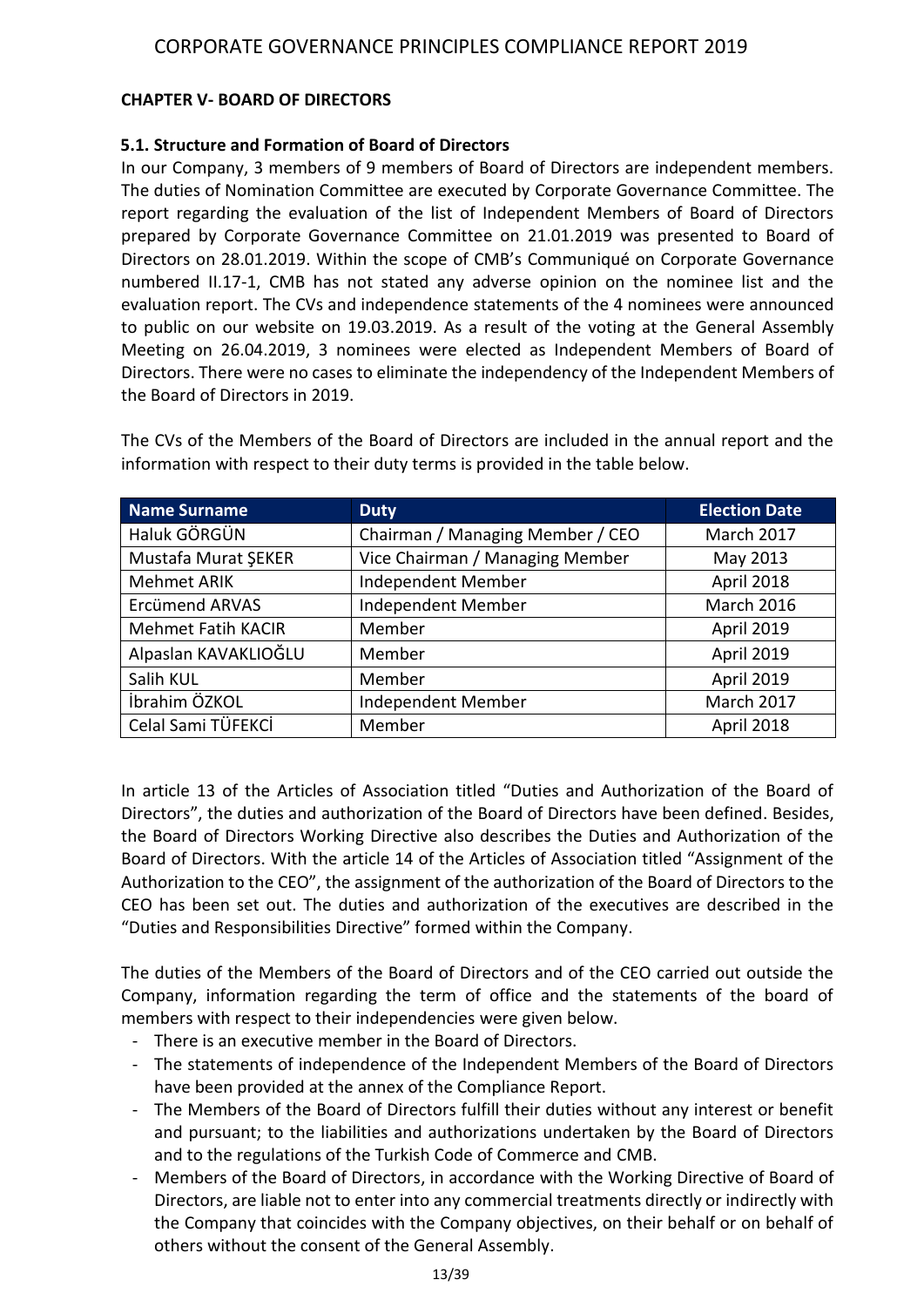## **CHAPTER V- BOARD OF DIRECTORS**

## **5.1. Structure and Formation of Board of Directors**

In our Company, 3 members of 9 members of Board of Directors are independent members. The duties of Nomination Committee are executed by Corporate Governance Committee. The report regarding the evaluation of the list of Independent Members of Board of Directors prepared by Corporate Governance Committee on 21.01.2019 was presented to Board of Directors on 28.01.2019. Within the scope of CMB's Communiqué on Corporate Governance numbered II.17-1, CMB has not stated any adverse opinion on the nominee list and the evaluation report. The CVs and independence statements of the 4 nominees were announced to public on our website on 19.03.2019. As a result of the voting at the General Assembly Meeting on 26.04.2019, 3 nominees were elected as Independent Members of Board of Directors. There were no cases to eliminate the independency of the Independent Members of the Board of Directors in 2019.

| <b>Name Surname</b>       | <b>Duty</b>                      | <b>Election Date</b> |
|---------------------------|----------------------------------|----------------------|
| Haluk GÖRGÜN              | Chairman / Managing Member / CEO | March 2017           |
| Mustafa Murat ŞEKER       | Vice Chairman / Managing Member  | May 2013             |
| <b>Mehmet ARIK</b>        | Independent Member               | April 2018           |
| <b>Ercümend ARVAS</b>     | Independent Member               | <b>March 2016</b>    |
| <b>Mehmet Fatih KACIR</b> | Member                           | April 2019           |
| Alpaslan KAVAKLIOĞLU      | Member                           | April 2019           |
| Salih KUL                 | Member                           | April 2019           |
| İbrahim ÖZKOL             | Independent Member               | March 2017           |
| Celal Sami TÜFEKCİ        | Member                           | April 2018           |

The CVs of the Members of the Board of Directors are included in the annual report and the information with respect to their duty terms is provided in the table below.

In article 13 of the Articles of Association titled "Duties and Authorization of the Board of Directors", the duties and authorization of the Board of Directors have been defined. Besides, the Board of Directors Working Directive also describes the Duties and Authorization of the Board of Directors. With the article 14 of the Articles of Association titled "Assignment of the Authorization to the CEO", the assignment of the authorization of the Board of Directors to the CEO has been set out. The duties and authorization of the executives are described in the "Duties and Responsibilities Directive" formed within the Company.

The duties of the Members of the Board of Directors and of the CEO carried out outside the Company, information regarding the term of office and the statements of the board of members with respect to their independencies were given below.

- There is an executive member in the Board of Directors.
- The statements of independence of the Independent Members of the Board of Directors have been provided at the annex of the Compliance Report.
- The Members of the Board of Directors fulfill their duties without any interest or benefit and pursuant; to the liabilities and authorizations undertaken by the Board of Directors and to the regulations of the Turkish Code of Commerce and CMB.
- Members of the Board of Directors, in accordance with the Working Directive of Board of Directors, are liable not to enter into any commercial treatments directly or indirectly with the Company that coincides with the Company objectives, on their behalf or on behalf of others without the consent of the General Assembly.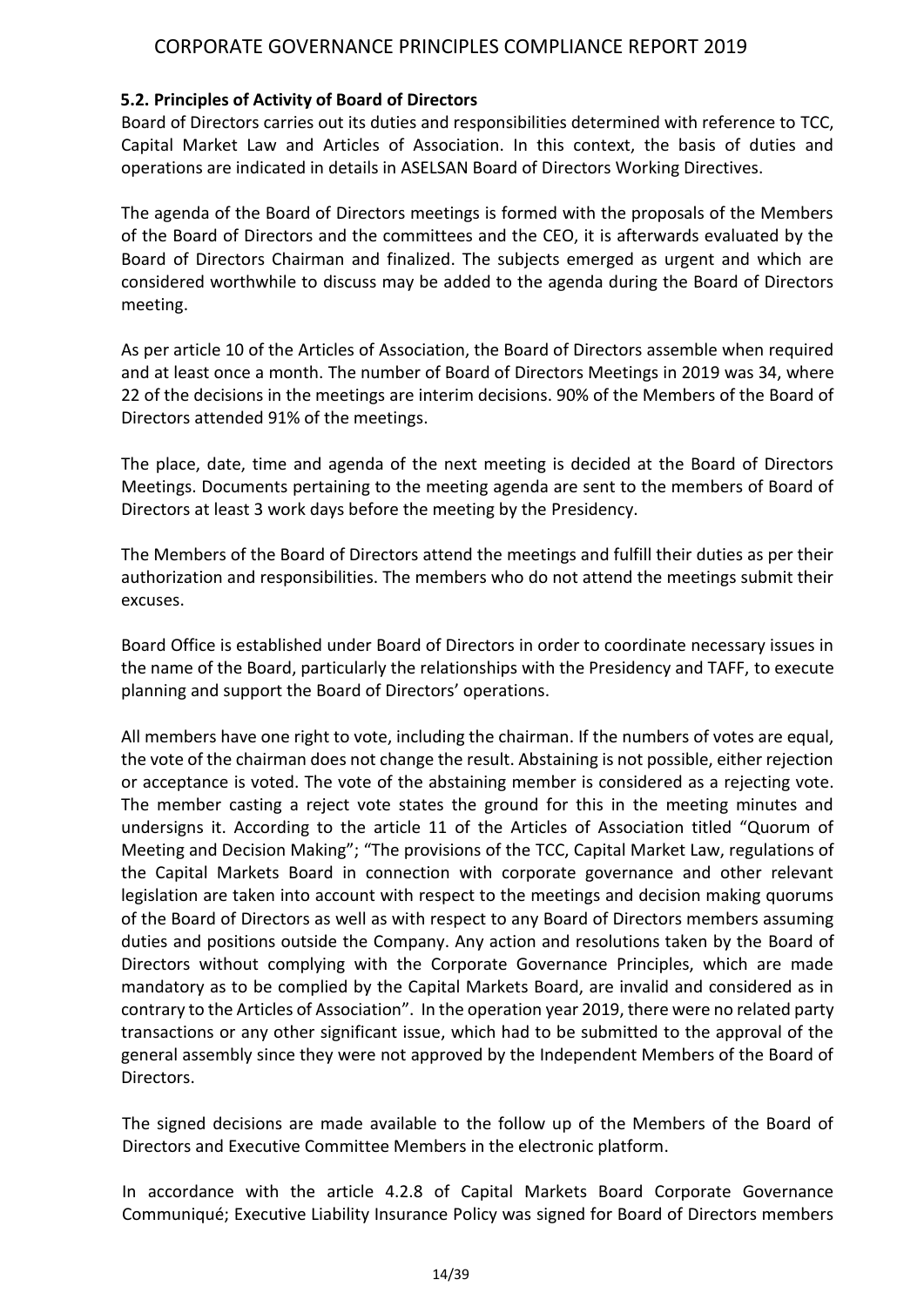## **5.2. Principles of Activity of Board of Directors**

Board of Directors carries out its duties and responsibilities determined with reference to TCC, Capital Market Law and Articles of Association. In this context, the basis of duties and operations are indicated in details in ASELSAN Board of Directors Working Directives.

The agenda of the Board of Directors meetings is formed with the proposals of the Members of the Board of Directors and the committees and the CEO, it is afterwards evaluated by the Board of Directors Chairman and finalized. The subjects emerged as urgent and which are considered worthwhile to discuss may be added to the agenda during the Board of Directors meeting.

As per article 10 of the Articles of Association, the Board of Directors assemble when required and at least once a month. The number of Board of Directors Meetings in 2019 was 34, where 22 of the decisions in the meetings are interim decisions. 90% of the Members of the Board of Directors attended 91% of the meetings.

The place, date, time and agenda of the next meeting is decided at the Board of Directors Meetings. Documents pertaining to the meeting agenda are sent to the members of Board of Directors at least 3 work days before the meeting by the Presidency.

The Members of the Board of Directors attend the meetings and fulfill their duties as per their authorization and responsibilities. The members who do not attend the meetings submit their excuses.

Board Office is established under Board of Directors in order to coordinate necessary issues in the name of the Board, particularly the relationships with the Presidency and TAFF, to execute planning and support the Board of Directors' operations.

All members have one right to vote, including the chairman. If the numbers of votes are equal, the vote of the chairman does not change the result. Abstaining is not possible, either rejection or acceptance is voted. The vote of the abstaining member is considered as a rejecting vote. The member casting a reject vote states the ground for this in the meeting minutes and undersigns it. According to the article 11 of the Articles of Association titled "Quorum of Meeting and Decision Making"; "The provisions of the TCC, Capital Market Law, regulations of the Capital Markets Board in connection with corporate governance and other relevant legislation are taken into account with respect to the meetings and decision making quorums of the Board of Directors as well as with respect to any Board of Directors members assuming duties and positions outside the Company. Any action and resolutions taken by the Board of Directors without complying with the Corporate Governance Principles, which are made mandatory as to be complied by the Capital Markets Board, are invalid and considered as in contrary to the Articles of Association". In the operation year 2019, there were no related party transactions or any other significant issue, which had to be submitted to the approval of the general assembly since they were not approved by the Independent Members of the Board of Directors.

The signed decisions are made available to the follow up of the Members of the Board of Directors and Executive Committee Members in the electronic platform.

In accordance with the article 4.2.8 of Capital Markets Board Corporate Governance Communiqué; Executive Liability Insurance Policy was signed for Board of Directors members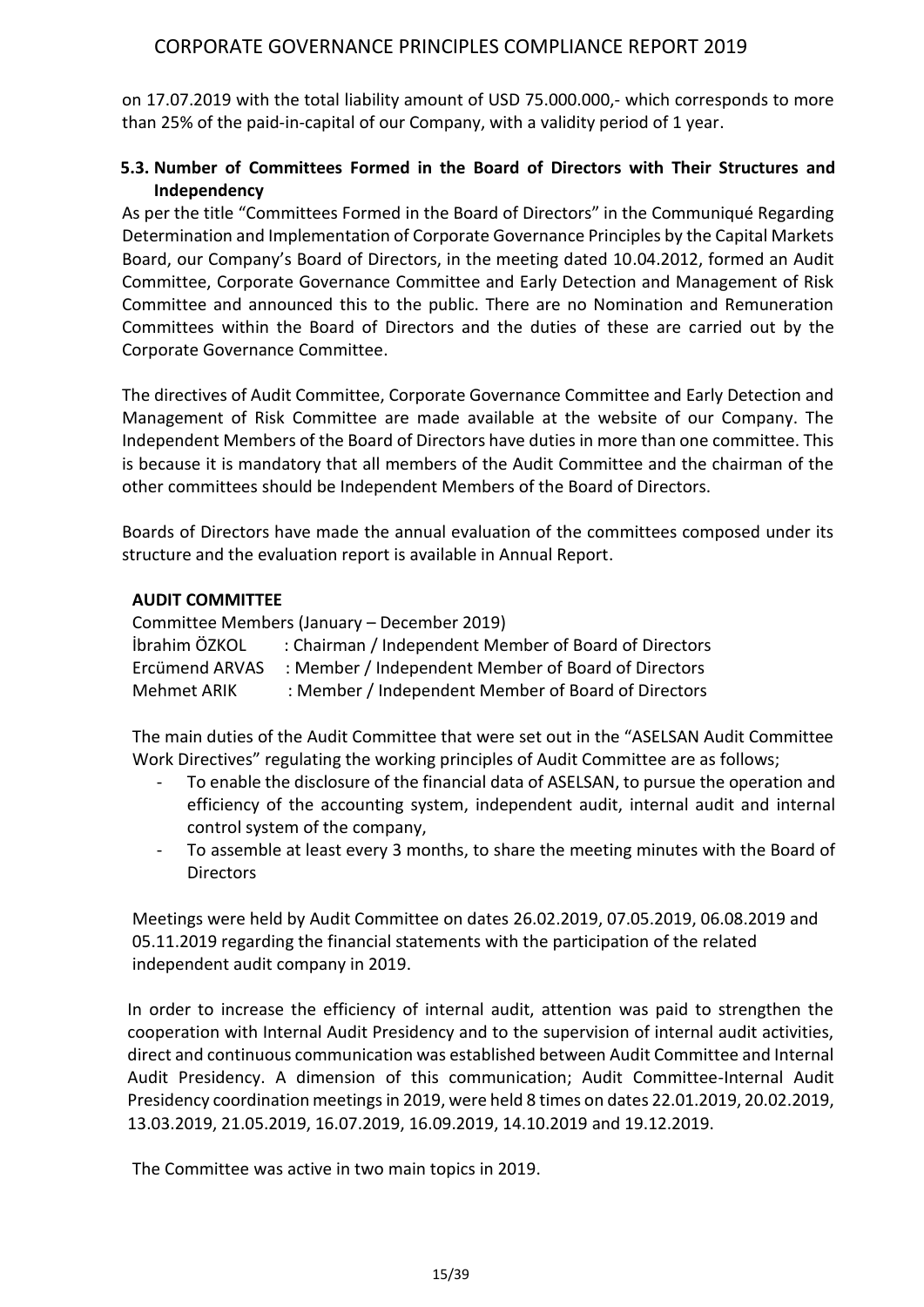on 17.07.2019 with the total liability amount of USD 75.000.000,- which corresponds to more than 25% of the paid-in-capital of our Company, with a validity period of 1 year.

## **5.3. Number of Committees Formed in the Board of Directors with Their Structures and Independency**

As per the title "Committees Formed in the Board of Directors" in the Communiqué Regarding Determination and Implementation of Corporate Governance Principles by the Capital Markets Board, our Company's Board of Directors, in the meeting dated 10.04.2012, formed an Audit Committee, Corporate Governance Committee and Early Detection and Management of Risk Committee and announced this to the public. There are no Nomination and Remuneration Committees within the Board of Directors and the duties of these are carried out by the Corporate Governance Committee.

The directives of Audit Committee, Corporate Governance Committee and Early Detection and Management of Risk Committee are made available at the website of our Company. The Independent Members of the Board of Directors have duties in more than one committee. This is because it is mandatory that all members of the Audit Committee and the chairman of the other committees should be Independent Members of the Board of Directors.

Boards of Directors have made the annual evaluation of the committees composed under its structure and the evaluation report is available in Annual Report.

#### **AUDIT COMMITTEE**

Committee Members (January – December 2019) İbrahim ÖZKOL : Chairman / Independent Member of Board of Directors Ercümend ARVAS : Member / Independent Member of Board of Directors Mehmet ARIK : Member / Independent Member of Board of Directors

The main duties of the Audit Committee that were set out in the "ASELSAN Audit Committee Work Directives" regulating the working principles of Audit Committee are as follows;

- To enable the disclosure of the financial data of ASELSAN, to pursue the operation and efficiency of the accounting system, independent audit, internal audit and internal control system of the company,
- To assemble at least every 3 months, to share the meeting minutes with the Board of **Directors**

Meetings were held by Audit Committee on dates 26.02.2019, 07.05.2019, 06.08.2019 and 05.11.2019 regarding the financial statements with the participation of the related independent audit company in 2019.

In order to increase the efficiency of internal audit, attention was paid to strengthen the cooperation with Internal Audit Presidency and to the supervision of internal audit activities, direct and continuous communication was established between Audit Committee and Internal Audit Presidency. A dimension of this communication; Audit Committee-Internal Audit Presidency coordination meetings in 2019, were held 8 times on dates 22.01.2019, 20.02.2019, 13.03.2019, 21.05.2019, 16.07.2019, 16.09.2019, 14.10.2019 and 19.12.2019.

The Committee was active in two main topics in 2019.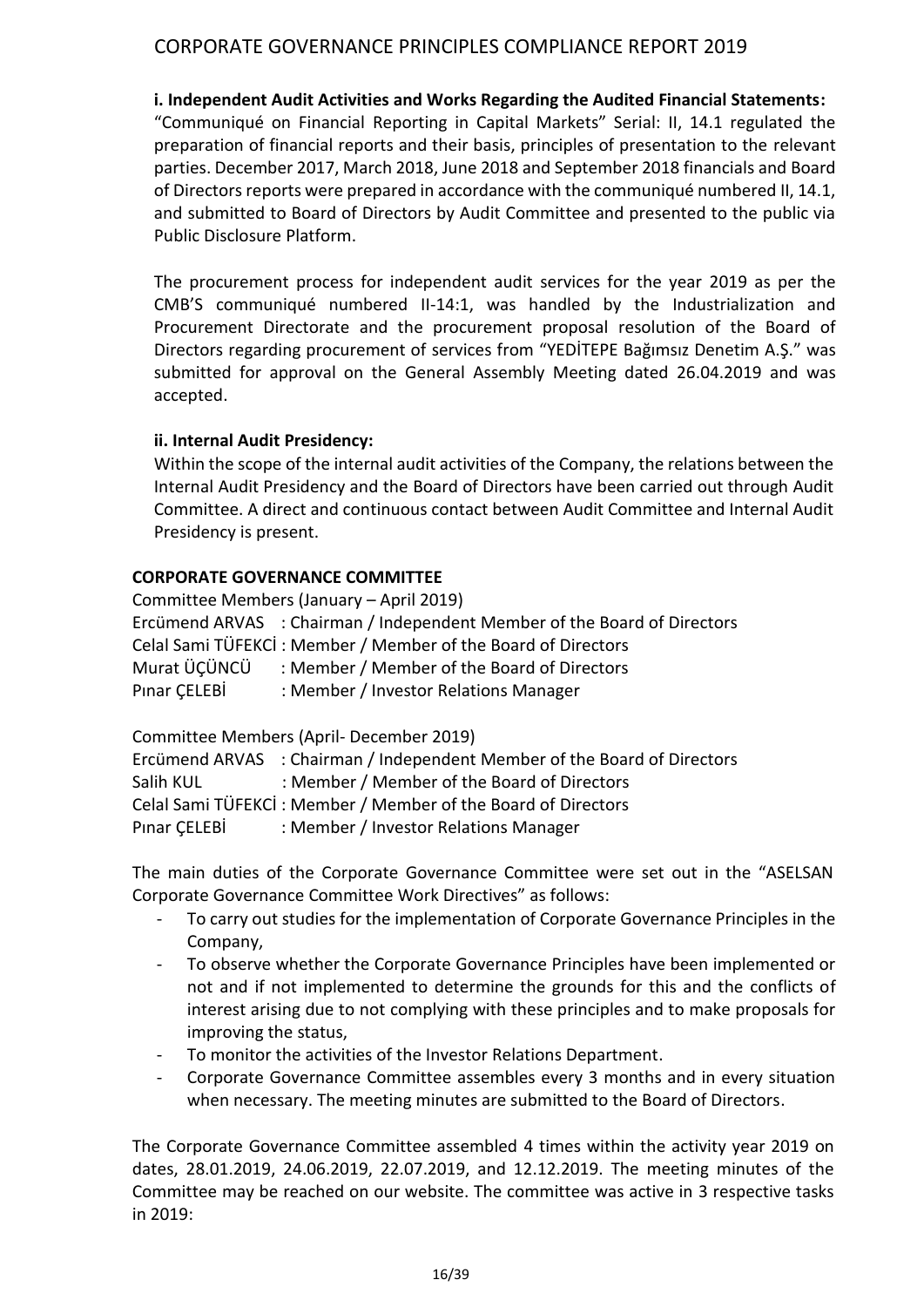#### **i. Independent Audit Activities and Works Regarding the Audited Financial Statements:**

"Communiqué on Financial Reporting in Capital Markets" Serial: II, 14.1 regulated the preparation of financial reports and their basis, principles of presentation to the relevant parties. December 2017, March 2018, June 2018 and September 2018 financials and Board of Directors reports were prepared in accordance with the communiqué numbered II, 14.1, and submitted to Board of Directors by Audit Committee and presented to the public via Public Disclosure Platform.

The procurement process for independent audit services for the year 2019 as per the CMB'S communiqué numbered II-14:1, was handled by the Industrialization and Procurement Directorate and the procurement proposal resolution of the Board of Directors regarding procurement of services from "YEDİTEPE Bağımsız Denetim A.Ş." was submitted for approval on the General Assembly Meeting dated 26.04.2019 and was accepted.

#### **ii. Internal Audit Presidency:**

Within the scope of the internal audit activities of the Company, the relations between the Internal Audit Presidency and the Board of Directors have been carried out through Audit Committee. A direct and continuous contact between Audit Committee and Internal Audit Presidency is present.

#### **CORPORATE GOVERNANCE COMMITTEE**

Committee Members (January – April 2019) Ercümend ARVAS : Chairman / Independent Member of the Board of Directors Celal Sami TÜFEKCİ : Member / Member of the Board of Directors Murat ÜÇÜNCÜ : Member / Member of the Board of Directors Pınar ÇELEBİ : Member / Investor Relations Manager

Committee Members (April- December 2019)

|              | Ercümend ARVAS : Chairman / Independent Member of the Board of Directors |
|--------------|--------------------------------------------------------------------------|
| Salih KUL    | : Member / Member of the Board of Directors                              |
|              | Celal Sami TÜFEKCİ: Member / Member of the Board of Directors            |
| Pinar CELEBİ | : Member / Investor Relations Manager                                    |

The main duties of the Corporate Governance Committee were set out in the "ASELSAN Corporate Governance Committee Work Directives" as follows:

- To carry out studies for the implementation of Corporate Governance Principles in the Company,
- To observe whether the Corporate Governance Principles have been implemented or not and if not implemented to determine the grounds for this and the conflicts of interest arising due to not complying with these principles and to make proposals for improving the status,
- To monitor the activities of the Investor Relations Department.
- Corporate Governance Committee assembles every 3 months and in every situation when necessary. The meeting minutes are submitted to the Board of Directors.

The Corporate Governance Committee assembled 4 times within the activity year 2019 on dates, 28.01.2019, 24.06.2019, 22.07.2019, and 12.12.2019. The meeting minutes of the Committee may be reached on our website. The committee was active in 3 respective tasks in 2019: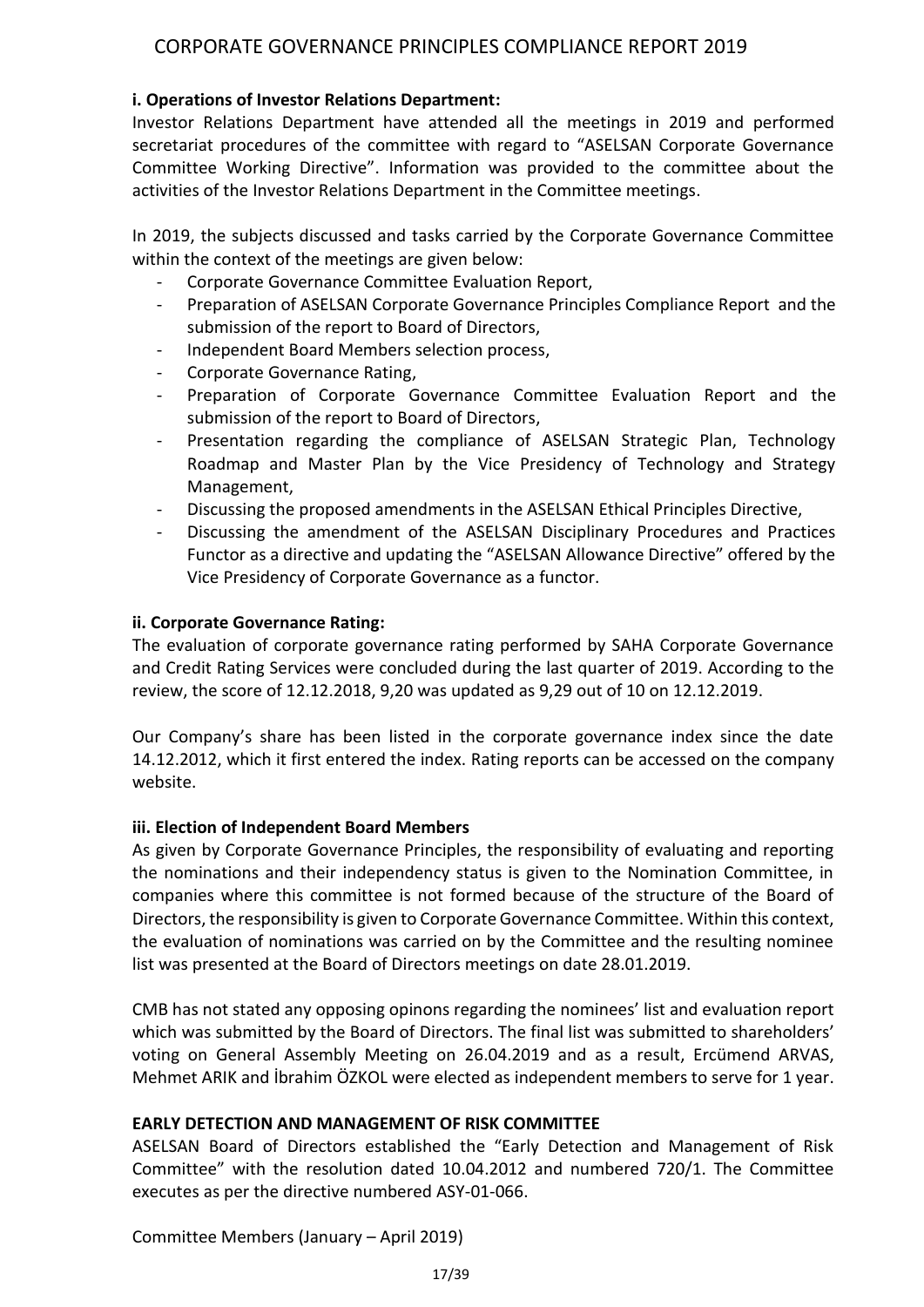## **i. Operations of Investor Relations Department:**

Investor Relations Department have attended all the meetings in 2019 and performed secretariat procedures of the committee with regard to "ASELSAN Corporate Governance Committee Working Directive". Information was provided to the committee about the activities of the Investor Relations Department in the Committee meetings.

In 2019, the subjects discussed and tasks carried by the Corporate Governance Committee within the context of the meetings are given below:

- Corporate Governance Committee Evaluation Report,
- Preparation of ASELSAN Corporate Governance Principles Compliance Report and the submission of the report to Board of Directors,
- Independent Board Members selection process,
- Corporate Governance Rating.
- Preparation of Corporate Governance Committee Evaluation Report and the submission of the report to Board of Directors,
- Presentation regarding the compliance of ASELSAN Strategic Plan, Technology Roadmap and Master Plan by the Vice Presidency of Technology and Strategy Management,
- Discussing the proposed amendments in the ASELSAN Ethical Principles Directive,
- Discussing the amendment of the ASELSAN Disciplinary Procedures and Practices Functor as a directive and updating the "ASELSAN Allowance Directive" offered by the Vice Presidency of Corporate Governance as a functor.

## **ii. Corporate Governance Rating:**

The evaluation of corporate governance rating performed by SAHA Corporate Governance and Credit Rating Services were concluded during the last quarter of 2019. According to the review, the score of 12.12.2018, 9,20 was updated as 9,29 out of 10 on 12.12.2019.

Our Company's share has been listed in the corporate governance index since the date 14.12.2012, which it first entered the index. Rating reports can be accessed on the company website.

## **iii. Election of Independent Board Members**

As given by Corporate Governance Principles, the responsibility of evaluating and reporting the nominations and their independency status is given to the Nomination Committee, in companies where this committee is not formed because of the structure of the Board of Directors, the responsibility is given to Corporate Governance Committee. Within this context, the evaluation of nominations was carried on by the Committee and the resulting nominee list was presented at the Board of Directors meetings on date 28.01.2019.

CMB has not stated any opposing opinons regarding the nominees' list and evaluation report which was submitted by the Board of Directors. The final list was submitted to shareholders' voting on General Assembly Meeting on 26.04.2019 and as a result, Ercümend ARVAS, Mehmet ARIK and İbrahim ÖZKOL were elected as independent members to serve for 1 year.

## **EARLY DETECTION AND MANAGEMENT OF RISK COMMITTEE**

ASELSAN Board of Directors established the "Early Detection and Management of Risk Committee" with the resolution dated 10.04.2012 and numbered 720/1. The Committee executes as per the directive numbered ASY-01-066.

Committee Members (January – April 2019)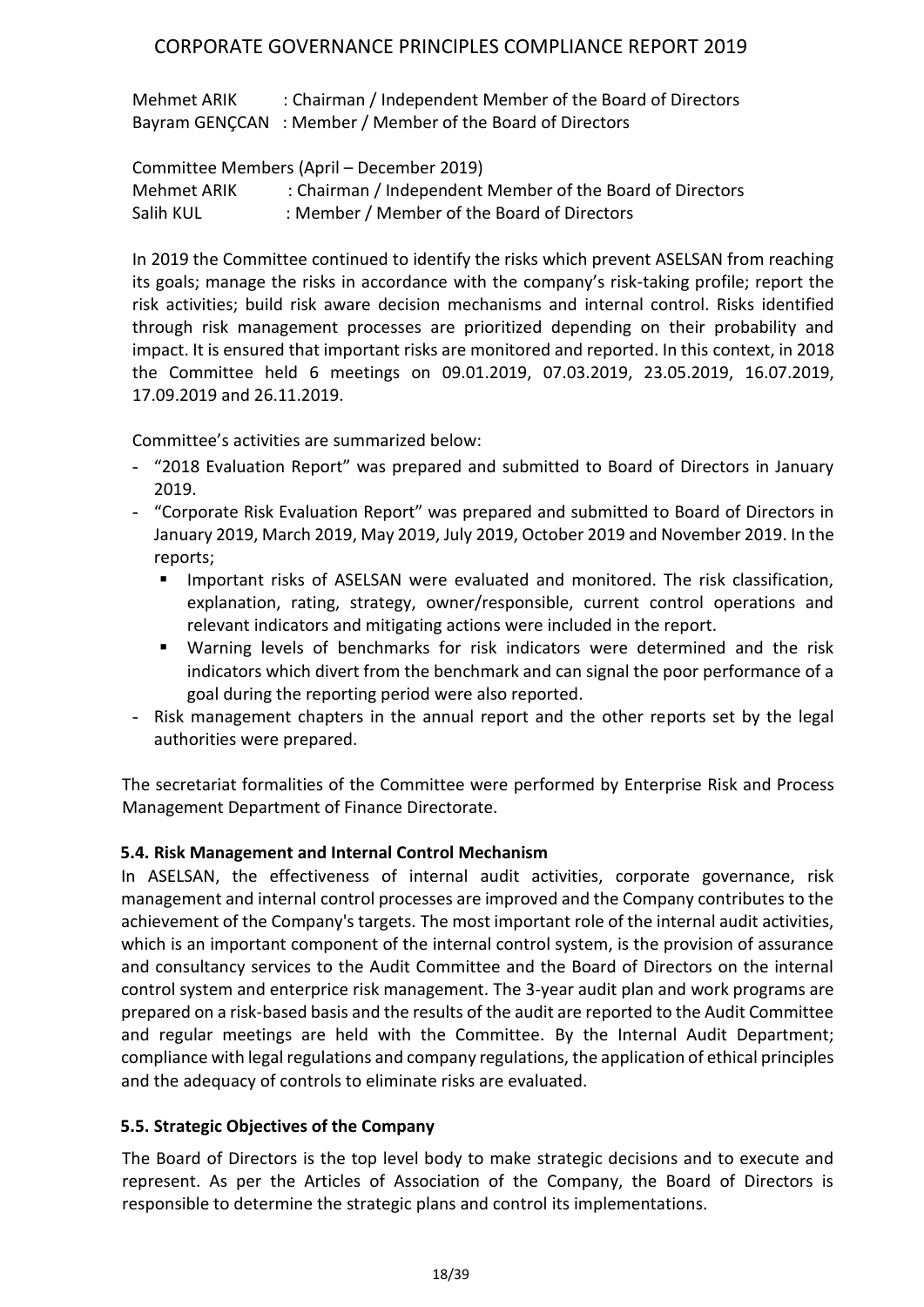Mehmet ARIK : Chairman / Independent Member of the Board of Directors Bayram GENÇCAN : Member / Member of the Board of Directors

Committee Members (April – December 2019)

Mehmet ARIK : Chairman / Independent Member of the Board of Directors Salih KUL : Member / Member of the Board of Directors

In 2019 the Committee continued to identify the risks which prevent ASELSAN from reaching its goals; manage the risks in accordance with the company's risk-taking profile; report the risk activities; build risk aware decision mechanisms and internal control. Risks identified through risk management processes are prioritized depending on their probability and impact. It is ensured that important risks are monitored and reported. In this context, in 2018 the Committee held 6 meetings on 09.01.2019, 07.03.2019, 23.05.2019, 16.07.2019, 17.09.2019 and 26.11.2019.

Committee's activities are summarized below:

- "2018 Evaluation Report" was prepared and submitted to Board of Directors in January 2019.
- "Corporate Risk Evaluation Report" was prepared and submitted to Board of Directors in January 2019, March 2019, May 2019, July 2019, October 2019 and November 2019. In the reports;
	- **Important risks of ASELSAN were evaluated and monitored. The risk classification,** explanation, rating, strategy, owner/responsible, current control operations and relevant indicators and mitigating actions were included in the report.
	- Warning levels of benchmarks for risk indicators were determined and the risk indicators which divert from the benchmark and can signal the poor performance of a goal during the reporting period were also reported.
- Risk management chapters in the annual report and the other reports set by the legal authorities were prepared.

The secretariat formalities of the Committee were performed by Enterprise Risk and Process Management Department of Finance Directorate.

## **5.4. Risk Management and Internal Control Mechanism**

In ASELSAN, the effectiveness of internal audit activities, corporate governance, risk management and internal control processes are improved and the Company contributes to the achievement of the Company's targets. The most important role of the internal audit activities, which is an important component of the internal control system, is the provision of assurance and consultancy services to the Audit Committee and the Board of Directors on the internal control system and enterprice risk management. The 3-year audit plan and work programs are prepared on a risk-based basis and the results of the audit are reported to the Audit Committee and regular meetings are held with the Committee. By the Internal Audit Department; compliance with legal regulations and company regulations, the application of ethical principles and the adequacy of controls to eliminate risks are evaluated.

## **5.5. Strategic Objectives of the Company**

The Board of Directors is the top level body to make strategic decisions and to execute and represent. As per the Articles of Association of the Company, the Board of Directors is responsible to determine the strategic plans and control its implementations.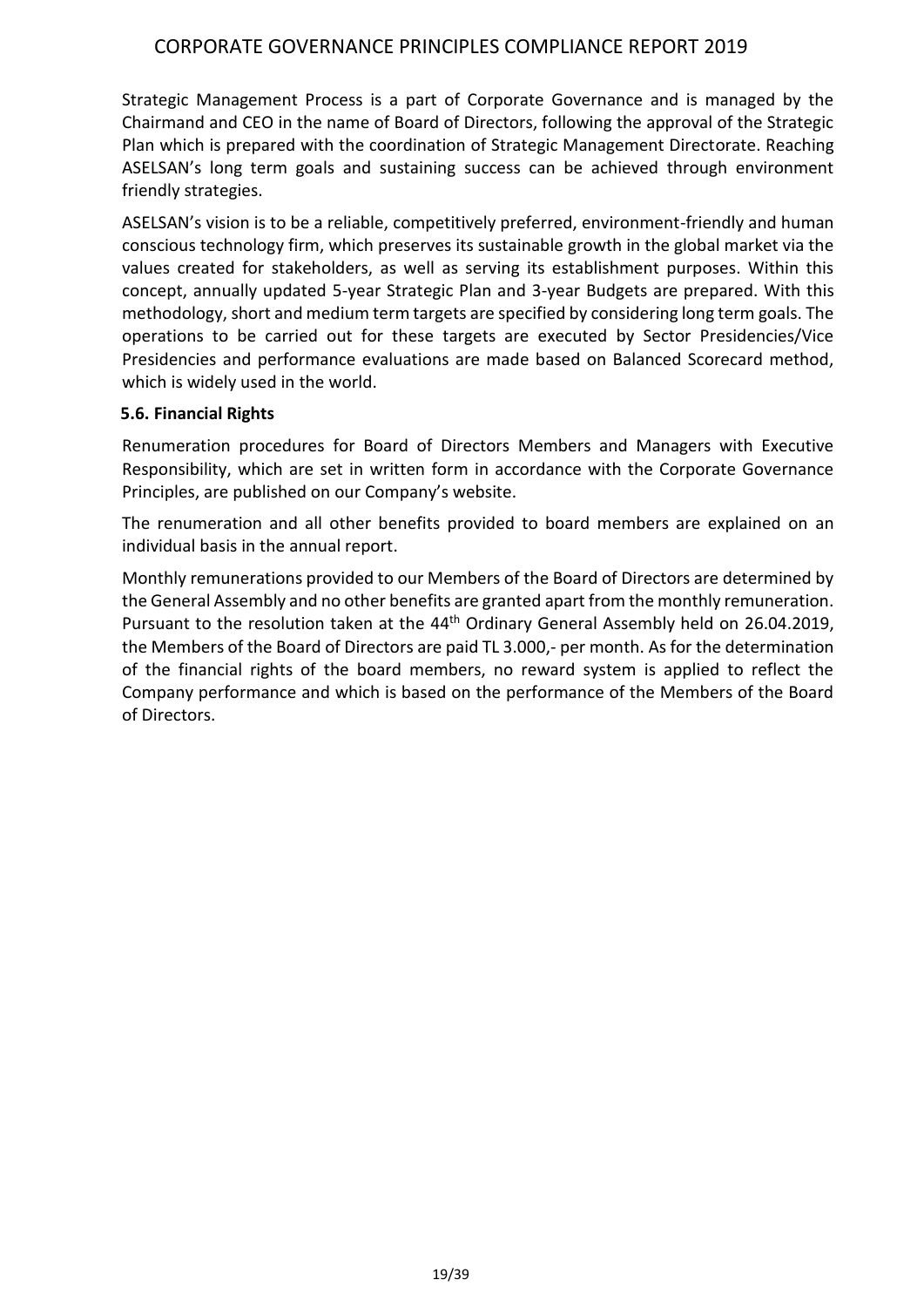Strategic Management Process is a part of Corporate Governance and is managed by the Chairmand and CEO in the name of Board of Directors, following the approval of the Strategic Plan which is prepared with the coordination of Strategic Management Directorate. Reaching ASELSAN's long term goals and sustaining success can be achieved through environment friendly strategies.

ASELSAN's vision is to be a reliable, competitively preferred, environment-friendly and human conscious technology firm, which preserves its sustainable growth in the global market via the values created for stakeholders, as well as serving its establishment purposes. Within this concept, annually updated 5-year Strategic Plan and 3-year Budgets are prepared. With this methodology, short and medium term targets are specified by considering long term goals. The operations to be carried out for these targets are executed by Sector Presidencies/Vice Presidencies and performance evaluations are made based on Balanced Scorecard method, which is widely used in the world.

#### **5.6. Financial Rights**

Renumeration procedures for Board of Directors Members and Managers with Executive Responsibility, which are set in written form in accordance with the Corporate Governance Principles, are published on our Company's website.

The renumeration and all other benefits provided to board members are explained on an individual basis in the annual report.

Monthly remunerations provided to our Members of the Board of Directors are determined by the General Assembly and no other benefits are granted apart from the monthly remuneration. Pursuant to the resolution taken at the 44<sup>th</sup> Ordinary General Assembly held on 26.04.2019, the Members of the Board of Directors are paid TL 3.000,- per month. As for the determination of the financial rights of the board members, no reward system is applied to reflect the Company performance and which is based on the performance of the Members of the Board of Directors.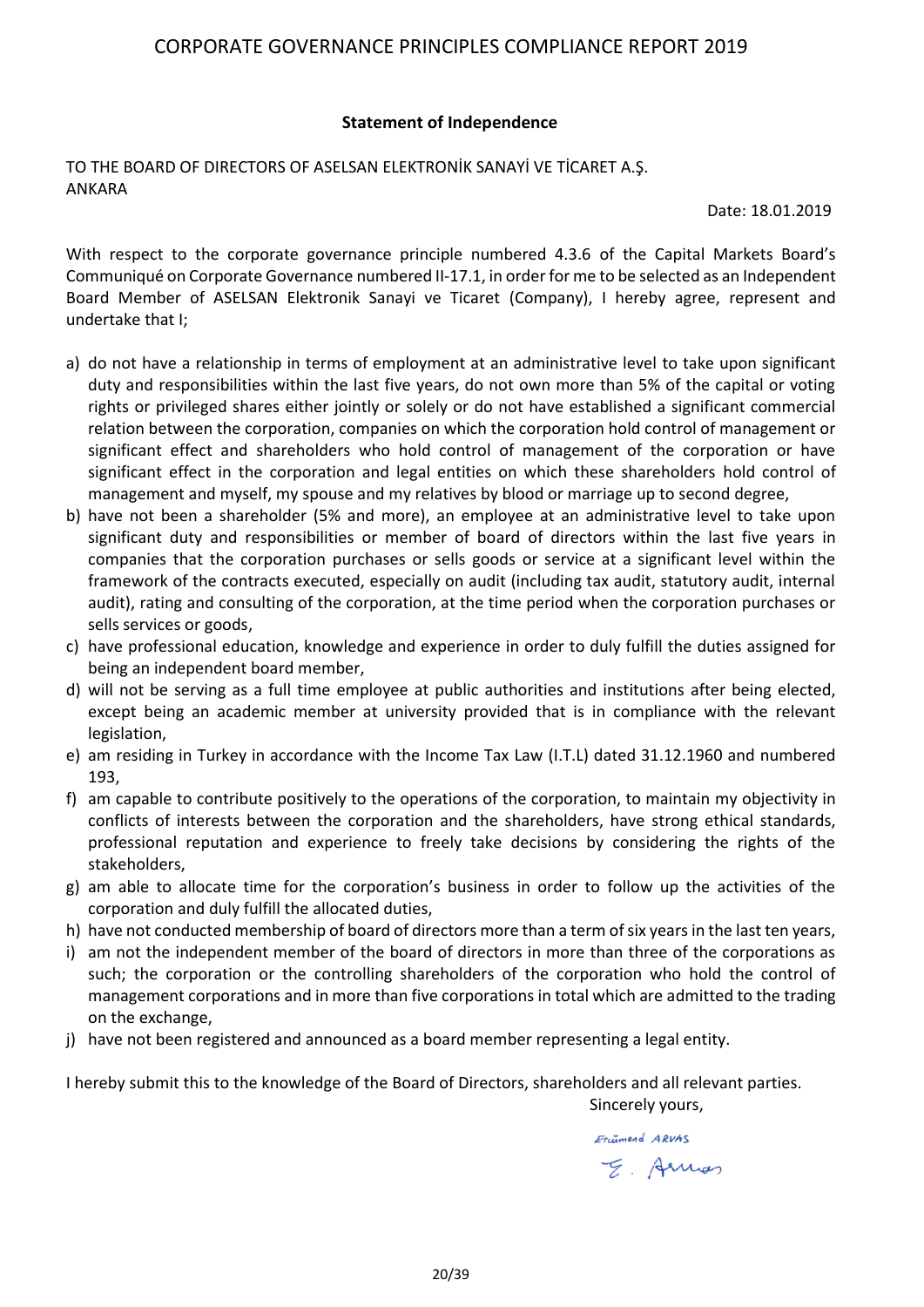#### **Statement of Independence**

#### TO THE BOARD OF DIRECTORS OF ASELSAN ELEKTRONİK SANAYİ VE TİCARET A.Ş. ANKARA

Date: 18.01.2019

With respect to the corporate governance principle numbered 4.3.6 of the Capital Markets Board's Communiqué on Corporate Governance numbered II-17.1, in order for me to be selected as an Independent Board Member of ASELSAN Elektronik Sanayi ve Ticaret (Company), I hereby agree, represent and undertake that I;

- a) do not have a relationship in terms of employment at an administrative level to take upon significant duty and responsibilities within the last five years, do not own more than 5% of the capital or voting rights or privileged shares either jointly or solely or do not have established a significant commercial relation between the corporation, companies on which the corporation hold control of management or significant effect and shareholders who hold control of management of the corporation or have significant effect in the corporation and legal entities on which these shareholders hold control of management and myself, my spouse and my relatives by blood or marriage up to second degree,
- b) have not been a shareholder (5% and more), an employee at an administrative level to take upon significant duty and responsibilities or member of board of directors within the last five years in companies that the corporation purchases or sells goods or service at a significant level within the framework of the contracts executed, especially on audit (including tax audit, statutory audit, internal audit), rating and consulting of the corporation, at the time period when the corporation purchases or sells services or goods,
- c) have professional education, knowledge and experience in order to duly fulfill the duties assigned for being an independent board member,
- d) will not be serving as a full time employee at public authorities and institutions after being elected, except being an academic member at university provided that is in compliance with the relevant legislation,
- e) am residing in Turkey in accordance with the Income Tax Law (I.T.L) dated 31.12.1960 and numbered 193,
- f) am capable to contribute positively to the operations of the corporation, to maintain my objectivity in conflicts of interests between the corporation and the shareholders, have strong ethical standards, professional reputation and experience to freely take decisions by considering the rights of the stakeholders,
- g) am able to allocate time for the corporation's business in order to follow up the activities of the corporation and duly fulfill the allocated duties,
- h) have not conducted membership of board of directors more than a term of six years in the last ten years,
- i) am not the independent member of the board of directors in more than three of the corporations as such; the corporation or the controlling shareholders of the corporation who hold the control of management corporations and in more than five corporations in total which are admitted to the trading on the exchange,
- j) have not been registered and announced as a board member representing a legal entity.

I hereby submit this to the knowledge of the Board of Directors, shareholders and all relevant parties.

Sincerely yours,

Erinnend ARVAS

E. Armos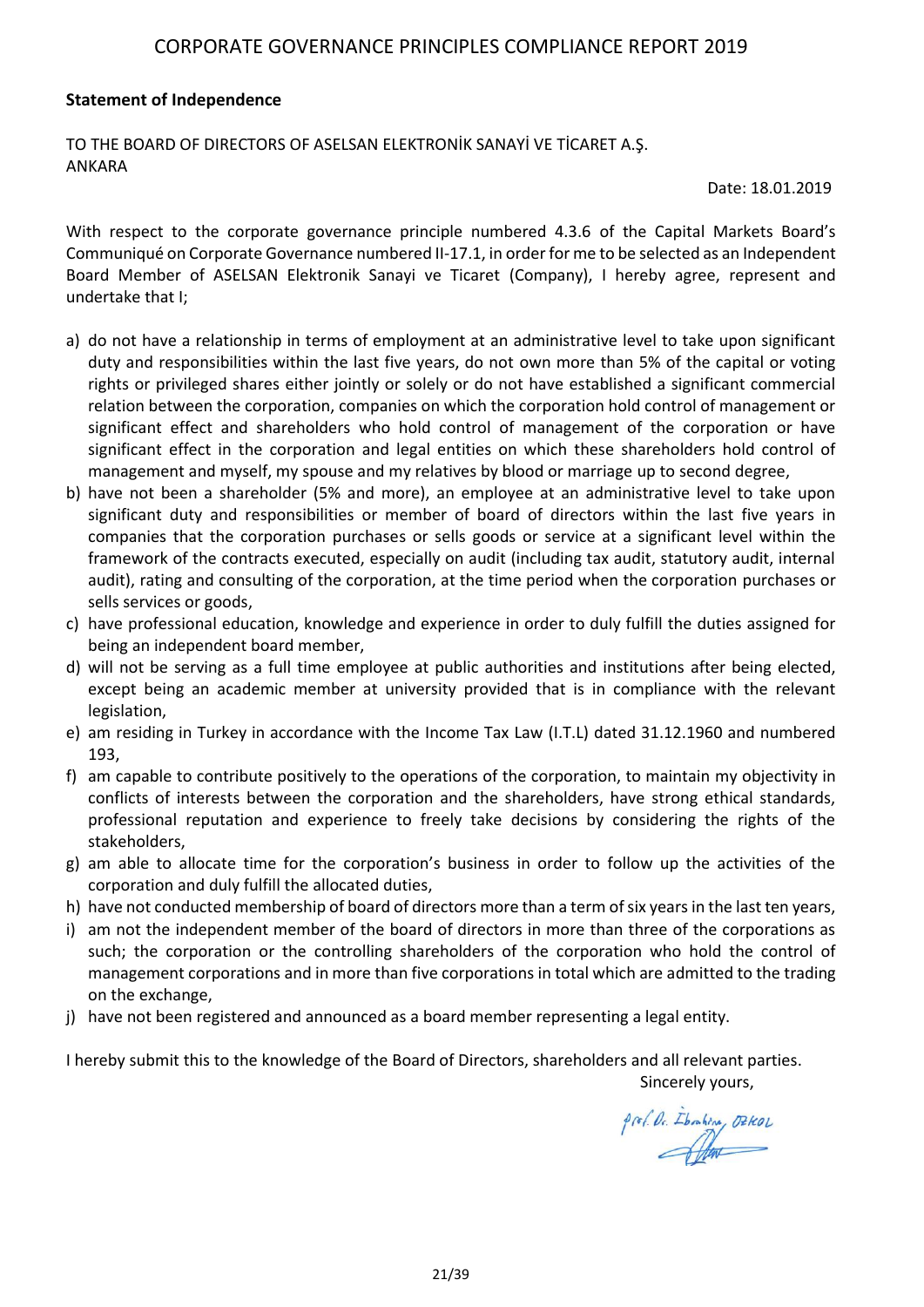#### **Statement of Independence**

TO THE BOARD OF DIRECTORS OF ASELSAN ELEKTRONİK SANAYİ VE TİCARET A.Ş. ANKARA

Date: 18.01.2019

With respect to the corporate governance principle numbered 4.3.6 of the Capital Markets Board's Communiqué on Corporate Governance numbered II-17.1, in order for me to be selected as an Independent Board Member of ASELSAN Elektronik Sanayi ve Ticaret (Company), I hereby agree, represent and undertake that I;

- a) do not have a relationship in terms of employment at an administrative level to take upon significant duty and responsibilities within the last five years, do not own more than 5% of the capital or voting rights or privileged shares either jointly or solely or do not have established a significant commercial relation between the corporation, companies on which the corporation hold control of management or significant effect and shareholders who hold control of management of the corporation or have significant effect in the corporation and legal entities on which these shareholders hold control of management and myself, my spouse and my relatives by blood or marriage up to second degree,
- b) have not been a shareholder (5% and more), an employee at an administrative level to take upon significant duty and responsibilities or member of board of directors within the last five years in companies that the corporation purchases or sells goods or service at a significant level within the framework of the contracts executed, especially on audit (including tax audit, statutory audit, internal audit), rating and consulting of the corporation, at the time period when the corporation purchases or sells services or goods,
- c) have professional education, knowledge and experience in order to duly fulfill the duties assigned for being an independent board member,
- d) will not be serving as a full time employee at public authorities and institutions after being elected, except being an academic member at university provided that is in compliance with the relevant legislation,
- e) am residing in Turkey in accordance with the Income Tax Law (I.T.L) dated 31.12.1960 and numbered 193,
- f) am capable to contribute positively to the operations of the corporation, to maintain my objectivity in conflicts of interests between the corporation and the shareholders, have strong ethical standards, professional reputation and experience to freely take decisions by considering the rights of the stakeholders,
- g) am able to allocate time for the corporation's business in order to follow up the activities of the corporation and duly fulfill the allocated duties,
- h) have not conducted membership of board of directors more than a term of six years in the last ten years,
- i) am not the independent member of the board of directors in more than three of the corporations as such; the corporation or the controlling shareholders of the corporation who hold the control of management corporations and in more than five corporations in total which are admitted to the trading on the exchange,
- j) have not been registered and announced as a board member representing a legal entity.

I hereby submit this to the knowledge of the Board of Directors, shareholders and all relevant parties. Sincerely yours,

prof. Dr. Ibrahim, DZKOL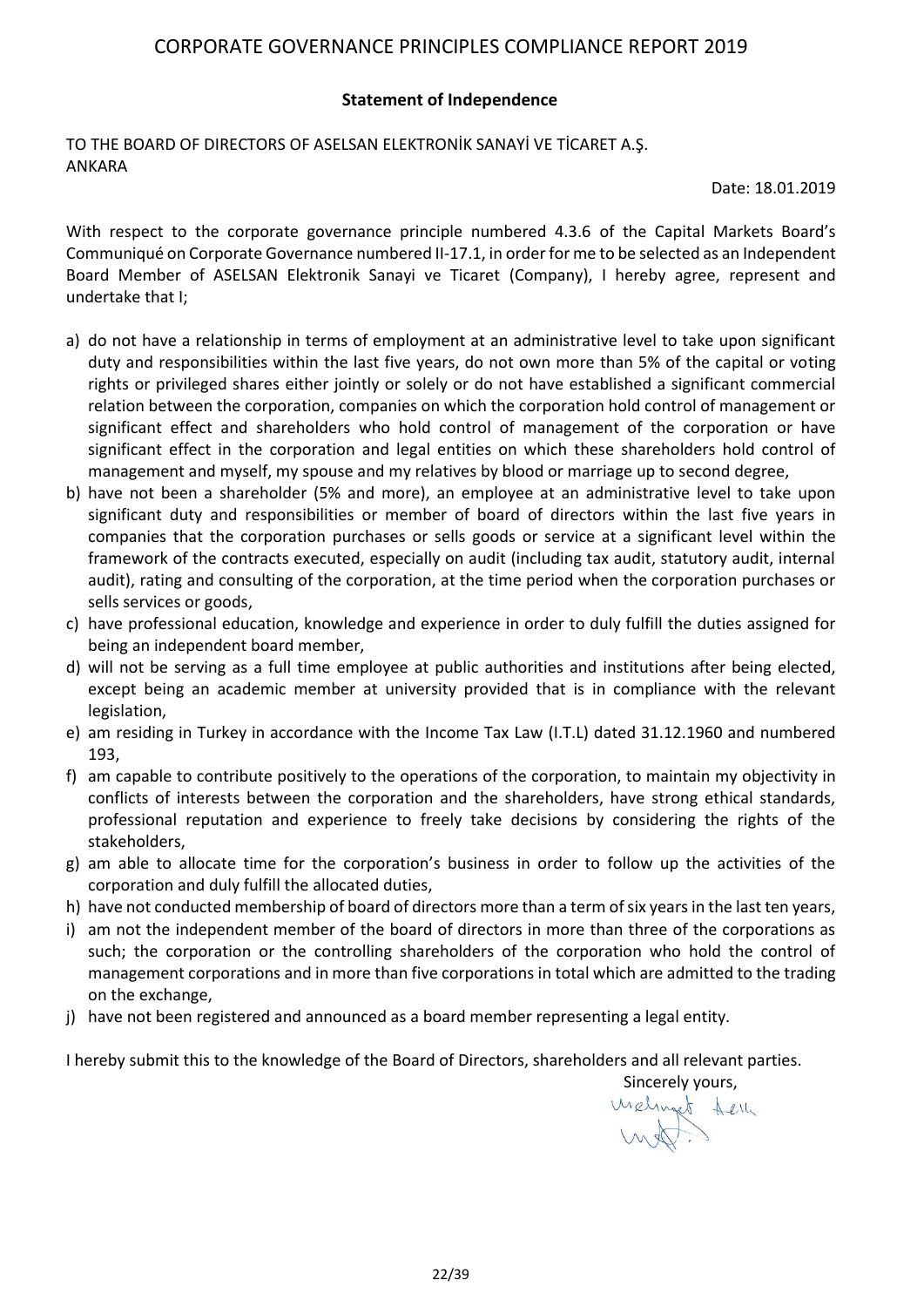#### **Statement of Independence**

TO THE BOARD OF DIRECTORS OF ASELSAN ELEKTRONİK SANAYİ VE TİCARET A.Ş. ANKARA

Date: 18.01.2019

With respect to the corporate governance principle numbered 4.3.6 of the Capital Markets Board's Communiqué on Corporate Governance numbered II-17.1, in order for me to be selected as an Independent Board Member of ASELSAN Elektronik Sanayi ve Ticaret (Company), I hereby agree, represent and undertake that I;

- a) do not have a relationship in terms of employment at an administrative level to take upon significant duty and responsibilities within the last five years, do not own more than 5% of the capital or voting rights or privileged shares either jointly or solely or do not have established a significant commercial relation between the corporation, companies on which the corporation hold control of management or significant effect and shareholders who hold control of management of the corporation or have significant effect in the corporation and legal entities on which these shareholders hold control of management and myself, my spouse and my relatives by blood or marriage up to second degree,
- b) have not been a shareholder (5% and more), an employee at an administrative level to take upon significant duty and responsibilities or member of board of directors within the last five years in companies that the corporation purchases or sells goods or service at a significant level within the framework of the contracts executed, especially on audit (including tax audit, statutory audit, internal audit), rating and consulting of the corporation, at the time period when the corporation purchases or sells services or goods,
- c) have professional education, knowledge and experience in order to duly fulfill the duties assigned for being an independent board member,
- d) will not be serving as a full time employee at public authorities and institutions after being elected, except being an academic member at university provided that is in compliance with the relevant legislation,
- e) am residing in Turkey in accordance with the Income Tax Law (I.T.L) dated 31.12.1960 and numbered 193,
- f) am capable to contribute positively to the operations of the corporation, to maintain my objectivity in conflicts of interests between the corporation and the shareholders, have strong ethical standards, professional reputation and experience to freely take decisions by considering the rights of the stakeholders,
- g) am able to allocate time for the corporation's business in order to follow up the activities of the corporation and duly fulfill the allocated duties,
- h) have not conducted membership of board of directors more than a term of six years in the last ten years,
- i) am not the independent member of the board of directors in more than three of the corporations as such; the corporation or the controlling shareholders of the corporation who hold the control of management corporations and in more than five corporations in total which are admitted to the trading on the exchange,
- j) have not been registered and announced as a board member representing a legal entity.

I hereby submit this to the knowledge of the Board of Directors, shareholders and all relevant parties.

 Sincerely yours,uselinget them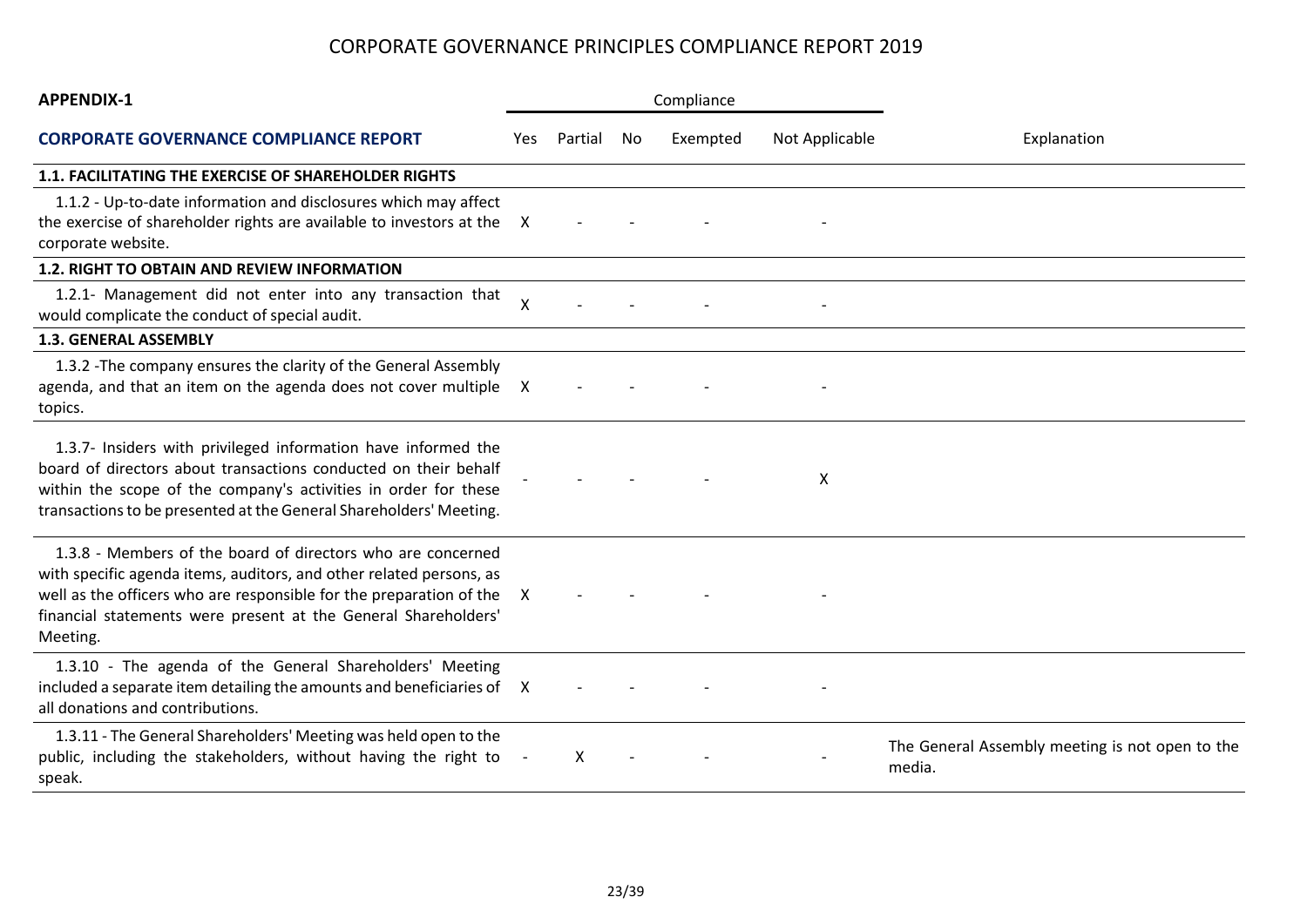| <b>APPENDIX-1</b>                                                                                                                                                                                                                                                                       | Compliance                |         |     |          |                |                                                           |
|-----------------------------------------------------------------------------------------------------------------------------------------------------------------------------------------------------------------------------------------------------------------------------------------|---------------------------|---------|-----|----------|----------------|-----------------------------------------------------------|
| <b>CORPORATE GOVERNANCE COMPLIANCE REPORT</b>                                                                                                                                                                                                                                           | Yes.                      | Partial | No. | Exempted | Not Applicable | Explanation                                               |
| <b>1.1. FACILITATING THE EXERCISE OF SHAREHOLDER RIGHTS</b>                                                                                                                                                                                                                             |                           |         |     |          |                |                                                           |
| 1.1.2 - Up-to-date information and disclosures which may affect<br>the exercise of shareholder rights are available to investors at the<br>corporate website.                                                                                                                           | X                         |         |     |          |                |                                                           |
| <b>1.2. RIGHT TO OBTAIN AND REVIEW INFORMATION</b>                                                                                                                                                                                                                                      |                           |         |     |          |                |                                                           |
| 1.2.1- Management did not enter into any transaction that<br>would complicate the conduct of special audit.                                                                                                                                                                             | $\boldsymbol{\mathsf{X}}$ |         |     |          |                |                                                           |
| 1.3. GENERAL ASSEMBLY                                                                                                                                                                                                                                                                   |                           |         |     |          |                |                                                           |
| 1.3.2 - The company ensures the clarity of the General Assembly<br>agenda, and that an item on the agenda does not cover multiple<br>topics.                                                                                                                                            | $\mathsf{X}$              |         |     |          |                |                                                           |
| 1.3.7- Insiders with privileged information have informed the<br>board of directors about transactions conducted on their behalf<br>within the scope of the company's activities in order for these<br>transactions to be presented at the General Shareholders' Meeting.               |                           |         |     |          | X              |                                                           |
| 1.3.8 - Members of the board of directors who are concerned<br>with specific agenda items, auditors, and other related persons, as<br>well as the officers who are responsible for the preparation of the<br>financial statements were present at the General Shareholders'<br>Meeting. | X                         |         |     |          |                |                                                           |
| 1.3.10 - The agenda of the General Shareholders' Meeting<br>included a separate item detailing the amounts and beneficiaries of X<br>all donations and contributions.                                                                                                                   |                           |         |     |          |                |                                                           |
| 1.3.11 - The General Shareholders' Meeting was held open to the<br>public, including the stakeholders, without having the right to<br>speak.                                                                                                                                            |                           | X       |     |          |                | The General Assembly meeting is not open to the<br>media. |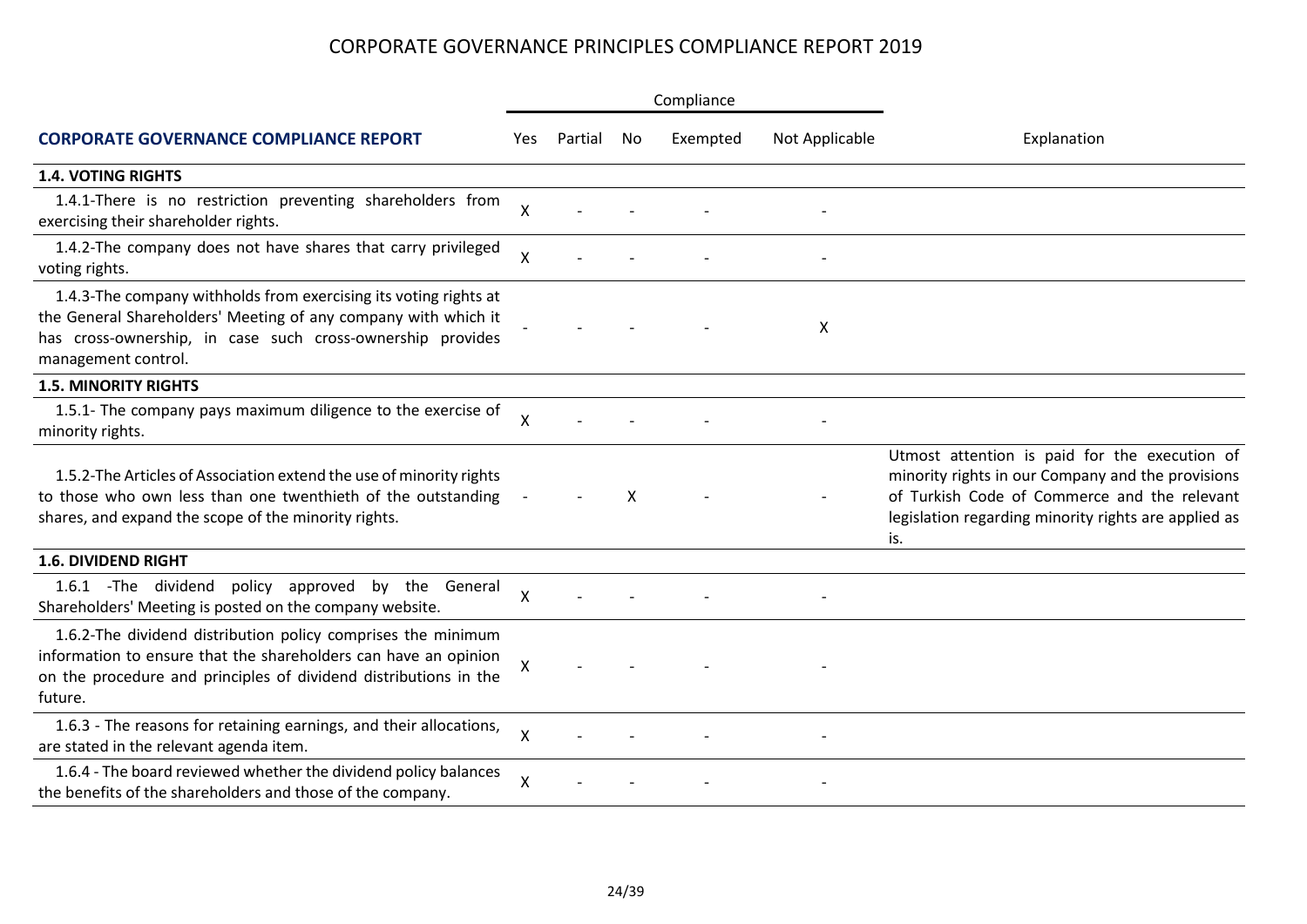|                                                                                                                                                                                                                         |                           |         |    | Compliance |                |                                                                                                                                                                                                                   |  |
|-------------------------------------------------------------------------------------------------------------------------------------------------------------------------------------------------------------------------|---------------------------|---------|----|------------|----------------|-------------------------------------------------------------------------------------------------------------------------------------------------------------------------------------------------------------------|--|
| <b>CORPORATE GOVERNANCE COMPLIANCE REPORT</b>                                                                                                                                                                           | Yes.                      | Partial | No | Exempted   | Not Applicable | Explanation                                                                                                                                                                                                       |  |
| <b>1.4. VOTING RIGHTS</b>                                                                                                                                                                                               |                           |         |    |            |                |                                                                                                                                                                                                                   |  |
| 1.4.1-There is no restriction preventing shareholders from<br>exercising their shareholder rights.                                                                                                                      | Χ                         |         |    |            |                |                                                                                                                                                                                                                   |  |
| 1.4.2-The company does not have shares that carry privileged<br>voting rights.                                                                                                                                          | Χ                         |         |    |            |                |                                                                                                                                                                                                                   |  |
| 1.4.3-The company withholds from exercising its voting rights at<br>the General Shareholders' Meeting of any company with which it<br>has cross-ownership, in case such cross-ownership provides<br>management control. |                           |         |    |            | X              |                                                                                                                                                                                                                   |  |
| <b>1.5. MINORITY RIGHTS</b>                                                                                                                                                                                             |                           |         |    |            |                |                                                                                                                                                                                                                   |  |
| 1.5.1- The company pays maximum diligence to the exercise of<br>minority rights.                                                                                                                                        | X                         |         |    |            |                |                                                                                                                                                                                                                   |  |
| 1.5.2-The Articles of Association extend the use of minority rights<br>to those who own less than one twenthieth of the outstanding<br>shares, and expand the scope of the minority rights.                             |                           |         | X  |            |                | Utmost attention is paid for the execution of<br>minority rights in our Company and the provisions<br>of Turkish Code of Commerce and the relevant<br>legislation regarding minority rights are applied as<br>is. |  |
| <b>1.6. DIVIDEND RIGHT</b>                                                                                                                                                                                              |                           |         |    |            |                |                                                                                                                                                                                                                   |  |
| policy approved by the General<br>1.6.1 - The dividend<br>Shareholders' Meeting is posted on the company website.                                                                                                       | $\sf X$                   |         |    |            |                |                                                                                                                                                                                                                   |  |
| 1.6.2-The dividend distribution policy comprises the minimum<br>information to ensure that the shareholders can have an opinion<br>on the procedure and principles of dividend distributions in the<br>future.          | $\boldsymbol{\mathsf{X}}$ |         |    |            |                |                                                                                                                                                                                                                   |  |
| 1.6.3 - The reasons for retaining earnings, and their allocations,<br>are stated in the relevant agenda item.                                                                                                           | $\pmb{\mathsf{X}}$        |         |    |            |                |                                                                                                                                                                                                                   |  |
| 1.6.4 - The board reviewed whether the dividend policy balances<br>the benefits of the shareholders and those of the company.                                                                                           | Χ                         |         |    |            |                |                                                                                                                                                                                                                   |  |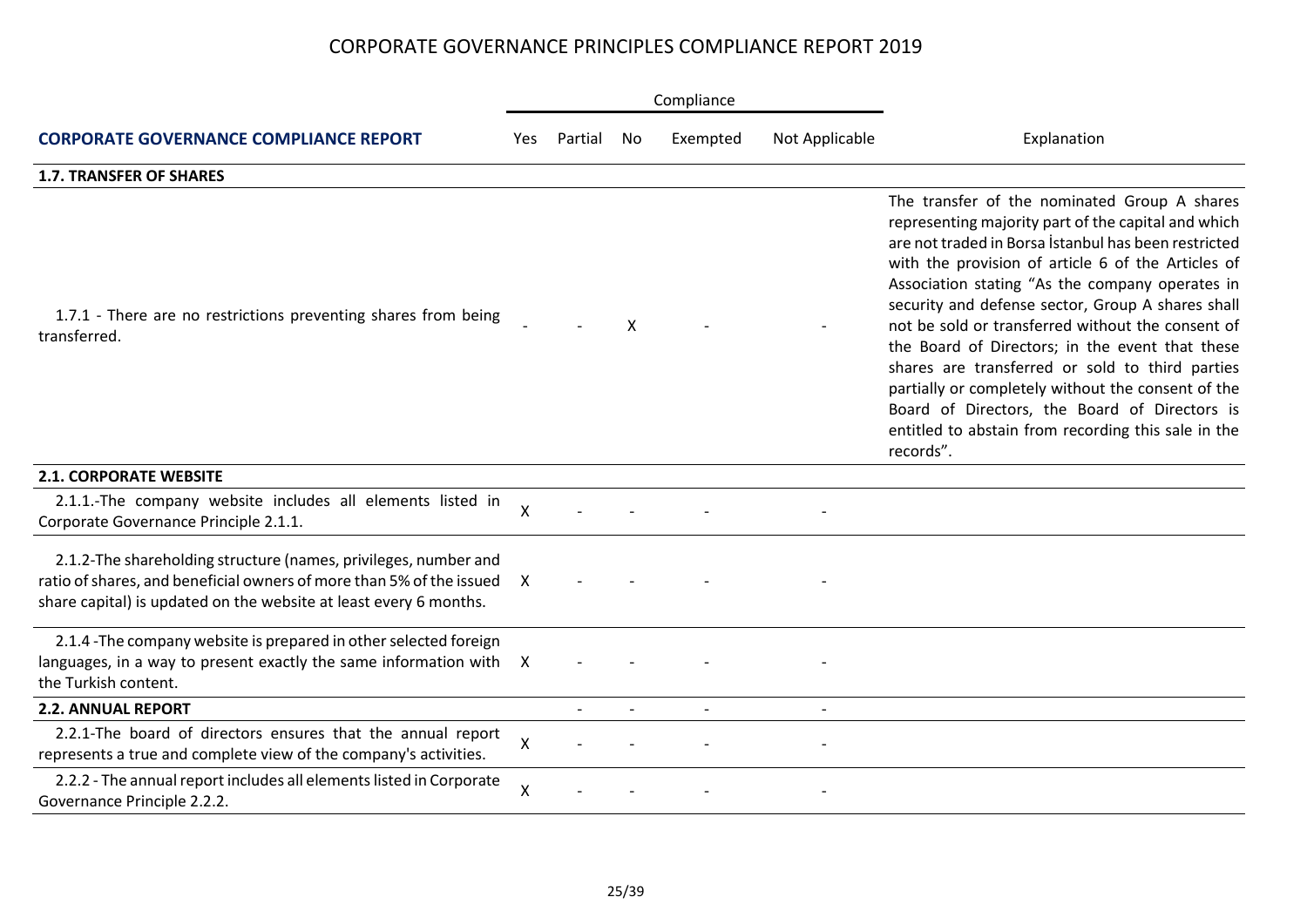|                                                                                                                                                                                                              |     |         |    | Compliance |                |                                                                                                                                                                                                                                                                                                                                                                                                                                                                                                                                                                                                                                                                 |  |
|--------------------------------------------------------------------------------------------------------------------------------------------------------------------------------------------------------------|-----|---------|----|------------|----------------|-----------------------------------------------------------------------------------------------------------------------------------------------------------------------------------------------------------------------------------------------------------------------------------------------------------------------------------------------------------------------------------------------------------------------------------------------------------------------------------------------------------------------------------------------------------------------------------------------------------------------------------------------------------------|--|
| <b>CORPORATE GOVERNANCE COMPLIANCE REPORT</b>                                                                                                                                                                | Yes | Partial | No | Exempted   | Not Applicable | Explanation                                                                                                                                                                                                                                                                                                                                                                                                                                                                                                                                                                                                                                                     |  |
| <b>1.7. TRANSFER OF SHARES</b>                                                                                                                                                                               |     |         |    |            |                |                                                                                                                                                                                                                                                                                                                                                                                                                                                                                                                                                                                                                                                                 |  |
| 1.7.1 - There are no restrictions preventing shares from being<br>transferred.                                                                                                                               |     |         | X  |            |                | The transfer of the nominated Group A shares<br>representing majority part of the capital and which<br>are not traded in Borsa İstanbul has been restricted<br>with the provision of article 6 of the Articles of<br>Association stating "As the company operates in<br>security and defense sector, Group A shares shall<br>not be sold or transferred without the consent of<br>the Board of Directors; in the event that these<br>shares are transferred or sold to third parties<br>partially or completely without the consent of the<br>Board of Directors, the Board of Directors is<br>entitled to abstain from recording this sale in the<br>records". |  |
| <b>2.1. CORPORATE WEBSITE</b>                                                                                                                                                                                |     |         |    |            |                |                                                                                                                                                                                                                                                                                                                                                                                                                                                                                                                                                                                                                                                                 |  |
| 2.1.1.-The company website includes all elements listed in<br>Corporate Governance Principle 2.1.1.                                                                                                          | X   |         |    |            |                |                                                                                                                                                                                                                                                                                                                                                                                                                                                                                                                                                                                                                                                                 |  |
| 2.1.2-The shareholding structure (names, privileges, number and<br>ratio of shares, and beneficial owners of more than 5% of the issued<br>share capital) is updated on the website at least every 6 months. | X   |         |    |            |                |                                                                                                                                                                                                                                                                                                                                                                                                                                                                                                                                                                                                                                                                 |  |
| 2.1.4 - The company website is prepared in other selected foreign<br>languages, in a way to present exactly the same information with X<br>the Turkish content.                                              |     |         |    |            |                |                                                                                                                                                                                                                                                                                                                                                                                                                                                                                                                                                                                                                                                                 |  |
| <b>2.2. ANNUAL REPORT</b>                                                                                                                                                                                    |     |         |    |            |                |                                                                                                                                                                                                                                                                                                                                                                                                                                                                                                                                                                                                                                                                 |  |
| 2.2.1-The board of directors ensures that the annual report<br>represents a true and complete view of the company's activities.                                                                              | X   |         |    |            |                |                                                                                                                                                                                                                                                                                                                                                                                                                                                                                                                                                                                                                                                                 |  |
| 2.2.2 - The annual report includes all elements listed in Corporate<br>Governance Principle 2.2.2.                                                                                                           | Χ   |         |    |            |                |                                                                                                                                                                                                                                                                                                                                                                                                                                                                                                                                                                                                                                                                 |  |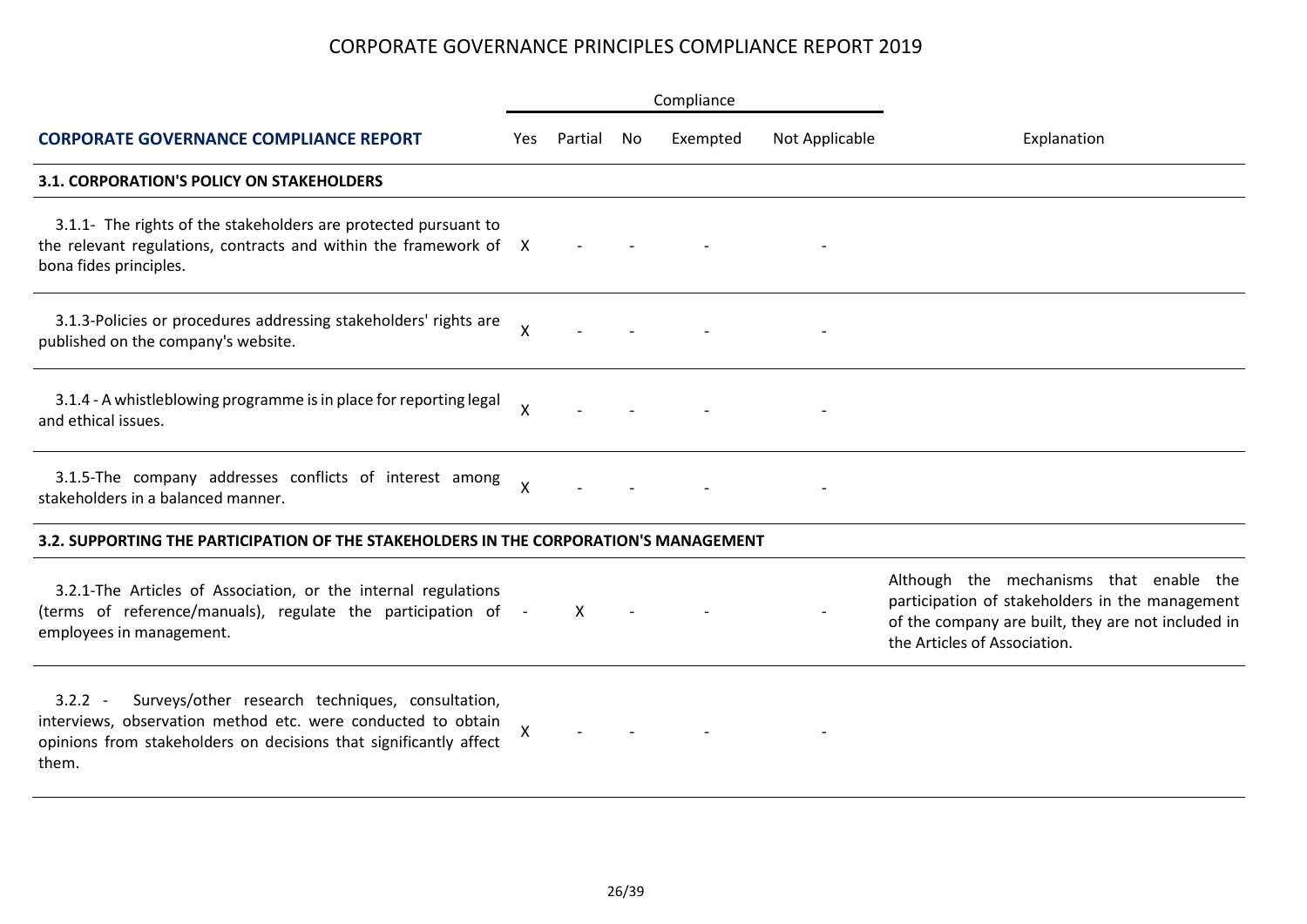|                                                                                                                                                                                                             |                    |         |    | Compliance |                |                                                                                                                                                                                  |  |
|-------------------------------------------------------------------------------------------------------------------------------------------------------------------------------------------------------------|--------------------|---------|----|------------|----------------|----------------------------------------------------------------------------------------------------------------------------------------------------------------------------------|--|
| <b>CORPORATE GOVERNANCE COMPLIANCE REPORT</b>                                                                                                                                                               | Yes                | Partial | No | Exempted   | Not Applicable | Explanation                                                                                                                                                                      |  |
| <b>3.1. CORPORATION'S POLICY ON STAKEHOLDERS</b>                                                                                                                                                            |                    |         |    |            |                |                                                                                                                                                                                  |  |
| 3.1.1- The rights of the stakeholders are protected pursuant to<br>the relevant regulations, contracts and within the framework of X<br>bona fides principles.                                              |                    |         |    |            |                |                                                                                                                                                                                  |  |
| 3.1.3-Policies or procedures addressing stakeholders' rights are<br>published on the company's website.                                                                                                     | $\mathsf{X}$       |         |    |            |                |                                                                                                                                                                                  |  |
| 3.1.4 - A whistleblowing programme is in place for reporting legal<br>and ethical issues.                                                                                                                   | $\mathsf{X}$       |         |    |            |                |                                                                                                                                                                                  |  |
| 3.1.5-The company addresses conflicts of interest among<br>stakeholders in a balanced manner.                                                                                                               | X                  |         |    |            |                |                                                                                                                                                                                  |  |
| 3.2. SUPPORTING THE PARTICIPATION OF THE STAKEHOLDERS IN THE CORPORATION'S MANAGEMENT                                                                                                                       |                    |         |    |            |                |                                                                                                                                                                                  |  |
| 3.2.1-The Articles of Association, or the internal regulations<br>(terms of reference/manuals), regulate the participation of -<br>employees in management.                                                 |                    | X       |    |            |                | Although the mechanisms that enable the<br>participation of stakeholders in the management<br>of the company are built, they are not included in<br>the Articles of Association. |  |
| Surveys/other research techniques, consultation,<br>$3.2.2 -$<br>interviews, observation method etc. were conducted to obtain<br>opinions from stakeholders on decisions that significantly affect<br>them. | $\pmb{\mathsf{X}}$ |         |    |            |                |                                                                                                                                                                                  |  |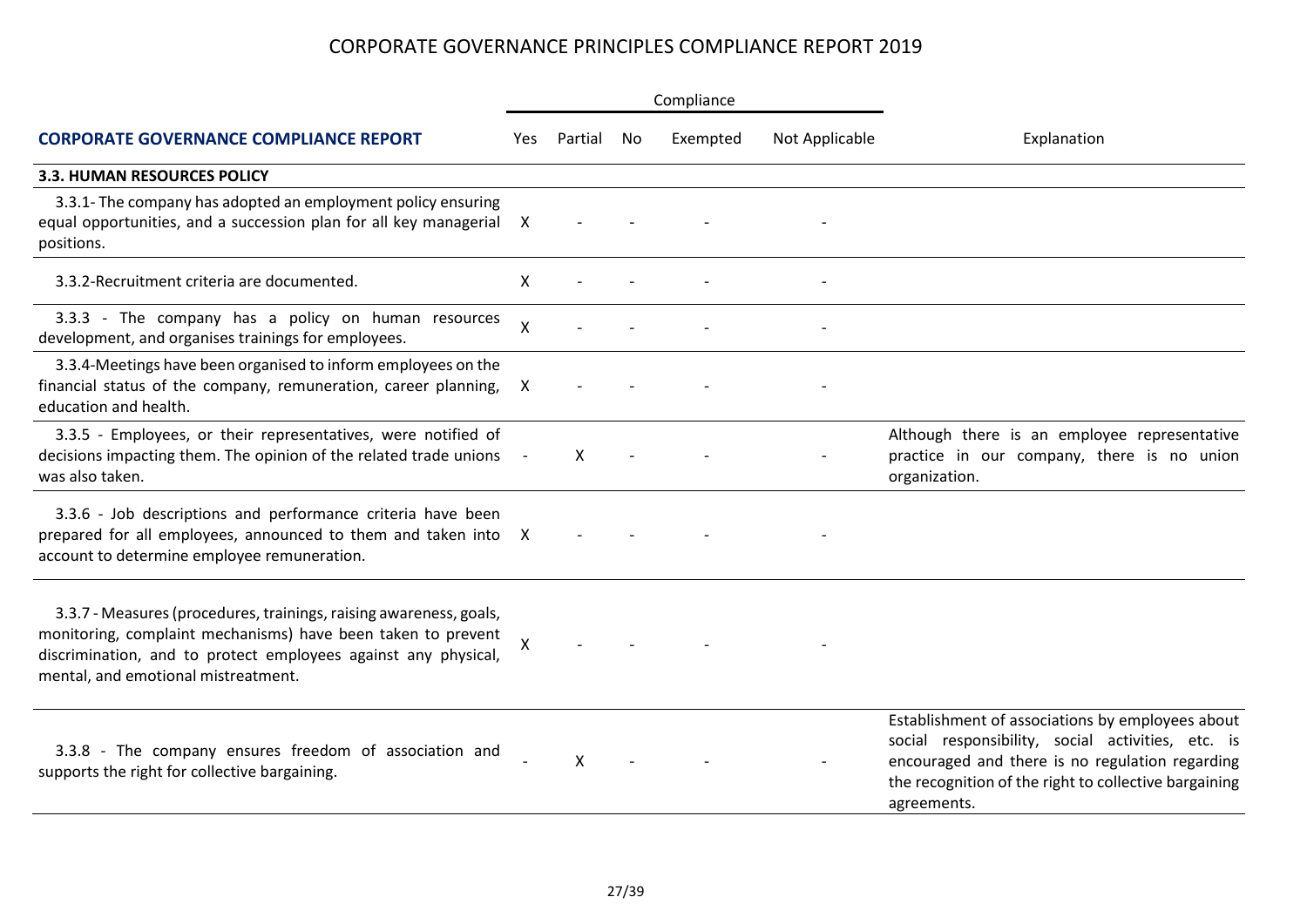|                                                                                                                                                                                                                                             |      |         |     | Compliance |                |                                                                                                                                                                                                                                  |  |
|---------------------------------------------------------------------------------------------------------------------------------------------------------------------------------------------------------------------------------------------|------|---------|-----|------------|----------------|----------------------------------------------------------------------------------------------------------------------------------------------------------------------------------------------------------------------------------|--|
| <b>CORPORATE GOVERNANCE COMPLIANCE REPORT</b>                                                                                                                                                                                               | Yes. | Partial | No. | Exempted   | Not Applicable | Explanation                                                                                                                                                                                                                      |  |
| 3.3. HUMAN RESOURCES POLICY                                                                                                                                                                                                                 |      |         |     |            |                |                                                                                                                                                                                                                                  |  |
| 3.3.1- The company has adopted an employment policy ensuring<br>equal opportunities, and a succession plan for all key managerial X<br>positions.                                                                                           |      |         |     |            |                |                                                                                                                                                                                                                                  |  |
| 3.3.2-Recruitment criteria are documented.                                                                                                                                                                                                  | X    |         |     |            |                |                                                                                                                                                                                                                                  |  |
| 3.3.3 - The company has a policy on human resources<br>development, and organises trainings for employees.                                                                                                                                  | X    |         |     |            |                |                                                                                                                                                                                                                                  |  |
| 3.3.4-Meetings have been organised to inform employees on the<br>financial status of the company, remuneration, career planning,<br>education and health.                                                                                   | X    |         |     |            |                |                                                                                                                                                                                                                                  |  |
| 3.3.5 - Employees, or their representatives, were notified of<br>decisions impacting them. The opinion of the related trade unions<br>was also taken.                                                                                       |      | X       |     |            |                | Although there is an employee representative<br>practice in our company, there is no union<br>organization.                                                                                                                      |  |
| 3.3.6 - Job descriptions and performance criteria have been<br>prepared for all employees, announced to them and taken into X<br>account to determine employee remuneration.                                                                |      |         |     |            |                |                                                                                                                                                                                                                                  |  |
| 3.3.7 - Measures (procedures, trainings, raising awareness, goals,<br>monitoring, complaint mechanisms) have been taken to prevent<br>discrimination, and to protect employees against any physical,<br>mental, and emotional mistreatment. | X    |         |     |            |                |                                                                                                                                                                                                                                  |  |
| 3.3.8 - The company ensures freedom of association and<br>supports the right for collective bargaining.                                                                                                                                     |      | X       |     |            |                | Establishment of associations by employees about<br>social responsibility, social activities, etc. is<br>encouraged and there is no regulation regarding<br>the recognition of the right to collective bargaining<br>agreements. |  |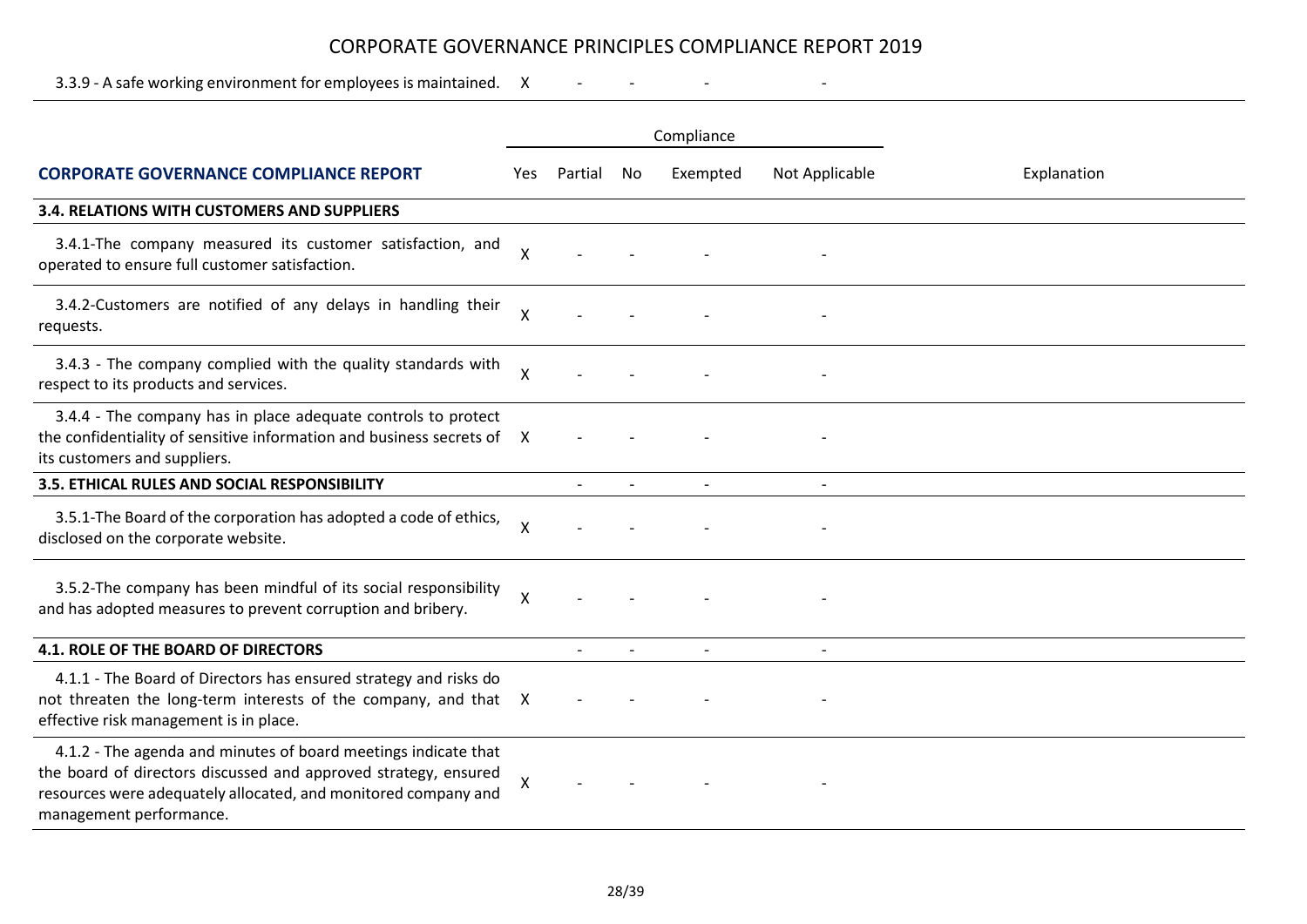3.3.9 - A safe working environment for employees is maintained. X - - - -

|                                                                                                                                                                                                                                |              |         |                          | Compliance               |                          |             |  |  |
|--------------------------------------------------------------------------------------------------------------------------------------------------------------------------------------------------------------------------------|--------------|---------|--------------------------|--------------------------|--------------------------|-------------|--|--|
| <b>CORPORATE GOVERNANCE COMPLIANCE REPORT</b>                                                                                                                                                                                  | Yes          | Partial | No                       | Exempted                 | Not Applicable           | Explanation |  |  |
| 3.4. RELATIONS WITH CUSTOMERS AND SUPPLIERS                                                                                                                                                                                    |              |         |                          |                          |                          |             |  |  |
| 3.4.1-The company measured its customer satisfaction, and<br>operated to ensure full customer satisfaction.                                                                                                                    | X            |         |                          |                          |                          |             |  |  |
| 3.4.2-Customers are notified of any delays in handling their<br>requests.                                                                                                                                                      | Χ            |         |                          |                          |                          |             |  |  |
| 3.4.3 - The company complied with the quality standards with<br>respect to its products and services.                                                                                                                          | $\mathsf{X}$ |         |                          |                          |                          |             |  |  |
| 3.4.4 - The company has in place adequate controls to protect<br>the confidentiality of sensitive information and business secrets of X<br>its customers and suppliers.                                                        |              |         |                          |                          |                          |             |  |  |
| 3.5. ETHICAL RULES AND SOCIAL RESPONSIBILITY                                                                                                                                                                                   |              |         | $\overline{\phantom{a}}$ | $\overline{\phantom{a}}$ | $\overline{\phantom{a}}$ |             |  |  |
| 3.5.1-The Board of the corporation has adopted a code of ethics,<br>disclosed on the corporate website.                                                                                                                        | X            |         |                          |                          |                          |             |  |  |
| 3.5.2-The company has been mindful of its social responsibility<br>and has adopted measures to prevent corruption and bribery.                                                                                                 | Χ            |         |                          |                          |                          |             |  |  |
| 4.1. ROLE OF THE BOARD OF DIRECTORS                                                                                                                                                                                            |              |         |                          |                          |                          |             |  |  |
| 4.1.1 - The Board of Directors has ensured strategy and risks do<br>not threaten the long-term interests of the company, and that X<br>effective risk management is in place.                                                  |              |         |                          |                          |                          |             |  |  |
| 4.1.2 - The agenda and minutes of board meetings indicate that<br>the board of directors discussed and approved strategy, ensured<br>resources were adequately allocated, and monitored company and<br>management performance. | X            |         |                          |                          |                          |             |  |  |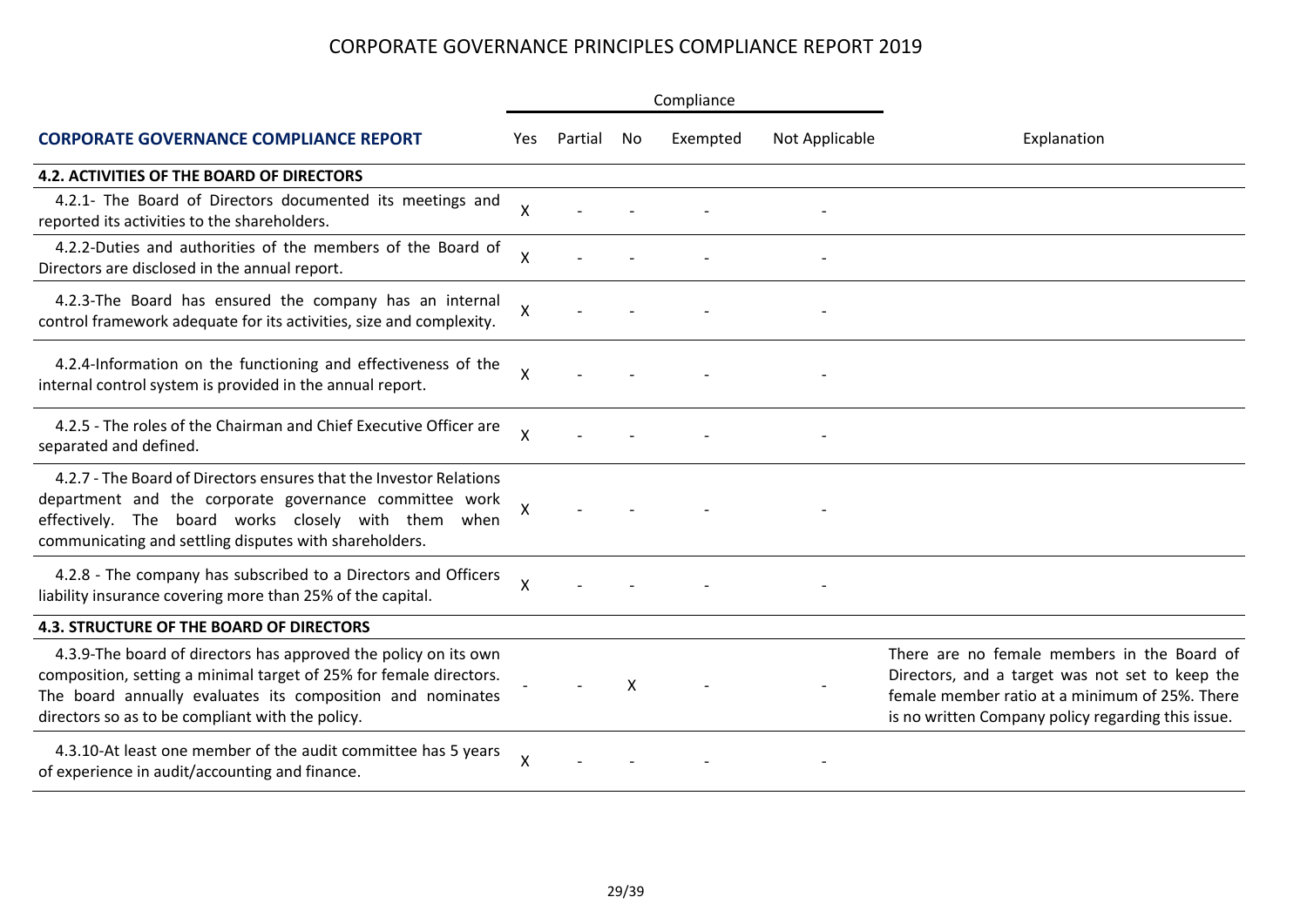|                                                                                                                                                                                                                                                         |              |         |    | Compliance |                |                                                                                                                                                                                                        |  |
|---------------------------------------------------------------------------------------------------------------------------------------------------------------------------------------------------------------------------------------------------------|--------------|---------|----|------------|----------------|--------------------------------------------------------------------------------------------------------------------------------------------------------------------------------------------------------|--|
| <b>CORPORATE GOVERNANCE COMPLIANCE REPORT</b>                                                                                                                                                                                                           | Yes          | Partial | No | Exempted   | Not Applicable | Explanation                                                                                                                                                                                            |  |
| <b>4.2. ACTIVITIES OF THE BOARD OF DIRECTORS</b>                                                                                                                                                                                                        |              |         |    |            |                |                                                                                                                                                                                                        |  |
| 4.2.1- The Board of Directors documented its meetings and<br>reported its activities to the shareholders.                                                                                                                                               | X            |         |    |            |                |                                                                                                                                                                                                        |  |
| 4.2.2-Duties and authorities of the members of the Board of<br>Directors are disclosed in the annual report.                                                                                                                                            | Χ            |         |    |            |                |                                                                                                                                                                                                        |  |
| 4.2.3-The Board has ensured the company has an internal<br>control framework adequate for its activities, size and complexity.                                                                                                                          | Χ            |         |    |            |                |                                                                                                                                                                                                        |  |
| 4.2.4-Information on the functioning and effectiveness of the<br>internal control system is provided in the annual report.                                                                                                                              | X            |         |    |            |                |                                                                                                                                                                                                        |  |
| 4.2.5 - The roles of the Chairman and Chief Executive Officer are<br>separated and defined.                                                                                                                                                             | $\mathsf{X}$ |         |    |            |                |                                                                                                                                                                                                        |  |
| 4.2.7 - The Board of Directors ensures that the Investor Relations<br>department and the corporate governance committee work<br>effectively. The board works closely with them when<br>communicating and settling disputes with shareholders.           | Χ            |         |    |            |                |                                                                                                                                                                                                        |  |
| 4.2.8 - The company has subscribed to a Directors and Officers<br>liability insurance covering more than 25% of the capital.                                                                                                                            | $\mathsf{X}$ |         |    |            |                |                                                                                                                                                                                                        |  |
| <b>4.3. STRUCTURE OF THE BOARD OF DIRECTORS</b>                                                                                                                                                                                                         |              |         |    |            |                |                                                                                                                                                                                                        |  |
| 4.3.9-The board of directors has approved the policy on its own<br>composition, setting a minimal target of 25% for female directors.<br>The board annually evaluates its composition and nominates<br>directors so as to be compliant with the policy. |              |         | X  |            |                | There are no female members in the Board of<br>Directors, and a target was not set to keep the<br>female member ratio at a minimum of 25%. There<br>is no written Company policy regarding this issue. |  |
| 4.3.10-At least one member of the audit committee has 5 years<br>of experience in audit/accounting and finance.                                                                                                                                         | X            |         |    |            |                |                                                                                                                                                                                                        |  |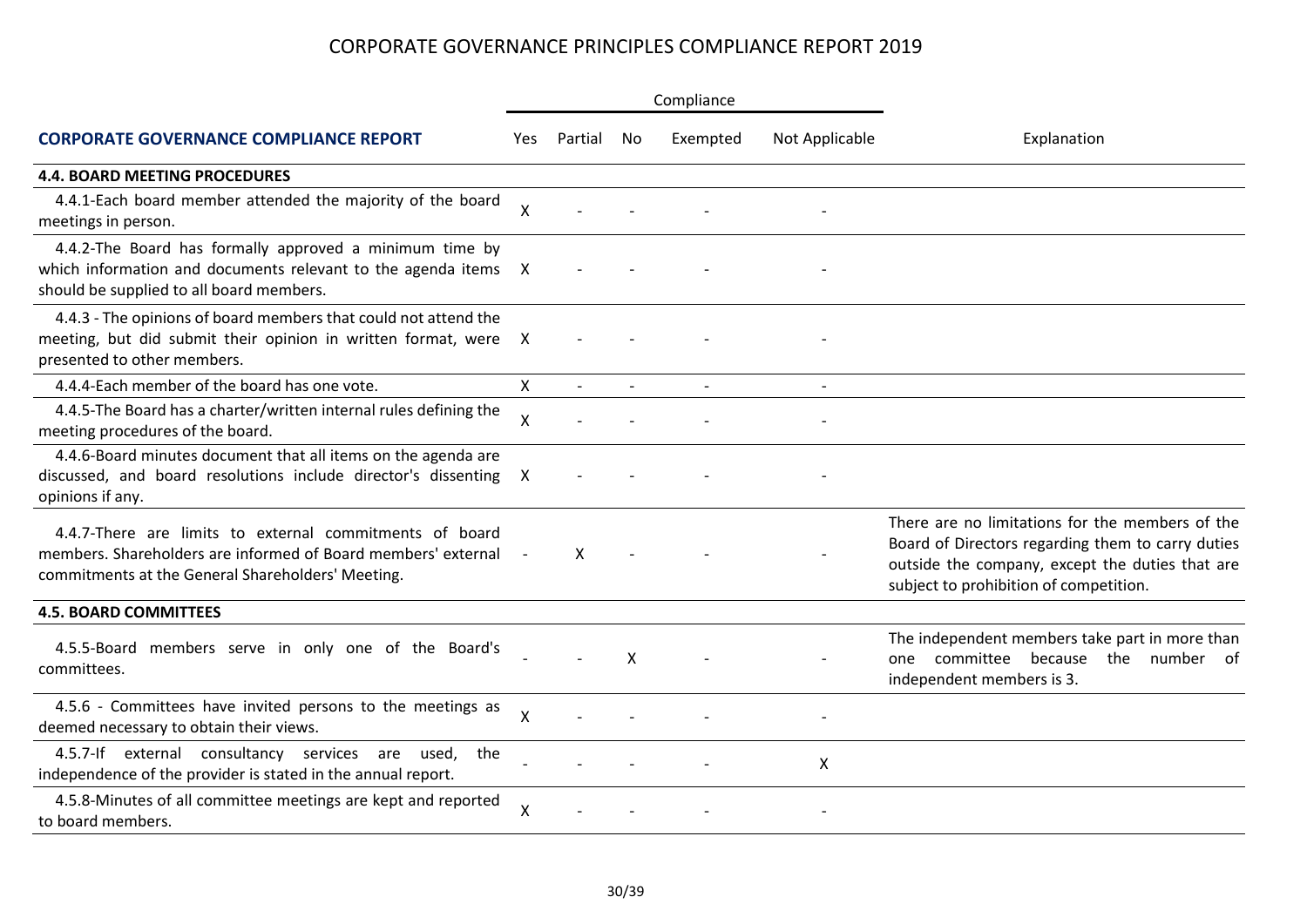|                                                                                                                                                                               |              |         |        | Compliance |                |                                                                                                                                                                                                   |  |
|-------------------------------------------------------------------------------------------------------------------------------------------------------------------------------|--------------|---------|--------|------------|----------------|---------------------------------------------------------------------------------------------------------------------------------------------------------------------------------------------------|--|
| <b>CORPORATE GOVERNANCE COMPLIANCE REPORT</b>                                                                                                                                 | Yes.         | Partial | No     | Exempted   | Not Applicable | Explanation                                                                                                                                                                                       |  |
| <b>4.4. BOARD MEETING PROCEDURES</b>                                                                                                                                          |              |         |        |            |                |                                                                                                                                                                                                   |  |
| 4.4.1-Each board member attended the majority of the board<br>meetings in person.                                                                                             | X            |         |        |            |                |                                                                                                                                                                                                   |  |
| 4.4.2-The Board has formally approved a minimum time by<br>which information and documents relevant to the agenda items X<br>should be supplied to all board members.         |              |         |        |            |                |                                                                                                                                                                                                   |  |
| 4.4.3 - The opinions of board members that could not attend the<br>meeting, but did submit their opinion in written format, were<br>presented to other members.               | X            |         |        |            |                |                                                                                                                                                                                                   |  |
| 4.4.4-Each member of the board has one vote.                                                                                                                                  | $\mathsf{X}$ |         | $\sim$ |            |                |                                                                                                                                                                                                   |  |
| 4.4.5-The Board has a charter/written internal rules defining the<br>meeting procedures of the board.                                                                         | $\mathsf{x}$ |         |        |            |                |                                                                                                                                                                                                   |  |
| 4.4.6-Board minutes document that all items on the agenda are<br>discussed, and board resolutions include director's dissenting<br>opinions if any.                           | X            |         |        |            |                |                                                                                                                                                                                                   |  |
| 4.4.7-There are limits to external commitments of board<br>members. Shareholders are informed of Board members' external<br>commitments at the General Shareholders' Meeting. |              | X       |        |            |                | There are no limitations for the members of the<br>Board of Directors regarding them to carry duties<br>outside the company, except the duties that are<br>subject to prohibition of competition. |  |
| <b>4.5. BOARD COMMITTEES</b>                                                                                                                                                  |              |         |        |            |                |                                                                                                                                                                                                   |  |
| 4.5.5-Board members serve in only one of the Board's<br>committees.                                                                                                           |              |         | X      |            |                | The independent members take part in more than<br>one committee because the number of<br>independent members is 3.                                                                                |  |
| 4.5.6 - Committees have invited persons to the meetings as<br>deemed necessary to obtain their views.                                                                         | X            |         |        |            |                |                                                                                                                                                                                                   |  |
| 4.5.7-If external consultancy services are used,<br>the<br>independence of the provider is stated in the annual report.                                                       |              |         |        |            | X              |                                                                                                                                                                                                   |  |
| 4.5.8-Minutes of all committee meetings are kept and reported<br>to board members.                                                                                            | χ            |         |        |            |                |                                                                                                                                                                                                   |  |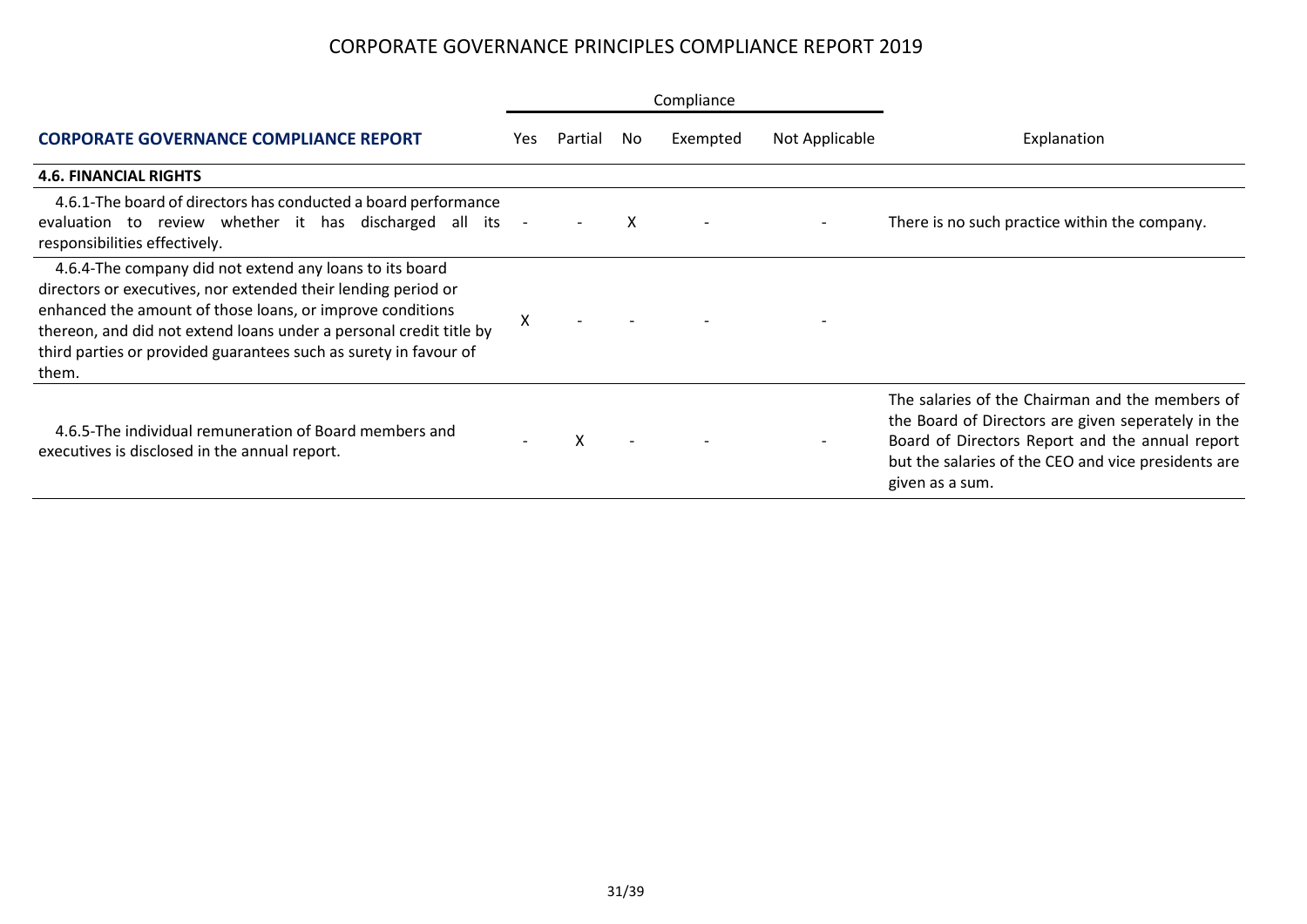|                                                                                                                                                                                                                                                                                                                                          | Compliance |         |     |          |                |                                                                                                                                                                                                                                    |  |  |
|------------------------------------------------------------------------------------------------------------------------------------------------------------------------------------------------------------------------------------------------------------------------------------------------------------------------------------------|------------|---------|-----|----------|----------------|------------------------------------------------------------------------------------------------------------------------------------------------------------------------------------------------------------------------------------|--|--|
| <b>CORPORATE GOVERNANCE COMPLIANCE REPORT</b>                                                                                                                                                                                                                                                                                            | Yes.       | Partial | No. | Exempted | Not Applicable | Explanation                                                                                                                                                                                                                        |  |  |
| <b>4.6. FINANCIAL RIGHTS</b>                                                                                                                                                                                                                                                                                                             |            |         |     |          |                |                                                                                                                                                                                                                                    |  |  |
| 4.6.1-The board of directors has conducted a board performance<br>evaluation to review whether it has discharged all its<br>responsibilities effectively.                                                                                                                                                                                | $\sim$     |         | X   |          |                | There is no such practice within the company.                                                                                                                                                                                      |  |  |
| 4.6.4-The company did not extend any loans to its board<br>directors or executives, nor extended their lending period or<br>enhanced the amount of those loans, or improve conditions<br>thereon, and did not extend loans under a personal credit title by<br>third parties or provided guarantees such as surety in favour of<br>them. | Χ          |         |     |          |                |                                                                                                                                                                                                                                    |  |  |
| 4.6.5-The individual remuneration of Board members and<br>executives is disclosed in the annual report.                                                                                                                                                                                                                                  |            | X       |     |          |                | The salaries of the Chairman and the members of<br>the Board of Directors are given seperately in the<br>Board of Directors Report and the annual report<br>but the salaries of the CEO and vice presidents are<br>given as a sum. |  |  |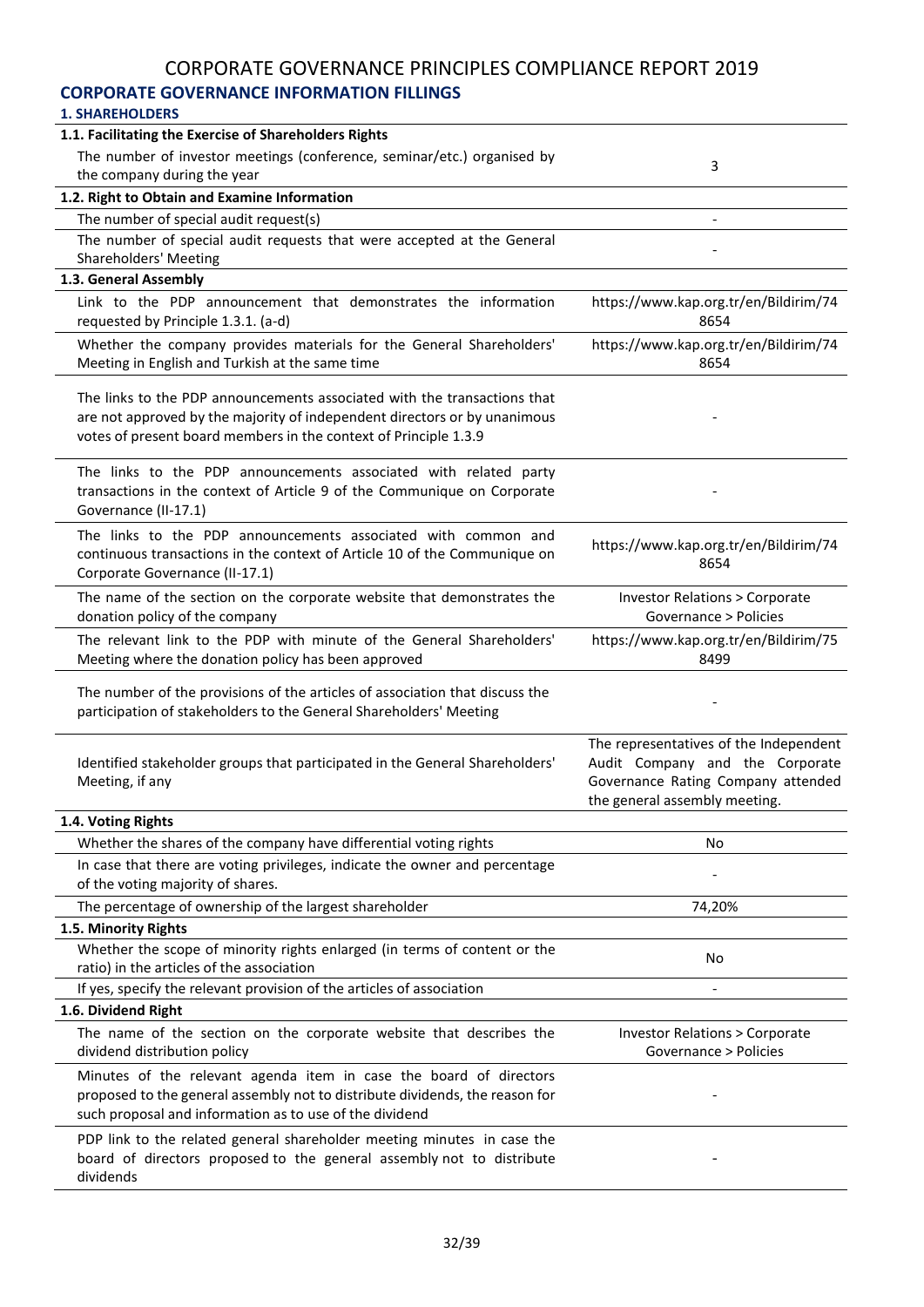## **CORPORATE GOVERNANCE INFORMATION FILLINGS**

| 1.1. Facilitating the Exercise of Shareholders Rights                                                                                                                                                                     |                                                                                                                                                  |
|---------------------------------------------------------------------------------------------------------------------------------------------------------------------------------------------------------------------------|--------------------------------------------------------------------------------------------------------------------------------------------------|
| The number of investor meetings (conference, seminar/etc.) organised by                                                                                                                                                   | 3                                                                                                                                                |
| the company during the year                                                                                                                                                                                               |                                                                                                                                                  |
| 1.2. Right to Obtain and Examine Information                                                                                                                                                                              |                                                                                                                                                  |
| The number of special audit request(s)                                                                                                                                                                                    |                                                                                                                                                  |
| The number of special audit requests that were accepted at the General<br><b>Shareholders' Meeting</b>                                                                                                                    |                                                                                                                                                  |
| 1.3. General Assembly                                                                                                                                                                                                     |                                                                                                                                                  |
| Link to the PDP announcement that demonstrates the information<br>requested by Principle 1.3.1. (a-d)                                                                                                                     | https://www.kap.org.tr/en/Bildirim/74<br>8654                                                                                                    |
| Whether the company provides materials for the General Shareholders'<br>Meeting in English and Turkish at the same time                                                                                                   | https://www.kap.org.tr/en/Bildirim/74<br>8654                                                                                                    |
| The links to the PDP announcements associated with the transactions that<br>are not approved by the majority of independent directors or by unanimous<br>votes of present board members in the context of Principle 1.3.9 |                                                                                                                                                  |
| The links to the PDP announcements associated with related party<br>transactions in the context of Article 9 of the Communique on Corporate<br>Governance (II-17.1)                                                       |                                                                                                                                                  |
| The links to the PDP announcements associated with common and<br>continuous transactions in the context of Article 10 of the Communique on<br>Corporate Governance (II-17.1)                                              | https://www.kap.org.tr/en/Bildirim/74<br>8654                                                                                                    |
| The name of the section on the corporate website that demonstrates the<br>donation policy of the company                                                                                                                  | <b>Investor Relations &gt; Corporate</b><br>Governance > Policies                                                                                |
| The relevant link to the PDP with minute of the General Shareholders'<br>Meeting where the donation policy has been approved                                                                                              | https://www.kap.org.tr/en/Bildirim/75<br>8499                                                                                                    |
| The number of the provisions of the articles of association that discuss the<br>participation of stakeholders to the General Shareholders' Meeting                                                                        |                                                                                                                                                  |
| Identified stakeholder groups that participated in the General Shareholders'<br>Meeting, if any                                                                                                                           | The representatives of the Independent<br>Audit Company and the Corporate<br>Governance Rating Company attended<br>the general assembly meeting. |
| 1.4. Voting Rights                                                                                                                                                                                                        |                                                                                                                                                  |
| Whether the shares of the company have differential voting rights                                                                                                                                                         | No                                                                                                                                               |
| In case that there are voting privileges, indicate the owner and percentage<br>of the voting majority of shares.                                                                                                          |                                                                                                                                                  |
| The percentage of ownership of the largest shareholder                                                                                                                                                                    | 74,20%                                                                                                                                           |
| 1.5. Minority Rights                                                                                                                                                                                                      |                                                                                                                                                  |
| Whether the scope of minority rights enlarged (in terms of content or the<br>ratio) in the articles of the association                                                                                                    | No                                                                                                                                               |
| If yes, specify the relevant provision of the articles of association                                                                                                                                                     |                                                                                                                                                  |
| 1.6. Dividend Right                                                                                                                                                                                                       |                                                                                                                                                  |
| The name of the section on the corporate website that describes the<br>dividend distribution policy                                                                                                                       | <b>Investor Relations &gt; Corporate</b><br>Governance > Policies                                                                                |
| Minutes of the relevant agenda item in case the board of directors<br>proposed to the general assembly not to distribute dividends, the reason for<br>such proposal and information as to use of the dividend             |                                                                                                                                                  |
| PDP link to the related general shareholder meeting minutes in case the<br>board of directors proposed to the general assembly not to distribute                                                                          |                                                                                                                                                  |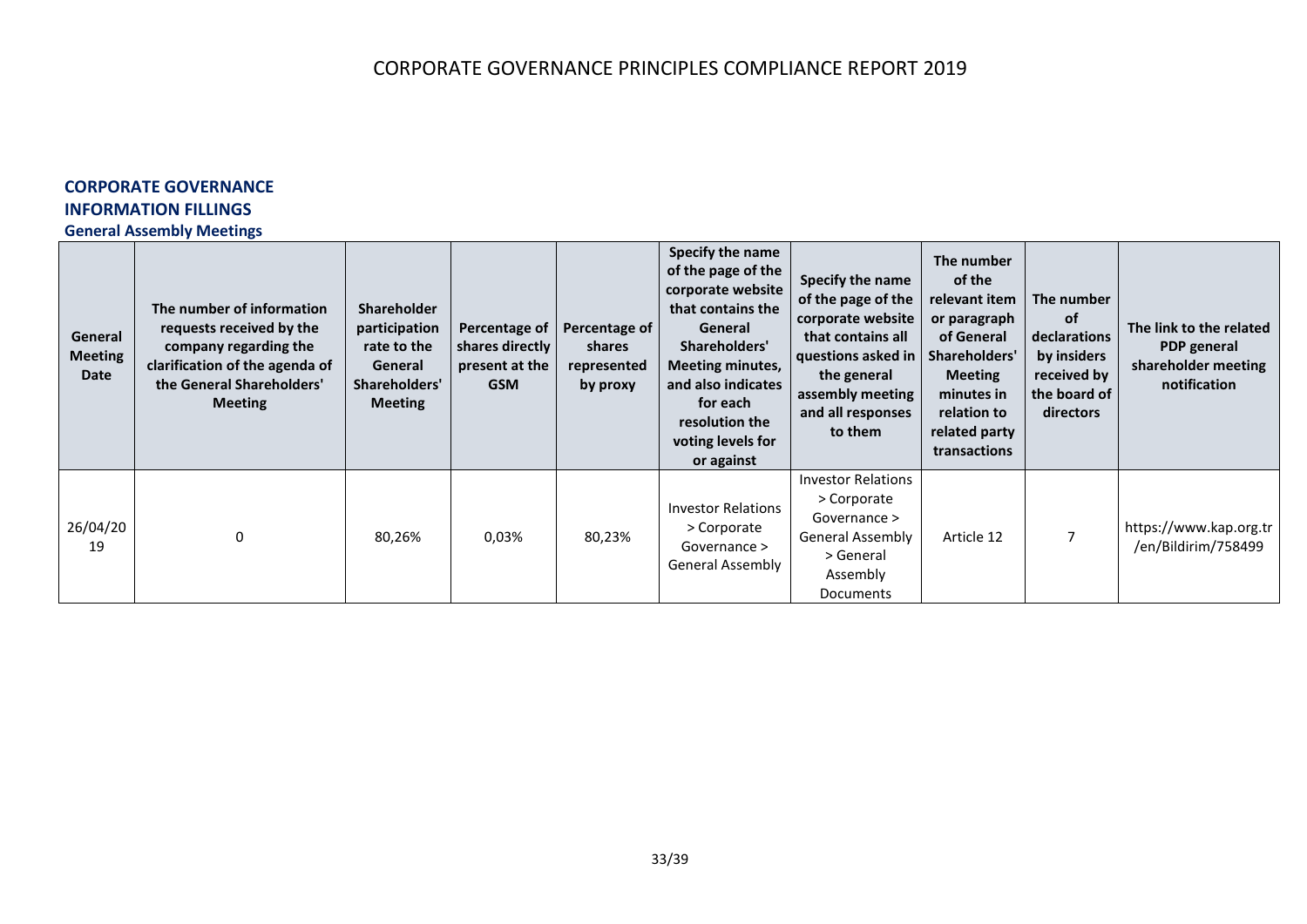## **CORPORATE GOVERNANCE INFORMATION FILLINGS**

#### **General Assembly Meetings**

| General<br><b>Meeting</b><br>Date | The number of information<br>requests received by the<br>company regarding the<br>clarification of the agenda of<br>the General Shareholders'<br><b>Meeting</b> | <b>Shareholder</b><br>participation<br>rate to the<br>General<br>Shareholders'<br><b>Meeting</b> | Percentage of<br>shares directly<br>present at the<br><b>GSM</b> | Percentage of<br>shares<br>represented<br>by proxy | Specify the name<br>of the page of the<br>corporate website<br>that contains the<br>General<br>Shareholders'<br><b>Meeting minutes,</b><br>and also indicates<br>for each<br>resolution the<br>voting levels for<br>or against | Specify the name<br>of the page of the<br>corporate website<br>that contains all<br>questions asked in<br>the general<br>assembly meeting<br>and all responses<br>to them | The number<br>of the<br>relevant item<br>or paragraph<br>of General<br>Shareholders'<br><b>Meeting</b><br>minutes in<br>relation to<br>related party<br>transactions | The number<br>of<br>declarations<br>by insiders<br>received by<br>the board of<br>directors | The link to the related<br>PDP general<br>shareholder meeting<br>notification |
|-----------------------------------|-----------------------------------------------------------------------------------------------------------------------------------------------------------------|--------------------------------------------------------------------------------------------------|------------------------------------------------------------------|----------------------------------------------------|--------------------------------------------------------------------------------------------------------------------------------------------------------------------------------------------------------------------------------|---------------------------------------------------------------------------------------------------------------------------------------------------------------------------|----------------------------------------------------------------------------------------------------------------------------------------------------------------------|---------------------------------------------------------------------------------------------|-------------------------------------------------------------------------------|
| 26/04/20<br>19                    | 0                                                                                                                                                               | 80,26%                                                                                           | 0,03%                                                            | 80,23%                                             | <b>Investor Relations</b><br>> Corporate<br>Governance ><br>General Assembly                                                                                                                                                   | <b>Investor Relations</b><br>> Corporate<br>Governance ><br><b>General Assembly</b><br>> General<br>Assembly<br>Documents                                                 | Article 12                                                                                                                                                           |                                                                                             | https://www.kap.org.tr<br>/en/Bildirim/758499                                 |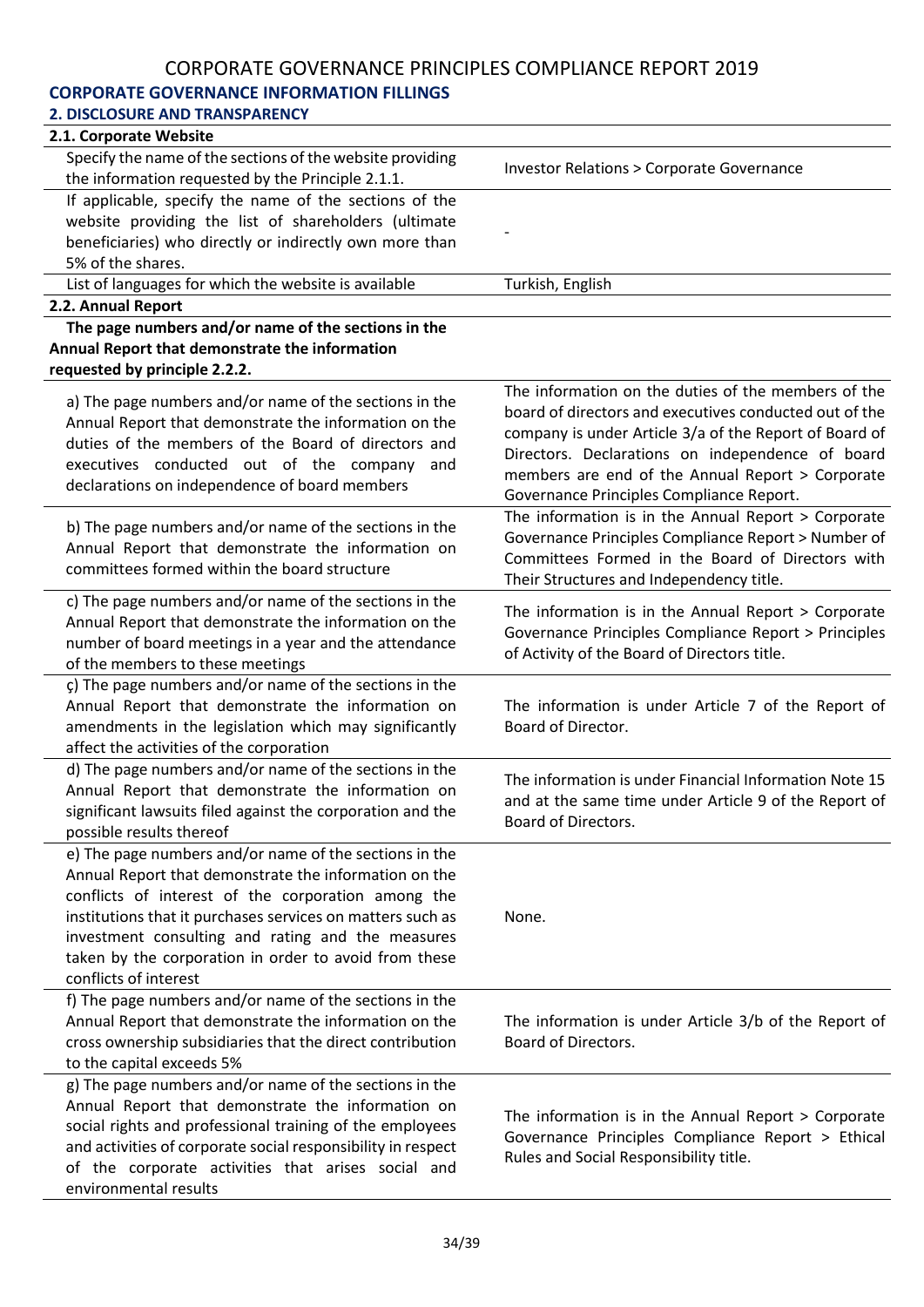# **CORPORATE GOVERNANCE INFORMATION FILLINGS**

| <b>2. DISCLOSURE AND TRANSPARENCY</b>                                                                                                                                                                                                                                                                                                                                      |                                                                                                                                                                                                                                                                                                                             |
|----------------------------------------------------------------------------------------------------------------------------------------------------------------------------------------------------------------------------------------------------------------------------------------------------------------------------------------------------------------------------|-----------------------------------------------------------------------------------------------------------------------------------------------------------------------------------------------------------------------------------------------------------------------------------------------------------------------------|
| 2.1. Corporate Website                                                                                                                                                                                                                                                                                                                                                     |                                                                                                                                                                                                                                                                                                                             |
| Specify the name of the sections of the website providing<br>the information requested by the Principle 2.1.1.                                                                                                                                                                                                                                                             | <b>Investor Relations &gt; Corporate Governance</b>                                                                                                                                                                                                                                                                         |
| If applicable, specify the name of the sections of the                                                                                                                                                                                                                                                                                                                     |                                                                                                                                                                                                                                                                                                                             |
| website providing the list of shareholders (ultimate                                                                                                                                                                                                                                                                                                                       |                                                                                                                                                                                                                                                                                                                             |
| beneficiaries) who directly or indirectly own more than                                                                                                                                                                                                                                                                                                                    |                                                                                                                                                                                                                                                                                                                             |
| 5% of the shares.                                                                                                                                                                                                                                                                                                                                                          |                                                                                                                                                                                                                                                                                                                             |
| List of languages for which the website is available                                                                                                                                                                                                                                                                                                                       | Turkish, English                                                                                                                                                                                                                                                                                                            |
| 2.2. Annual Report                                                                                                                                                                                                                                                                                                                                                         |                                                                                                                                                                                                                                                                                                                             |
| The page numbers and/or name of the sections in the                                                                                                                                                                                                                                                                                                                        |                                                                                                                                                                                                                                                                                                                             |
| Annual Report that demonstrate the information<br>requested by principle 2.2.2.                                                                                                                                                                                                                                                                                            |                                                                                                                                                                                                                                                                                                                             |
| a) The page numbers and/or name of the sections in the<br>Annual Report that demonstrate the information on the<br>duties of the members of the Board of directors and<br>executives conducted out of the company<br>and<br>declarations on independence of board members                                                                                                  | The information on the duties of the members of the<br>board of directors and executives conducted out of the<br>company is under Article 3/a of the Report of Board of<br>Directors. Declarations on independence of board<br>members are end of the Annual Report > Corporate<br>Governance Principles Compliance Report. |
| b) The page numbers and/or name of the sections in the<br>Annual Report that demonstrate the information on<br>committees formed within the board structure                                                                                                                                                                                                                | The information is in the Annual Report > Corporate<br>Governance Principles Compliance Report > Number of<br>Committees Formed in the Board of Directors with<br>Their Structures and Independency title.                                                                                                                  |
| c) The page numbers and/or name of the sections in the<br>Annual Report that demonstrate the information on the<br>number of board meetings in a year and the attendance<br>of the members to these meetings                                                                                                                                                               | The information is in the Annual Report $>$ Corporate<br>Governance Principles Compliance Report > Principles<br>of Activity of the Board of Directors title.                                                                                                                                                               |
| ç) The page numbers and/or name of the sections in the<br>Annual Report that demonstrate the information on<br>amendments in the legislation which may significantly<br>affect the activities of the corporation                                                                                                                                                           | The information is under Article 7 of the Report of<br>Board of Director.                                                                                                                                                                                                                                                   |
| d) The page numbers and/or name of the sections in the<br>Annual Report that demonstrate the information on<br>significant lawsuits filed against the corporation and the<br>possible results thereof                                                                                                                                                                      | The information is under Financial Information Note 15<br>and at the same time under Article 9 of the Report of<br>Board of Directors.                                                                                                                                                                                      |
| e) The page numbers and/or name of the sections in the<br>Annual Report that demonstrate the information on the<br>conflicts of interest of the corporation among the<br>institutions that it purchases services on matters such as<br>investment consulting and rating and the measures<br>taken by the corporation in order to avoid from these<br>conflicts of interest | None.                                                                                                                                                                                                                                                                                                                       |
| f) The page numbers and/or name of the sections in the<br>Annual Report that demonstrate the information on the<br>cross ownership subsidiaries that the direct contribution<br>to the capital exceeds 5%                                                                                                                                                                  | The information is under Article 3/b of the Report of<br>Board of Directors.                                                                                                                                                                                                                                                |
| g) The page numbers and/or name of the sections in the<br>Annual Report that demonstrate the information on<br>social rights and professional training of the employees<br>and activities of corporate social responsibility in respect<br>of the corporate activities that arises social and<br>environmental results                                                     | The information is in the Annual Report > Corporate<br>Governance Principles Compliance Report > Ethical<br>Rules and Social Responsibility title.                                                                                                                                                                          |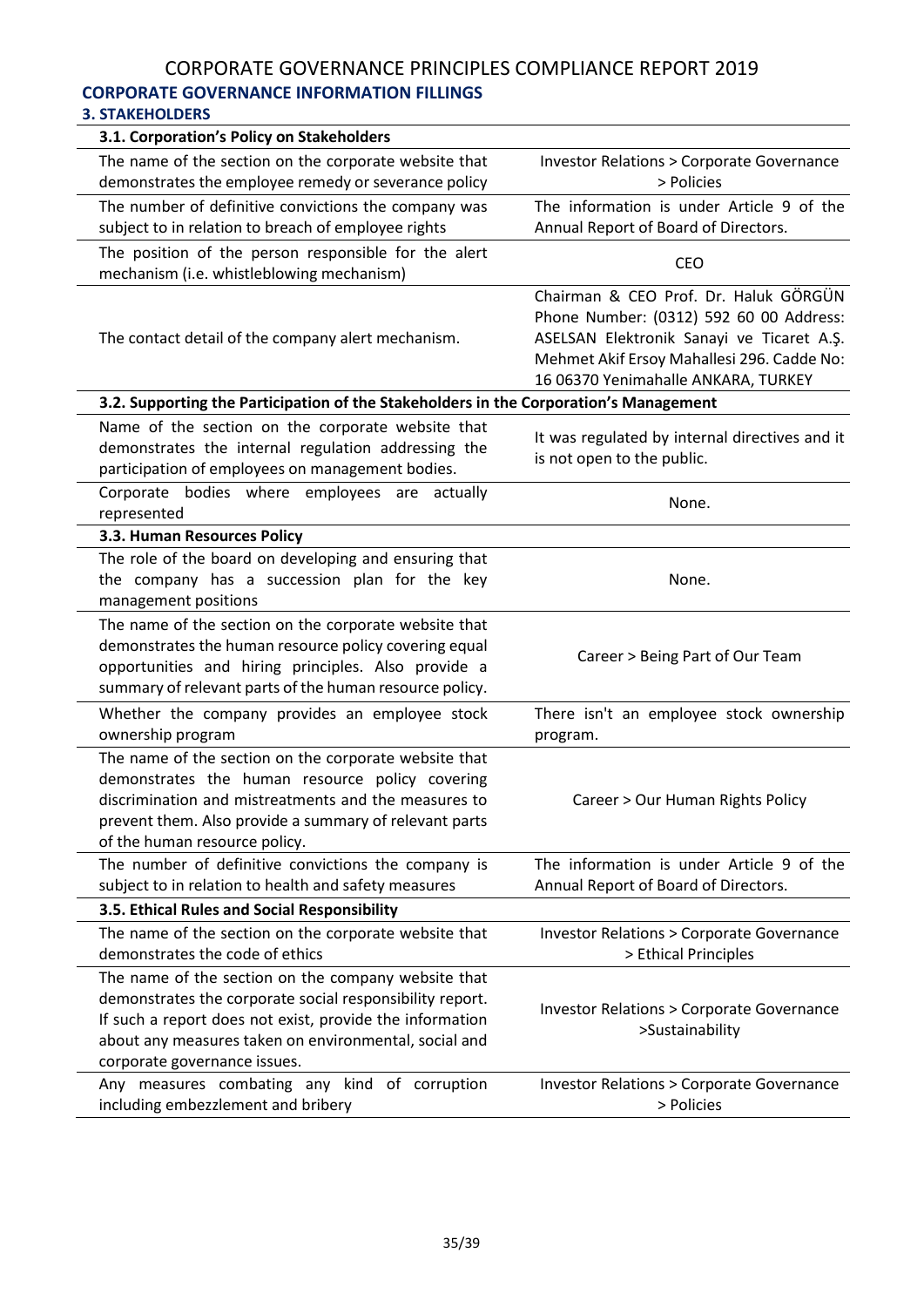## CORPORATE GOVERNANCE PRINCIPLES COMPLIANCE REPORT 2019 **CORPORATE GOVERNANCE INFORMATION FILLINGS**

#### **3. STAKEHOLDERS**

| 3.1. Corporation's Policy on Stakeholders                                                                                                                                                                                                                            |                                                                                                                                                                                                                    |
|----------------------------------------------------------------------------------------------------------------------------------------------------------------------------------------------------------------------------------------------------------------------|--------------------------------------------------------------------------------------------------------------------------------------------------------------------------------------------------------------------|
| The name of the section on the corporate website that                                                                                                                                                                                                                | <b>Investor Relations &gt; Corporate Governance</b>                                                                                                                                                                |
| demonstrates the employee remedy or severance policy                                                                                                                                                                                                                 | > Policies                                                                                                                                                                                                         |
| The number of definitive convictions the company was<br>subject to in relation to breach of employee rights                                                                                                                                                          | The information is under Article 9 of the<br>Annual Report of Board of Directors.                                                                                                                                  |
|                                                                                                                                                                                                                                                                      |                                                                                                                                                                                                                    |
| The position of the person responsible for the alert<br>mechanism (i.e. whistleblowing mechanism)                                                                                                                                                                    | <b>CEO</b>                                                                                                                                                                                                         |
| The contact detail of the company alert mechanism.                                                                                                                                                                                                                   | Chairman & CEO Prof. Dr. Haluk GÖRGÜN<br>Phone Number: (0312) 592 60 00 Address:<br>ASELSAN Elektronik Sanayi ve Ticaret A.Ş.<br>Mehmet Akif Ersoy Mahallesi 296. Cadde No:<br>16 06370 Yenimahalle ANKARA, TURKEY |
| 3.2. Supporting the Participation of the Stakeholders in the Corporation's Management                                                                                                                                                                                |                                                                                                                                                                                                                    |
| Name of the section on the corporate website that<br>demonstrates the internal regulation addressing the<br>participation of employees on management bodies.                                                                                                         | It was regulated by internal directives and it<br>is not open to the public.                                                                                                                                       |
| Corporate bodies where employees are actually<br>represented                                                                                                                                                                                                         | None.                                                                                                                                                                                                              |
| 3.3. Human Resources Policy                                                                                                                                                                                                                                          |                                                                                                                                                                                                                    |
| The role of the board on developing and ensuring that<br>the company has a succession plan for the key<br>management positions                                                                                                                                       | None.                                                                                                                                                                                                              |
| The name of the section on the corporate website that<br>demonstrates the human resource policy covering equal<br>opportunities and hiring principles. Also provide a<br>summary of relevant parts of the human resource policy.                                     | Career > Being Part of Our Team                                                                                                                                                                                    |
| Whether the company provides an employee stock<br>ownership program                                                                                                                                                                                                  | There isn't an employee stock ownership<br>program.                                                                                                                                                                |
| The name of the section on the corporate website that<br>demonstrates the human resource policy covering<br>discrimination and mistreatments and the measures to<br>prevent them. Also provide a summary of relevant parts<br>of the human resource policy.          | Career > Our Human Rights Policy                                                                                                                                                                                   |
| The number of definitive convictions the company is<br>subject to in relation to health and safety measures                                                                                                                                                          | The information is under Article 9 of the<br>Annual Report of Board of Directors.                                                                                                                                  |
| 3.5. Ethical Rules and Social Responsibility                                                                                                                                                                                                                         |                                                                                                                                                                                                                    |
| The name of the section on the corporate website that<br>demonstrates the code of ethics                                                                                                                                                                             | <b>Investor Relations &gt; Corporate Governance</b><br>> Ethical Principles                                                                                                                                        |
| The name of the section on the company website that<br>demonstrates the corporate social responsibility report.<br>If such a report does not exist, provide the information<br>about any measures taken on environmental, social and<br>corporate governance issues. | <b>Investor Relations &gt; Corporate Governance</b><br>>Sustainability                                                                                                                                             |
| Any measures combating any kind of corruption<br>including embezzlement and bribery                                                                                                                                                                                  | <b>Investor Relations &gt; Corporate Governance</b><br>> Policies                                                                                                                                                  |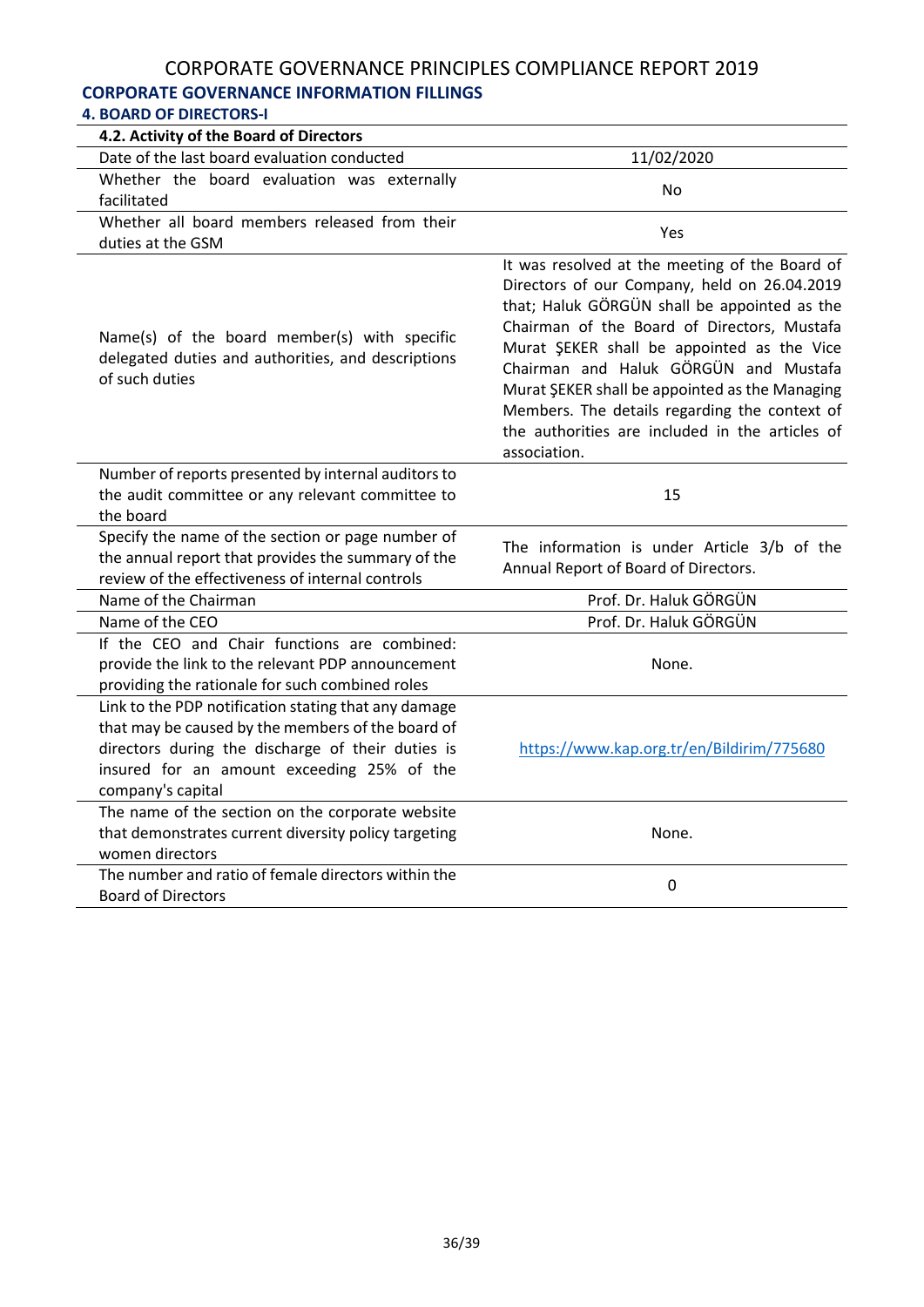## **CORPORATE GOVERNANCE INFORMATION FILLINGS**

| <b>4. BOARD OF DIRECTORS-I</b>                                                                                                                                                                                                    |                                                                                                                                                                                                                                                                                                                                                                                                                                                            |
|-----------------------------------------------------------------------------------------------------------------------------------------------------------------------------------------------------------------------------------|------------------------------------------------------------------------------------------------------------------------------------------------------------------------------------------------------------------------------------------------------------------------------------------------------------------------------------------------------------------------------------------------------------------------------------------------------------|
| 4.2. Activity of the Board of Directors                                                                                                                                                                                           |                                                                                                                                                                                                                                                                                                                                                                                                                                                            |
| Date of the last board evaluation conducted                                                                                                                                                                                       | 11/02/2020                                                                                                                                                                                                                                                                                                                                                                                                                                                 |
| Whether the board evaluation was externally<br>facilitated                                                                                                                                                                        | N <sub>o</sub>                                                                                                                                                                                                                                                                                                                                                                                                                                             |
| Whether all board members released from their<br>duties at the GSM                                                                                                                                                                | Yes                                                                                                                                                                                                                                                                                                                                                                                                                                                        |
| Name(s) of the board member(s) with specific<br>delegated duties and authorities, and descriptions<br>of such duties                                                                                                              | It was resolved at the meeting of the Board of<br>Directors of our Company, held on 26.04.2019<br>that; Haluk GÖRGÜN shall be appointed as the<br>Chairman of the Board of Directors, Mustafa<br>Murat ŞEKER shall be appointed as the Vice<br>Chairman and Haluk GÖRGÜN and Mustafa<br>Murat ŞEKER shall be appointed as the Managing<br>Members. The details regarding the context of<br>the authorities are included in the articles of<br>association. |
| Number of reports presented by internal auditors to<br>the audit committee or any relevant committee to<br>the board                                                                                                              | 15                                                                                                                                                                                                                                                                                                                                                                                                                                                         |
| Specify the name of the section or page number of<br>the annual report that provides the summary of the<br>review of the effectiveness of internal controls                                                                       | The information is under Article 3/b of the<br>Annual Report of Board of Directors.                                                                                                                                                                                                                                                                                                                                                                        |
| Name of the Chairman                                                                                                                                                                                                              | Prof. Dr. Haluk GÖRGÜN                                                                                                                                                                                                                                                                                                                                                                                                                                     |
| Name of the CEO                                                                                                                                                                                                                   | Prof. Dr. Haluk GÖRGÜN                                                                                                                                                                                                                                                                                                                                                                                                                                     |
| If the CEO and Chair functions are combined:<br>provide the link to the relevant PDP announcement<br>providing the rationale for such combined roles                                                                              | None.                                                                                                                                                                                                                                                                                                                                                                                                                                                      |
| Link to the PDP notification stating that any damage<br>that may be caused by the members of the board of<br>directors during the discharge of their duties is<br>insured for an amount exceeding 25% of the<br>company's capital | https://www.kap.org.tr/en/Bildirim/775680                                                                                                                                                                                                                                                                                                                                                                                                                  |
| The name of the section on the corporate website<br>that demonstrates current diversity policy targeting<br>women directors                                                                                                       | None.                                                                                                                                                                                                                                                                                                                                                                                                                                                      |
| The number and ratio of female directors within the<br><b>Board of Directors</b>                                                                                                                                                  | 0                                                                                                                                                                                                                                                                                                                                                                                                                                                          |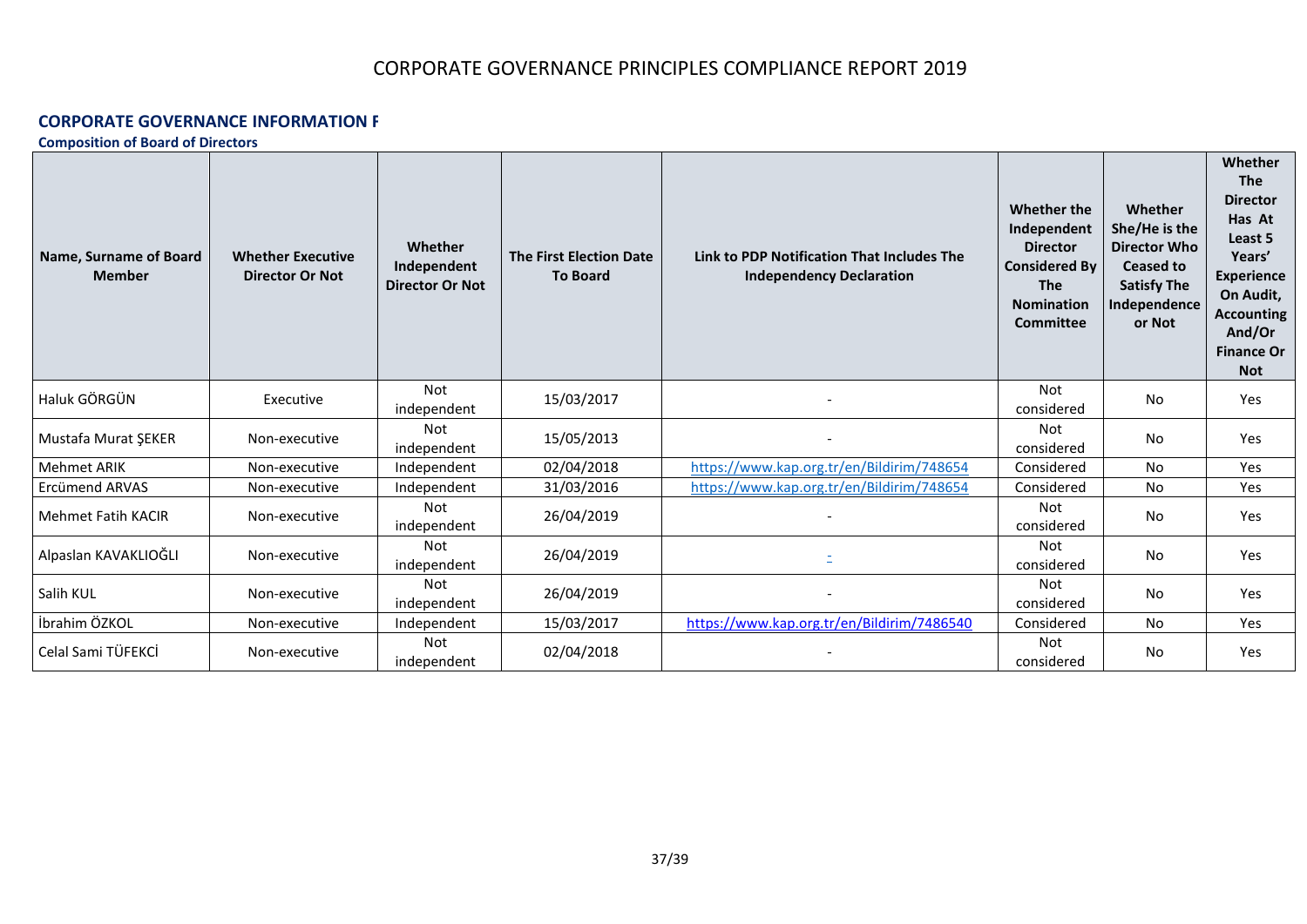#### **CORPORATE GOVERNANCE INFORMATION F**

**Composition of Board of Directors**

| Name, Surname of Board<br><b>Member</b> | <b>Whether Executive</b><br><b>Director Or Not</b> | Whether<br>Independent<br><b>Director Or Not</b> | <b>The First Election Date</b><br><b>To Board</b> | Link to PDP Notification That Includes The<br><b>Independency Declaration</b> | Whether the<br>Independent<br><b>Director</b><br><b>Considered By</b><br><b>The</b><br><b>Nomination</b><br><b>Committee</b> | Whether<br>She/He is the<br><b>Director Who</b><br>Ceased to<br><b>Satisfy The</b><br>Independence<br>or Not | <b>Whether</b><br><b>The</b><br><b>Director</b><br>Has At<br>Least 5<br>Years'<br><b>Experience</b><br>On Audit,<br><b>Accounting</b><br>And/Or<br><b>Finance Or</b><br><b>Not</b> |
|-----------------------------------------|----------------------------------------------------|--------------------------------------------------|---------------------------------------------------|-------------------------------------------------------------------------------|------------------------------------------------------------------------------------------------------------------------------|--------------------------------------------------------------------------------------------------------------|------------------------------------------------------------------------------------------------------------------------------------------------------------------------------------|
| Haluk GÖRGÜN                            | Executive                                          | <b>Not</b><br>independent                        | 15/03/2017                                        |                                                                               | <b>Not</b><br>considered                                                                                                     | No                                                                                                           | Yes                                                                                                                                                                                |
| Mustafa Murat ŞEKER                     | Non-executive                                      | Not<br>independent                               | 15/05/2013                                        |                                                                               | Not<br>considered                                                                                                            | No                                                                                                           | <b>Yes</b>                                                                                                                                                                         |
| <b>Mehmet ARIK</b>                      | Non-executive                                      | Independent                                      | 02/04/2018                                        | https://www.kap.org.tr/en/Bildirim/748654                                     | Considered                                                                                                                   | No                                                                                                           | Yes                                                                                                                                                                                |
| Ercümend ARVAS                          | Non-executive                                      | Independent                                      | 31/03/2016                                        | https://www.kap.org.tr/en/Bildirim/748654                                     | Considered                                                                                                                   | No                                                                                                           | <b>Yes</b>                                                                                                                                                                         |
| Mehmet Fatih KACIR                      | Non-executive                                      | Not<br>independent                               | 26/04/2019                                        |                                                                               | <b>Not</b><br>considered                                                                                                     | No                                                                                                           | Yes                                                                                                                                                                                |
| Alpaslan KAVAKLIOĞLI                    | Non-executive                                      | Not<br>independent                               | 26/04/2019                                        |                                                                               | <b>Not</b><br>considered                                                                                                     | No                                                                                                           | Yes                                                                                                                                                                                |
| Salih KUL                               | Non-executive                                      | <b>Not</b><br>independent                        | 26/04/2019                                        |                                                                               | <b>Not</b><br>considered                                                                                                     | No                                                                                                           | Yes                                                                                                                                                                                |
| İbrahim ÖZKOL                           | Non-executive                                      | Independent                                      | 15/03/2017                                        | https://www.kap.org.tr/en/Bildirim/7486540                                    | Considered                                                                                                                   | No                                                                                                           | Yes                                                                                                                                                                                |
| Celal Sami TÜFEKCİ                      | Non-executive                                      | Not<br>independent                               | 02/04/2018                                        |                                                                               | Not<br>considered                                                                                                            | No                                                                                                           | Yes                                                                                                                                                                                |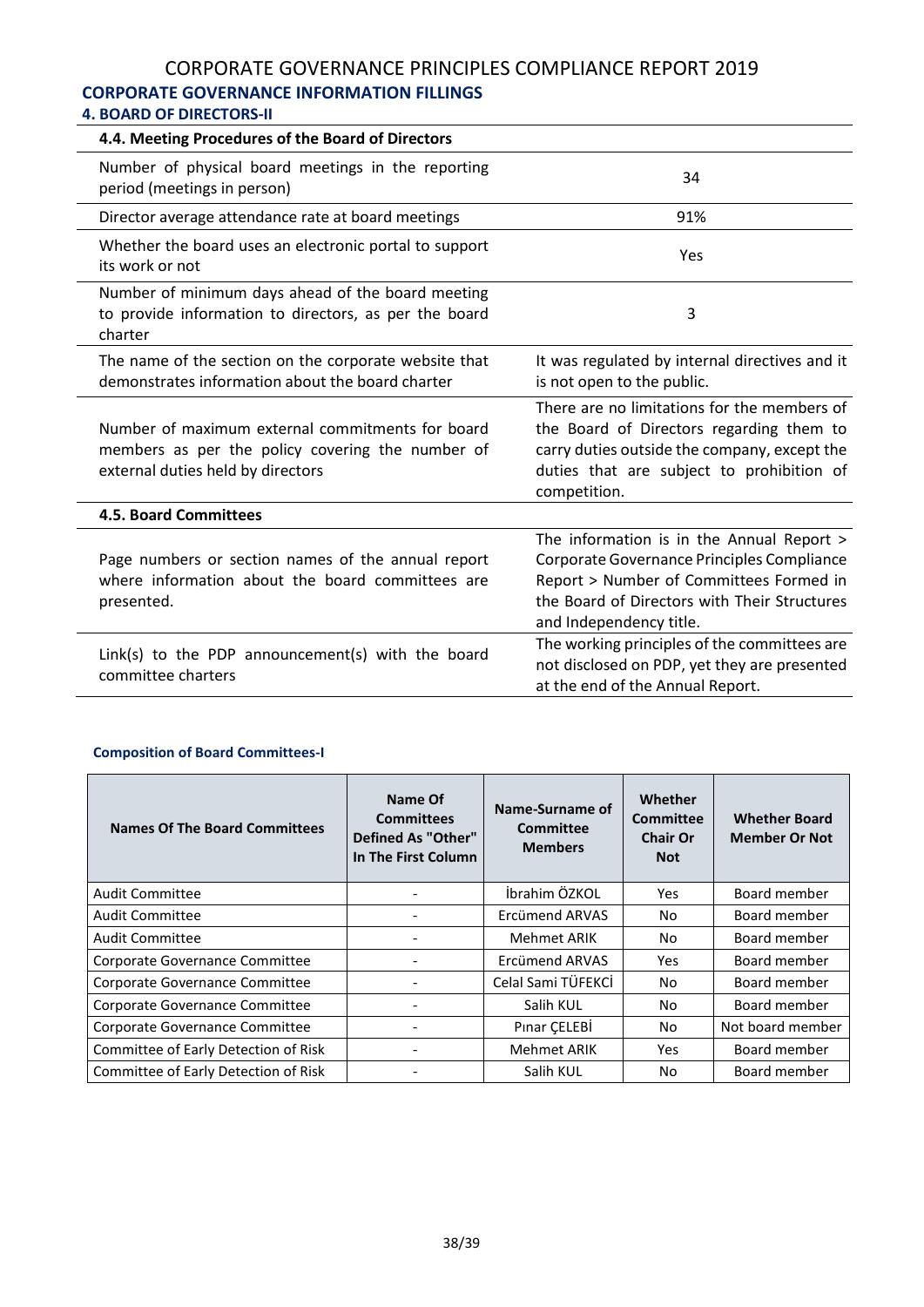# **CORPORATE GOVERNANCE INFORMATION FILLINGS**

## **4. BOARD OF DIRECTORS-II**

| 4.4. Meeting Procedures of the Board of Directors                                                                                         |                                                                                                                                                                                                               |
|-------------------------------------------------------------------------------------------------------------------------------------------|---------------------------------------------------------------------------------------------------------------------------------------------------------------------------------------------------------------|
| Number of physical board meetings in the reporting<br>period (meetings in person)                                                         | 34                                                                                                                                                                                                            |
| Director average attendance rate at board meetings                                                                                        | 91%                                                                                                                                                                                                           |
| Whether the board uses an electronic portal to support<br>its work or not                                                                 | Yes                                                                                                                                                                                                           |
| Number of minimum days ahead of the board meeting<br>to provide information to directors, as per the board<br>charter                     | 3                                                                                                                                                                                                             |
| The name of the section on the corporate website that<br>demonstrates information about the board charter                                 | It was regulated by internal directives and it<br>is not open to the public.                                                                                                                                  |
| Number of maximum external commitments for board<br>members as per the policy covering the number of<br>external duties held by directors | There are no limitations for the members of<br>the Board of Directors regarding them to<br>carry duties outside the company, except the<br>duties that are subject to prohibition of<br>competition.          |
| <b>4.5. Board Committees</b>                                                                                                              |                                                                                                                                                                                                               |
| Page numbers or section names of the annual report<br>where information about the board committees are<br>presented.                      | The information is in the Annual Report ><br>Corporate Governance Principles Compliance<br>Report > Number of Committees Formed in<br>the Board of Directors with Their Structures<br>and Independency title. |
| Link(s) to the PDP announcement(s) with the board<br>committee charters                                                                   | The working principles of the committees are<br>not disclosed on PDP, yet they are presented<br>at the end of the Annual Report.                                                                              |

#### **Composition of Board Committees-I**

| <b>Names Of The Board Committees</b> | Name Of<br><b>Committees</b><br><b>Defined As "Other"</b><br>In The First Column | Name-Surname of<br>Committee<br><b>Members</b> | Whether<br>Committee<br><b>Chair Or</b><br><b>Not</b> | <b>Whether Board</b><br><b>Member Or Not</b> |
|--------------------------------------|----------------------------------------------------------------------------------|------------------------------------------------|-------------------------------------------------------|----------------------------------------------|
| Audit Committee                      |                                                                                  | İbrahim ÖZKOL                                  | <b>Yes</b>                                            | Board member                                 |
| Audit Committee                      |                                                                                  | Ercümend ARVAS                                 | No                                                    | Board member                                 |
| <b>Audit Committee</b>               |                                                                                  | Mehmet ARIK                                    | No.                                                   | Board member                                 |
| Corporate Governance Committee       |                                                                                  | Ercümend ARVAS                                 | <b>Yes</b>                                            | Board member                                 |
| Corporate Governance Committee       |                                                                                  | Celal Sami TÜFEKCİ                             | No.                                                   | Board member                                 |
| Corporate Governance Committee       |                                                                                  | Salih KUL                                      | No                                                    | Board member                                 |
| Corporate Governance Committee       |                                                                                  | Pinar CELEBI                                   | No                                                    | Not board member                             |
| Committee of Early Detection of Risk |                                                                                  | <b>Mehmet ARIK</b>                             | Yes.                                                  | Board member                                 |
| Committee of Early Detection of Risk |                                                                                  | Salih KUL                                      | No.                                                   | Board member                                 |